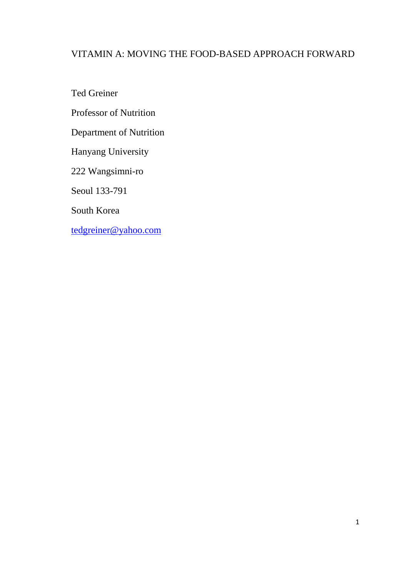## VITAMIN A: MOVING THE FOOD-BASED APPROACH FORWARD

Ted Greiner Professor of Nutrition Department of Nutrition Hanyang University 222 Wangsimni-ro Seoul 133-791 South Korea [tedgreiner@yahoo.com](mailto:tedgreiner@yahoo.com)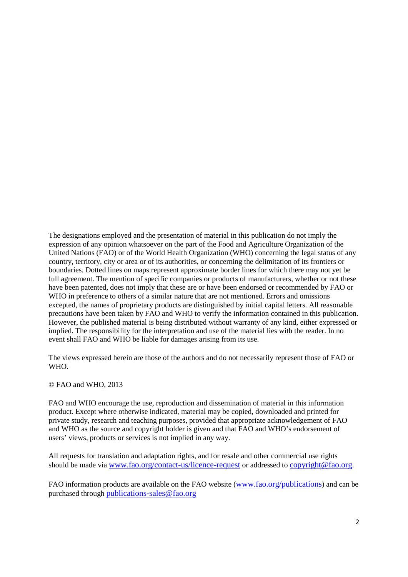The designations employed and the presentation of material in this publication do not imply the expression of any opinion whatsoever on the part of the Food and Agriculture Organization of the United Nations (FAO) or of the World Health Organization (WHO) concerning the legal status of any country, territory, city or area or of its authorities, or concerning the delimitation of its frontiers or boundaries. Dotted lines on maps represent approximate border lines for which there may not yet be full agreement. The mention of specific companies or products of manufacturers, whether or not these have been patented, does not imply that these are or have been endorsed or recommended by FAO or WHO in preference to others of a similar nature that are not mentioned. Errors and omissions excepted, the names of proprietary products are distinguished by initial capital letters. All reasonable precautions have been taken by FAO and WHO to verify the information contained in this publication. However, the published material is being distributed without warranty of any kind, either expressed or implied. The responsibility for the interpretation and use of the material lies with the reader. In no event shall FAO and WHO be liable for damages arising from its use.

The views expressed herein are those of the authors and do not necessarily represent those of FAO or WHO.

#### © FAO and WHO, 2013

FAO and WHO encourage the use, reproduction and dissemination of material in this information product. Except where otherwise indicated, material may be copied, downloaded and printed for private study, research and teaching purposes, provided that appropriate acknowledgement of FAO and WHO as the source and copyright holder is given and that FAO and WHO's endorsement of users' views, products or services is not implied in any way.

All requests for translation and adaptation rights, and for resale and other commercial use rights should be made via [www.fao.org/contact-us/licence-request](http://www.fao.org/contact-us/licence-request) or addressed to [copyright@fao.org.](mailto:copyright@fao.org)

FAO information products are available on the FAO website [\(www.fao.org/publications\)](http://www.fao.org/publications) and can be purchased through [publications-sales@fao.org](mailto:publications-sales@fao.org)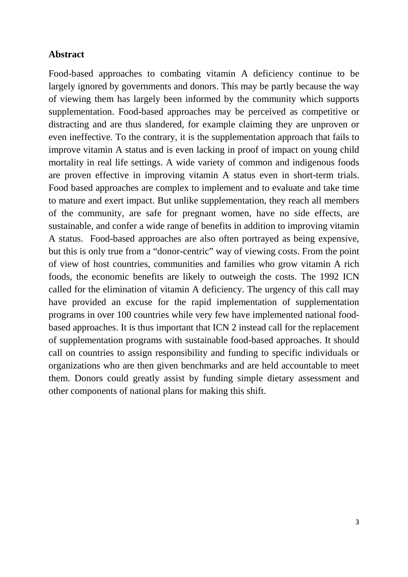### **Abstract**

Food-based approaches to combating vitamin A deficiency continue to be largely ignored by governments and donors. This may be partly because the way of viewing them has largely been informed by the community which supports supplementation. Food-based approaches may be perceived as competitive or distracting and are thus slandered, for example claiming they are unproven or even ineffective. To the contrary, it is the supplementation approach that fails to improve vitamin A status and is even lacking in proof of impact on young child mortality in real life settings. A wide variety of common and indigenous foods are proven effective in improving vitamin A status even in short-term trials. Food based approaches are complex to implement and to evaluate and take time to mature and exert impact. But unlike supplementation, they reach all members of the community, are safe for pregnant women, have no side effects, are sustainable, and confer a wide range of benefits in addition to improving vitamin A status. Food-based approaches are also often portrayed as being expensive, but this is only true from a "donor-centric" way of viewing costs. From the point of view of host countries, communities and families who grow vitamin A rich foods, the economic benefits are likely to outweigh the costs. The 1992 ICN called for the elimination of vitamin A deficiency. The urgency of this call may have provided an excuse for the rapid implementation of supplementation programs in over 100 countries while very few have implemented national foodbased approaches. It is thus important that ICN 2 instead call for the replacement of supplementation programs with sustainable food-based approaches. It should call on countries to assign responsibility and funding to specific individuals or organizations who are then given benchmarks and are held accountable to meet them. Donors could greatly assist by funding simple dietary assessment and other components of national plans for making this shift.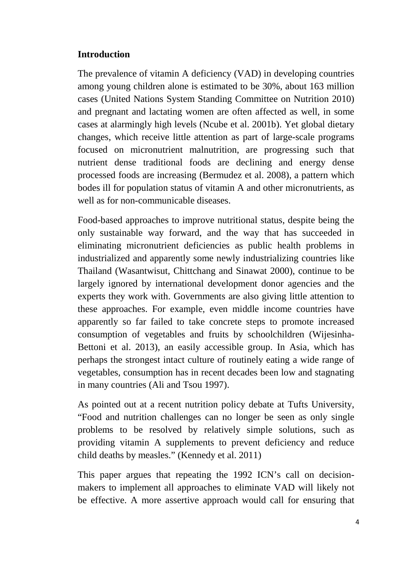### **Introduction**

The prevalence of vitamin A deficiency (VAD) in developing countries among young children alone is estimated to be 30%, about 163 million cases [\(United Nations System Standing Committee on Nutrition 2010\)](#page-67-0) and pregnant and lactating women are often affected as well, in some cases at alarmingly high levels [\(Ncube et al. 2001b\)](#page-64-0). Yet global dietary changes, which receive little attention as part of large-scale programs focused on micronutrient malnutrition, are progressing such that nutrient dense traditional foods are declining and energy dense processed foods are increasing [\(Bermudez et al. 2008\)](#page-56-0), a pattern which bodes ill for population status of vitamin A and other micronutrients, as well as for non-communicable diseases.

Food-based approaches to improve nutritional status, despite being the only sustainable way forward, and the way that has succeeded in eliminating micronutrient deficiencies as public health problems in industrialized and apparently some newly industrializing countries like Thailand [\(Wasantwisut, Chittchang and Sinawat 2000\)](#page-68-0), continue to be largely ignored by international development donor agencies and the experts they work with. Governments are also giving little attention to these approaches. For example, even middle income countries have apparently so far failed to take concrete steps to promote increased consumption of vegetables and fruits by schoolchildren [\(Wijesinha-](#page-68-1)[Bettoni et al. 2013\)](#page-68-1), an easily accessible group. In Asia, which has perhaps the strongest intact culture of routinely eating a wide range of vegetables, consumption has in recent decades been low and stagnating in many countries [\(Ali and Tsou 1997\)](#page-55-0).

As pointed out at a recent nutrition policy debate at Tufts University, "Food and nutrition challenges can no longer be seen as only single problems to be resolved by relatively simple solutions, such as providing vitamin A supplements to prevent deficiency and reduce child deaths by measles." [\(Kennedy et al. 2011\)](#page-61-0)

This paper argues that repeating the 1992 ICN's call on decisionmakers to implement all approaches to eliminate VAD will likely not be effective. A more assertive approach would call for ensuring that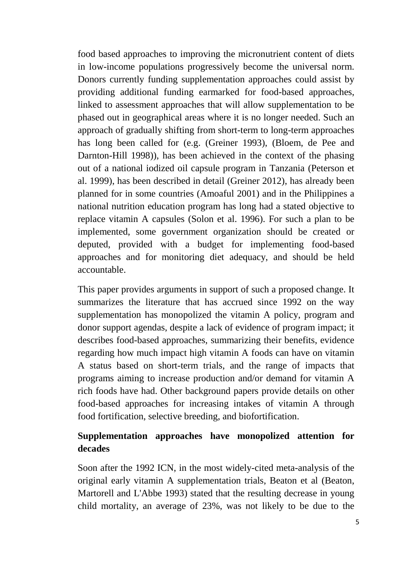food based approaches to improving the micronutrient content of diets in low-income populations progressively become the universal norm. Donors currently funding supplementation approaches could assist by providing additional funding earmarked for food-based approaches, linked to assessment approaches that will allow supplementation to be phased out in geographical areas where it is no longer needed. Such an approach of gradually shifting from short-term to long-term approaches has long been called for (e.g. [\(Greiner 1993\)](#page-60-0), [\(Bloem, de Pee and](#page-56-1)  [Darnton-Hill](#page-56-1) 1998)), has been achieved in the context of the phasing out of a national iodized oil capsule program in Tanzania [\(Peterson et](#page-64-1)  [al. 1999\)](#page-64-1), has been described in detail [\(Greiner 2012\)](#page-60-1), has already been planned for in some countries [\(Amoaful 2001\)](#page-55-1) and in the Philippines a national nutrition education program has long had a stated objective to replace vitamin A capsules [\(Solon et al. 1996\)](#page-66-0). For such a plan to be implemented, some government organization should be created or deputed, provided with a budget for implementing food-based approaches and for monitoring diet adequacy, and should be held accountable.

This paper provides arguments in support of such a proposed change. It summarizes the literature that has accrued since 1992 on the way supplementation has monopolized the vitamin A policy, program and donor support agendas, despite a lack of evidence of program impact; it describes food-based approaches, summarizing their benefits, evidence regarding how much impact high vitamin A foods can have on vitamin A status based on short-term trials, and the range of impacts that programs aiming to increase production and/or demand for vitamin A rich foods have had. Other background papers provide details on other food-based approaches for increasing intakes of vitamin A through food fortification, selective breeding, and biofortification.

### **Supplementation approaches have monopolized attention for decades**

Soon after the 1992 ICN, in the most widely-cited meta-analysis of the original early vitamin A supplementation trials, Beaton et al [\(Beaton,](#page-56-2)  [Martorell and L'Abbe 1993\)](#page-56-2) stated that the resulting decrease in young child mortality, an average of 23%, was not likely to be due to the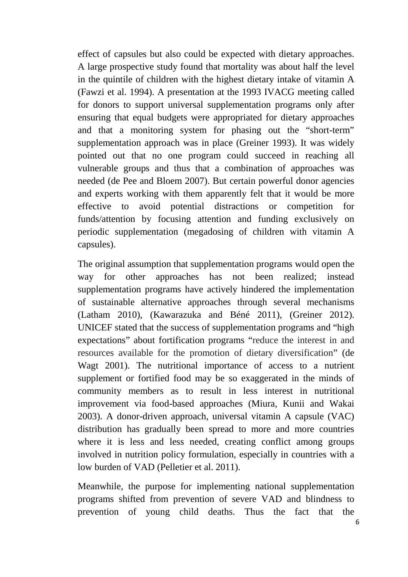effect of capsules but also could be expected with dietary approaches. A large prospective study found that mortality was about half the level in the quintile of children with the highest dietary intake of vitamin A [\(Fawzi et al. 1994\)](#page-59-0). A presentation at the 1993 IVACG meeting called for donors to support universal supplementation programs only after ensuring that equal budgets were appropriated for dietary approaches and that a monitoring system for phasing out the "short-term" supplementation approach was in place [\(Greiner 1993\)](#page-60-0). It was widely pointed out that no one program could succeed in reaching all vulnerable groups and thus that a combination of approaches was needed [\(de Pee and Bloem 2007\)](#page-57-0). But certain powerful donor agencies and experts working with them apparently felt that it would be more effective to avoid potential distractions or competition for funds/attention by focusing attention and funding exclusively on periodic supplementation (megadosing of children with vitamin A capsules).

The original assumption that supplementation programs would open the way for other approaches has not been realized; instead supplementation programs have actively hindered the implementation of sustainable alternative approaches through several mechanisms [\(Latham 2010\)](#page-62-0), [\(Kawarazuka and Béné 2011\)](#page-61-1), [\(Greiner 2012\)](#page-60-1). UNICEF stated that the success of supplementation programs and "high expectations" about fortification programs "reduce the interest in and resources available for the promotion of dietary diversification" [\(de](#page-58-0)  [Wagt 2001\)](#page-58-0). The nutritional importance of access to a nutrient supplement or fortified food may be so exaggerated in the minds of community members as to result in less interest in nutritional improvement via food-based approaches [\(Miura, Kunii and Wakai](#page-63-0)  [2003\)](#page-63-0). A donor-driven approach, universal vitamin A capsule (VAC) distribution has gradually been spread to more and more countries where it is less and less needed, creating conflict among groups involved in nutrition policy formulation, especially in countries with a low burden of VAD [\(Pelletier et al. 2011\)](#page-64-2).

Meanwhile, the purpose for implementing national supplementation programs shifted from prevention of severe VAD and blindness to prevention of young child deaths. Thus the fact that the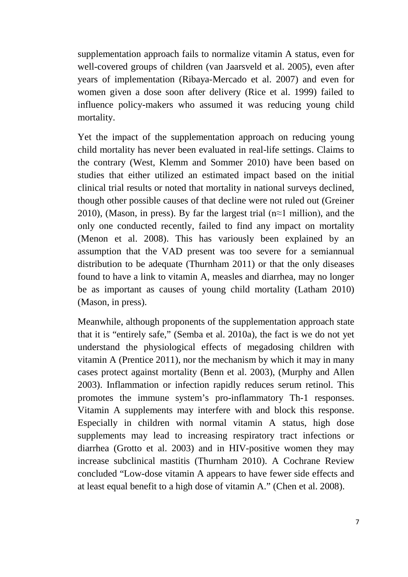supplementation approach fails to normalize vitamin A status, even for well-covered groups of children [\(van Jaarsveld et al. 2005\)](#page-67-1), even after years of implementation [\(Ribaya-Mercado et al. 2007\)](#page-65-0) and even for women given a dose soon after delivery [\(Rice et al. 1999\)](#page-65-1) failed to influence policy-makers who assumed it was reducing young child mortality.

Yet the impact of the supplementation approach on reducing young child mortality has never been evaluated in real-life settings. Claims to the contrary [\(West, Klemm and Sommer 2010\)](#page-68-2) have been based on studies that either utilized an estimated impact based on the initial clinical trial results or noted that mortality in national surveys declined, though other possible causes of that decline were not ruled out [\(Greiner](#page-60-2)  [2010\)](#page-60-2), (Mason, in press). By far the largest trial (n≈1 million), and the only one conducted recently, failed to find any impact on mortality [\(Menon et al. 2008\)](#page-63-1). This has variously been explained by an assumption that the VAD present was too severe for a semiannual distribution to be adequate [\(Thurnham 2011\)](#page-67-2) or that the only diseases found to have a link to vitamin A, measles and diarrhea, may no longer be as important as causes of young child mortality [\(Latham 2010\)](#page-62-0) (Mason, in press).

Meanwhile, although proponents of the supplementation approach state that it is "entirely safe," [\(Semba et al. 2010a\)](#page-65-2), the fact is we do not yet understand the physiological effects of megadosing children with vitamin A [\(Prentice 2011\)](#page-64-3), nor the mechanism by which it may in many cases protect against mortality [\(Benn et al. 2003\)](#page-56-3), [\(Murphy and Allen](#page-63-2)  [2003\)](#page-63-2). Inflammation or infection rapidly reduces serum retinol. This promotes the immune system's pro-inflammatory Th-1 responses. Vitamin A supplements may interfere with and block this response. Especially in children with normal vitamin A status, high dose supplements may lead to increasing respiratory tract infections or diarrhea [\(Grotto et al. 2003\)](#page-60-3) and in HIV-positive women they may increase subclinical mastitis [\(Thurnham 2010\)](#page-67-3). A Cochrane Review concluded "Low-dose vitamin A appears to have fewer side effects and at least equal benefit to a high dose of vitamin A." [\(Chen et al. 2008\)](#page-57-1).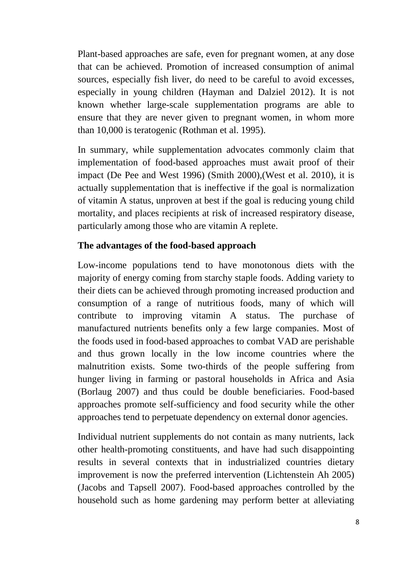Plant-based approaches are safe, even for pregnant women, at any dose that can be achieved. Promotion of increased consumption of animal sources, especially fish liver, do need to be careful to avoid excesses, especially in young children [\(Hayman and Dalziel 2012\)](#page-60-4). It is not known whether large-scale supplementation programs are able to ensure that they are never given to pregnant women, in whom more than 10,000 is teratogenic [\(Rothman et al. 1995\)](#page-65-3).

In summary, while supplementation advocates commonly claim that implementation of food-based approaches must await proof of their impact [\(De Pee and West 1996\)](#page-58-1) [\(Smith 2000\)](#page-66-1),[\(West et al. 2010\)](#page-68-2), it is actually supplementation that is ineffective if the goal is normalization of vitamin A status, unproven at best if the goal is reducing young child mortality, and places recipients at risk of increased respiratory disease, particularly among those who are vitamin A replete.

### **The advantages of the food-based approach**

Low-income populations tend to have monotonous diets with the majority of energy coming from starchy staple foods. Adding variety to their diets can be achieved through promoting increased production and consumption of a range of nutritious foods, many of which will contribute to improving vitamin A status. The purchase of manufactured nutrients benefits only a few large companies. Most of the foods used in food-based approaches to combat VAD are perishable and thus grown locally in the low income countries where the malnutrition exists. Some two-thirds of the people suffering from hunger living in farming or pastoral households in Africa and Asia [\(Borlaug 2007\)](#page-56-4) and thus could be double beneficiaries. Food-based approaches promote self-sufficiency and food security while the other approaches tend to perpetuate dependency on external donor agencies.

Individual nutrient supplements do not contain as many nutrients, lack other health-promoting constituents, and have had such disappointing results in several contexts that in industrialized countries dietary improvement is now the preferred intervention [\(Lichtenstein Ah 2005\)](#page-62-1) [\(Jacobs and Tapsell 2007\)](#page-61-2). Food-based approaches controlled by the household such as home gardening may perform better at alleviating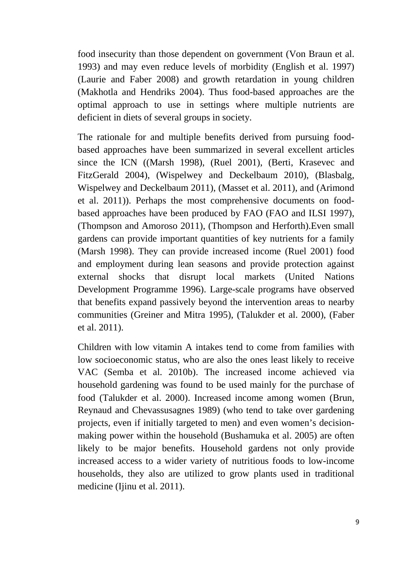food insecurity than those dependent on government [\(Von Braun et al.](#page-67-4)  [1993\)](#page-67-4) and may even reduce levels of morbidity [\(English et al. 1997\)](#page-59-1) [\(Laurie and Faber 2008\)](#page-62-2) and growth retardation in young children [\(Makhotla and Hendriks 2004\)](#page-63-3). Thus food-based approaches are the optimal approach to use in settings where multiple nutrients are deficient in diets of several groups in society.

The rationale for and multiple benefits derived from pursuing foodbased approaches have been summarized in several excellent articles since the ICN ([\(Marsh 1998\)](#page-63-4), [\(Ruel 2001\)](#page-65-4), [\(Berti, Krasevec and](#page-56-5)  [FitzGerald 2004\)](#page-56-5), [\(Wispelwey and Deckelbaum 2010\)](#page-68-3), [\(Blasbalg,](#page-56-6)  [Wispelwey and Deckelbaum 2011\)](#page-56-6), [\(Masset et al. 2011\)](#page-63-5), and [\(Arimond](#page-55-2)  [et al. 2011\)](#page-55-2)). Perhaps the most comprehensive documents on foodbased approaches have been produced by FAO [\(FAO and ILSI 1997\)](#page-59-2), [\(Thompson and Amoroso 2011\)](#page-67-5), (Thompson and Herforth).Even small gardens can provide important quantities of key nutrients for a family [\(Marsh 1998\)](#page-63-4). They can provide increased income [\(Ruel 2001\)](#page-65-4) food and employment during lean seasons and provide protection against external shocks that disrupt local markets [\(United Nations](#page-67-6)  [Development Programme 1996\)](#page-67-6). Large-scale programs have observed that benefits expand passively beyond the intervention areas to nearby communities [\(Greiner and Mitra 1995\)](#page-60-5), [\(Talukder et al. 2000\)](#page-66-2), [\(Faber](#page-59-3)  [et al. 2011\)](#page-59-3).

Children with low vitamin A intakes tend to come from families with low socioeconomic status, who are also the ones least likely to receive VAC [\(Semba et al. 2010b\)](#page-65-5). The increased income achieved via household gardening was found to be used mainly for the purchase of food [\(Talukder et al. 2000\)](#page-66-2). Increased income among women [\(Brun,](#page-56-7)  [Reynaud and Chevassusagnes 1989\)](#page-56-7) (who tend to take over gardening projects, even if initially targeted to men) and even women's decisionmaking power within the household [\(Bushamuka et al. 2005\)](#page-57-2) are often likely to be major benefits. Household gardens not only provide increased access to a wider variety of nutritious foods to low-income households, they also are utilized to grow plants used in traditional medicine [\(Ijinu et al. 2011\)](#page-61-3).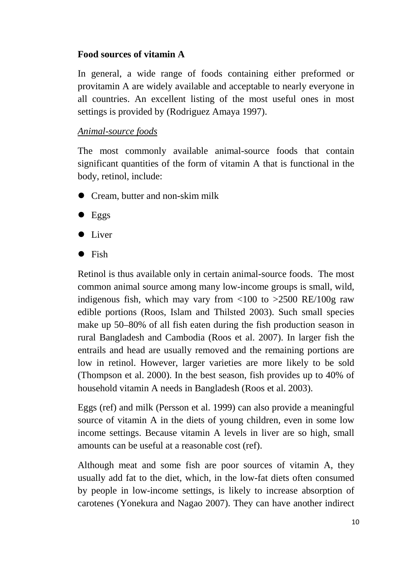### **Food sources of vitamin A**

In general, a wide range of foods containing either preformed or provitamin A are widely available and acceptable to nearly everyone in all countries. An excellent listing of the most useful ones in most settings is provided by [\(Rodriguez Amaya 1997\)](#page-65-6).

## *Animal-source foods*

The most commonly available animal-source foods that contain significant quantities of the form of vitamin A that is functional in the body, retinol, include:

- Cream, butter and non-skim milk
- $\log_{10}$
- Liver
- $\bullet$  Fish

Retinol is thus available only in certain animal-source foods. The most common animal source among many low-income groups is small, wild, indigenous fish, which may vary from  $<100$  to  $>2500$  RE/100g raw edible portions [\(Roos, Islam and Thilsted 2003\)](#page-65-7). Such small species make up 50–80% of all fish eaten during the fish production season in rural Bangladesh and Cambodia [\(Roos et al. 2007\)](#page-65-8). In larger fish the entrails and head are usually removed and the remaining portions are low in retinol. However, larger varieties are more likely to be sold [\(Thompson et al. 2000\)](#page-67-7). In the best season, fish provides up to 40% of household vitamin A needs in Bangladesh [\(Roos et al. 2003\)](#page-65-7).

Eggs (ref) and milk [\(Persson et al. 1999\)](#page-64-4) can also provide a meaningful source of vitamin A in the diets of young children, even in some low income settings. Because vitamin A levels in liver are so high, small amounts can be useful at a reasonable cost (ref).

Although meat and some fish are poor sources of vitamin A, they usually add fat to the diet, which, in the low-fat diets often consumed by people in low-income settings, is likely to increase absorption of carotenes [\(Yonekura and Nagao 2007\)](#page-68-4). They can have another indirect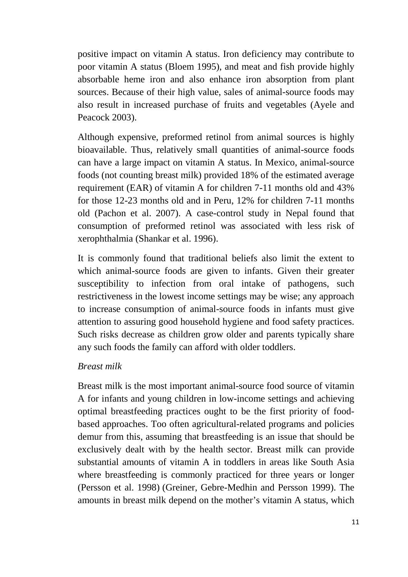positive impact on vitamin A status. Iron deficiency may contribute to poor vitamin A status [\(Bloem 1995\)](#page-56-8), and meat and fish provide highly absorbable heme iron and also enhance iron absorption from plant sources. Because of their high value, sales of animal-source foods may also result in increased purchase of fruits and vegetables [\(Ayele and](#page-55-3)  [Peacock 2003\)](#page-55-3).

Although expensive, preformed retinol from animal sources is highly bioavailable. Thus, relatively small quantities of animal-source foods can have a large impact on vitamin A status. In Mexico, animal-source foods (not counting breast milk) provided 18% of the estimated average requirement (EAR) of vitamin A for children 7-11 months old and 43% for those 12-23 months old and in Peru, 12% for children 7-11 months old [\(Pachon et al. 2007\)](#page-64-5). A case-control study in Nepal found that consumption of preformed retinol was associated with less risk of xerophthalmia [\(Shankar et al. 1996\)](#page-66-3).

It is commonly found that traditional beliefs also limit the extent to which animal-source foods are given to infants. Given their greater susceptibility to infection from oral intake of pathogens, such restrictiveness in the lowest income settings may be wise; any approach to increase consumption of animal-source foods in infants must give attention to assuring good household hygiene and food safety practices. Such risks decrease as children grow older and parents typically share any such foods the family can afford with older toddlers.

#### *Breast milk*

Breast milk is the most important animal-source food source of vitamin A for infants and young children in low-income settings and achieving optimal breastfeeding practices ought to be the first priority of foodbased approaches. Too often agricultural-related programs and policies demur from this, assuming that breastfeeding is an issue that should be exclusively dealt with by the health sector. Breast milk can provide substantial amounts of vitamin A in toddlers in areas like South Asia where breastfeeding is commonly practiced for three years or longer [\(Persson et al. 1998\)](#page-64-6) [\(Greiner, Gebre-Medhin](#page-60-6) and Persson 1999). The amounts in breast milk depend on the mother's vitamin A status, which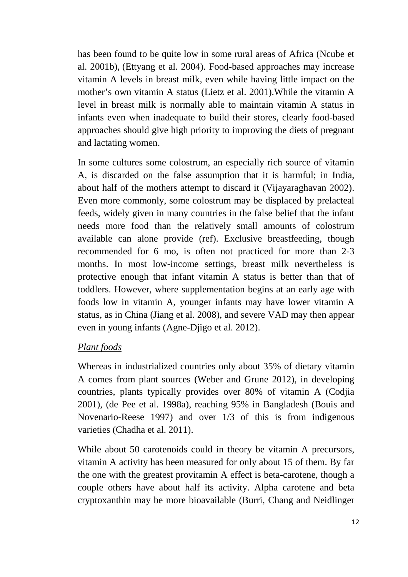has been found to be quite low in some rural areas of Africa [\(Ncube et](#page-64-0)  [al. 2001b\)](#page-64-0), [\(Ettyang et al. 2004\)](#page-59-4). Food-based approaches may increase vitamin A levels in breast milk, even while having little impact on the mother's own vitamin A status [\(Lietz et al. 2001\)](#page-62-3).While the vitamin A level in breast milk is normally able to maintain vitamin A status in infants even when inadequate to build their stores, clearly food-based approaches should give high priority to improving the diets of pregnant and lactating women.

In some cultures some colostrum, an especially rich source of vitamin A, is discarded on the false assumption that it is harmful; in India, about half of the mothers attempt to discard it [\(Vijayaraghavan 2002\)](#page-67-8). Even more commonly, some colostrum may be displaced by prelacteal feeds, widely given in many countries in the false belief that the infant needs more food than the relatively small amounts of colostrum available can alone provide (ref). Exclusive breastfeeding, though recommended for 6 mo, is often not practiced for more than 2-3 months. In most low-income settings, breast milk nevertheless is protective enough that infant vitamin A status is better than that of toddlers. However, where supplementation begins at an early age with foods low in vitamin A, younger infants may have lower vitamin A status, as in China [\(Jiang et al. 2008\)](#page-61-4), and severe VAD may then appear even in young infants [\(Agne-Djigo et al. 2012\)](#page-55-4).

#### *Plant foods*

Whereas in industrialized countries only about 35% of dietary vitamin A comes from plant sources [\(Weber and Grune 2012\)](#page-68-5), in developing countries, plants typically provides over 80% of vitamin A [\(Codjia](#page-57-3)  [2001\)](#page-57-3), [\(de Pee et al. 1998a\)](#page-58-2), reaching 95% in Bangladesh [\(Bouis and](#page-56-9)  [Novenario-Reese 1997\)](#page-56-9) and over 1/3 of this is from indigenous varieties [\(Chadha et al. 2011\)](#page-57-4).

While about 50 carotenoids could in theory be vitamin A precursors, vitamin A activity has been measured for only about 15 of them. By far the one with the greatest provitamin A effect is beta-carotene, though a couple others have about half its activity. Alpha carotene and beta cryptoxanthin may be more bioavailable [\(Burri, Chang and Neidlinger](#page-57-5)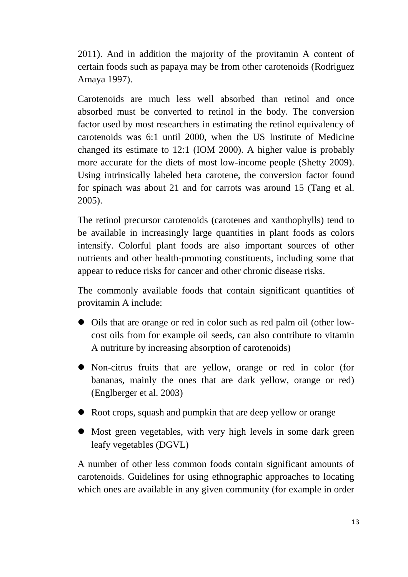2011). And in addition the majority of the provitamin A content of certain foods such as papaya may be from other carotenoids [\(Rodriguez](#page-65-6)  [Amaya 1997\)](#page-65-6).

Carotenoids are much less well absorbed than retinol and once absorbed must be converted to retinol in the body. The conversion factor used by most researchers in estimating the retinol equivalency of carotenoids was 6:1 until 2000, when the US Institute of Medicine changed its estimate to 12:1 [\(IOM 2000\)](#page-61-5). A higher value is probably more accurate for the diets of most low-income people [\(Shetty 2009\)](#page-66-4). Using intrinsically labeled beta carotene, the conversion factor found for spinach was about 21 and for carrots was around 15 [\(Tang et al.](#page-66-5)  [2005\)](#page-66-5).

The retinol precursor carotenoids (carotenes and xanthophylls) tend to be available in increasingly large quantities in plant foods as colors intensify. Colorful plant foods are also important sources of other nutrients and other health-promoting constituents, including some that appear to reduce risks for cancer and other chronic disease risks.

The commonly available foods that contain significant quantities of provitamin A include:

- Oils that are orange or red in color such as red palm oil (other lowcost oils from for example oil seeds, can also contribute to vitamin A nutriture by increasing absorption of carotenoids)
- Non-citrus fruits that are yellow, orange or red in color (for bananas, mainly the ones that are dark yellow, orange or red) [\(Englberger et al. 2003\)](#page-58-3)
- Root crops, squash and pumpkin that are deep yellow or orange
- Most green vegetables, with very high levels in some dark green leafy vegetables (DGVL)

A number of other less common foods contain significant amounts of carotenoids. Guidelines for using ethnographic approaches to locating which ones are available in any given community (for example in order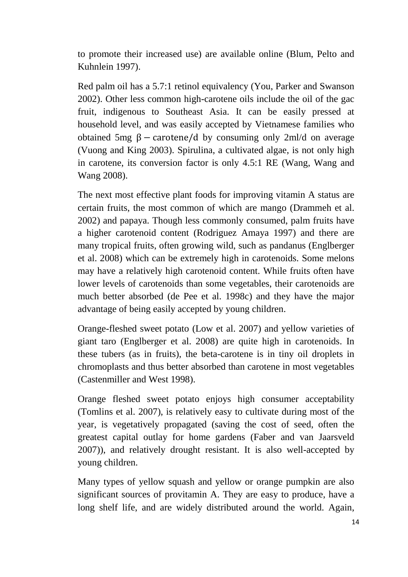to promote their increased use) are available online [\(Blum, Pelto and](#page-56-10)  [Kuhnlein 1997\)](#page-56-10).

Red palm oil has a 5.7:1 retinol equivalency [\(You, Parker and Swanson](#page-68-6)  [2002\)](#page-68-6). Other less common high-carotene oils include the oil of the gac fruit, indigenous to Southeast Asia. It can be easily pressed at household level, and was easily accepted by Vietnamese families who obtained 5mg  $\beta$  – carotene/d by consuming only 2ml/d on average [\(Vuong and King 2003\)](#page-68-7). Spirulina, a cultivated algae, is not only high in carotene, its conversion factor is only 4.5:1 RE [\(Wang, Wang and](#page-68-8)  [Wang 2008\)](#page-68-8).

The next most effective plant foods for improving vitamin A status are certain fruits, the most common of which are mango [\(Drammeh et al.](#page-58-4)  [2002\)](#page-58-4) and papaya. Though less commonly consumed, palm fruits have a higher carotenoid content [\(Rodriguez Amaya 1997\)](#page-65-6) and there are many tropical fruits, often growing wild, such as pandanus [\(Englberger](#page-58-5)  [et al. 2008\)](#page-58-5) which can be extremely high in carotenoids. Some melons may have a relatively high carotenoid content. While fruits often have lower levels of carotenoids than some vegetables, their carotenoids are much better absorbed [\(de Pee et al. 1998c\)](#page-58-6) and they have the major advantage of being easily accepted by young children.

Orange-fleshed sweet potato [\(Low et al. 2007\)](#page-62-4) and yellow varieties of giant taro [\(Englberger et al. 2008\)](#page-58-5) are quite high in carotenoids. In these tubers (as in fruits), the beta-carotene is in tiny oil droplets in chromoplasts and thus better absorbed than carotene in most vegetables [\(Castenmiller and West 1998\)](#page-57-6).

Orange fleshed sweet potato enjoys high consumer acceptability [\(Tomlins et al. 2007\)](#page-67-9), is relatively easy to cultivate during most of the year, is vegetatively propagated (saving the cost of seed, often the greatest capital outlay for home gardens [\(Faber and van Jaarsveld](#page-59-5)  [2007\)](#page-59-5)), and relatively drought resistant. It is also well-accepted by young children.

Many types of yellow squash and yellow or orange pumpkin are also significant sources of provitamin A. They are easy to produce, have a long shelf life, and are widely distributed around the world. Again,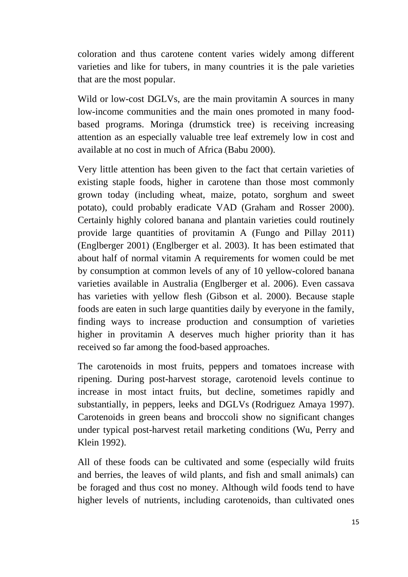coloration and thus carotene content varies widely among different varieties and like for tubers, in many countries it is the pale varieties that are the most popular.

Wild or low-cost DGLVs, are the main provitamin A sources in many low-income communities and the main ones promoted in many foodbased programs. Moringa (drumstick tree) is receiving increasing attention as an especially valuable tree leaf extremely low in cost and available at no cost in much of Africa [\(Babu 2000\)](#page-55-5).

Very little attention has been given to the fact that certain varieties of existing staple foods, higher in carotene than those most commonly grown today (including wheat, maize, potato, sorghum and sweet potato), could probably eradicate VAD [\(Graham and Rosser 2000\)](#page-60-7). Certainly highly colored banana and plantain varieties could routinely provide large quantities of provitamin A [\(Fungo and Pillay 2011\)](#page-59-6) [\(Englberger 2001\)](#page-58-7) [\(Englberger et al. 2003\)](#page-58-3). It has been estimated that about half of normal vitamin A requirements for women could be met by consumption at common levels of any of 10 yellow-colored banana varieties available in Australia [\(Englberger et al. 2006\)](#page-58-8). Even cassava has varieties with yellow flesh [\(Gibson et al. 2000\)](#page-59-7). Because staple foods are eaten in such large quantities daily by everyone in the family, finding ways to increase production and consumption of varieties higher in provitamin A deserves much higher priority than it has received so far among the food-based approaches.

The carotenoids in most fruits, peppers and tomatoes increase with ripening. During post-harvest storage, carotenoid levels continue to increase in most intact fruits, but decline, sometimes rapidly and substantially, in peppers, leeks and DGLVs [\(Rodriguez Amaya 1997\)](#page-65-6). Carotenoids in green beans and broccoli show no significant changes under typical post-harvest retail marketing conditions [\(Wu, Perry and](#page-68-9)  [Klein 1992\)](#page-68-9).

All of these foods can be cultivated and some (especially wild fruits and berries, the leaves of wild plants, and fish and small animals) can be foraged and thus cost no money. Although wild foods tend to have higher levels of nutrients, including carotenoids, than cultivated ones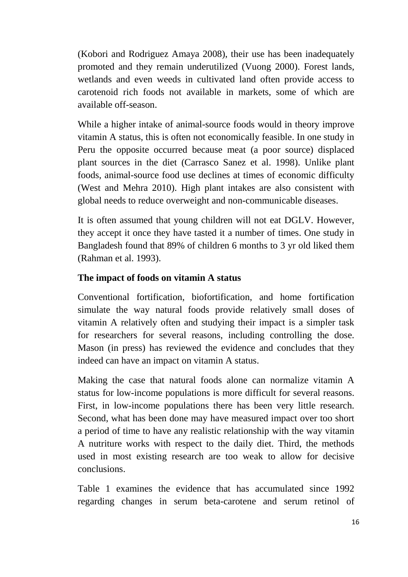[\(Kobori and Rodriguez Amaya 2008\)](#page-62-5), their use has been inadequately promoted and they remain underutilized [\(Vuong 2000\)](#page-67-10). Forest lands, wetlands and even weeds in cultivated land often provide access to carotenoid rich foods not available in markets, some of which are available off-season.

While a higher intake of animal-source foods would in theory improve vitamin A status, this is often not economically feasible. In one study in Peru the opposite occurred because meat (a poor source) displaced plant sources in the diet [\(Carrasco Sanez et al. 1998\)](#page-57-7). Unlike plant foods, animal-source food use declines at times of economic difficulty [\(West and Mehra 2010\)](#page-68-10). High plant intakes are also consistent with global needs to reduce overweight and non-communicable diseases.

It is often assumed that young children will not eat DGLV. However, they accept it once they have tasted it a number of times. One study in Bangladesh found that 89% of children 6 months to 3 yr old liked them [\(Rahman et al. 1993\)](#page-64-7).

## **The impact of foods on vitamin A status**

Conventional fortification, biofortification, and home fortification simulate the way natural foods provide relatively small doses of vitamin A relatively often and studying their impact is a simpler task for researchers for several reasons, including controlling the dose. Mason (in press) has reviewed the evidence and concludes that they indeed can have an impact on vitamin A status.

Making the case that natural foods alone can normalize vitamin A status for low-income populations is more difficult for several reasons. First, in low-income populations there has been very little research. Second, what has been done may have measured impact over too short a period of time to have any realistic relationship with the way vitamin A nutriture works with respect to the daily diet. Third, the methods used in most existing research are too weak to allow for decisive conclusions.

Table 1 examines the evidence that has accumulated since 1992 regarding changes in serum beta-carotene and serum retinol of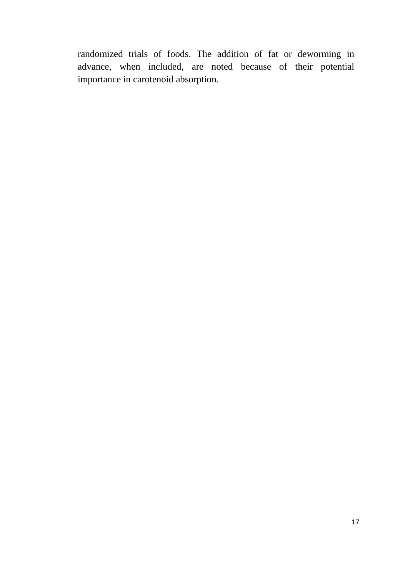randomized trials of foods. The addition of fat or deworming in advance, when included, are noted because of their potential importance in carotenoid absorption.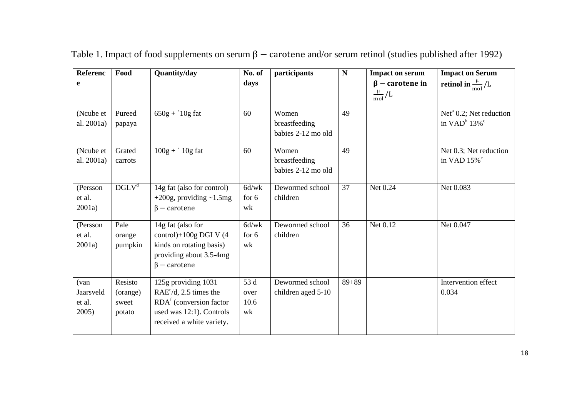| <b>Referenc</b> | Food              | Quantity/day                     | No. of  | participants       | N         | <b>Impact on serum</b>      | <b>Impact on Serum</b>              |
|-----------------|-------------------|----------------------------------|---------|--------------------|-----------|-----------------------------|-------------------------------------|
| e               |                   |                                  | days    |                    |           | $\beta$ – carotene in       | retinol in $\frac{\mu}{mol}$ /L     |
|                 |                   |                                  |         |                    |           | $\frac{\mu}{\text{mol}}$ /L |                                     |
| (Ncube et       | Pureed            | $650g + 10g$ fat                 | 60      | Women              | 49        |                             | Net <sup>a</sup> 0.2; Net reduction |
| al. 2001a)      | papaya            |                                  |         | breastfeeding      |           |                             | in $VAD^b$ 13% <sup>c</sup>         |
|                 |                   |                                  |         | babies 2-12 mo old |           |                             |                                     |
| (Ncube et       | Grated            | $100g + 10g$ fat                 | 60      | Women              | 49        |                             | Net 0.3; Net reduction              |
| al. 2001a)      | carrots           |                                  |         | breastfeeding      |           |                             | in VAD $15\%$ <sup>c</sup>          |
|                 |                   |                                  |         | babies 2-12 mo old |           |                             |                                     |
| (Persson        | DGLV <sup>d</sup> | 14g fat (also for control)       | 6d/wk   | Dewormed school    | 37        | Net 0.24                    | Net 0.083                           |
| et al.          |                   | $+200g$ , providing $\sim$ 1.5mg | for $6$ | children           |           |                             |                                     |
| 2001a           |                   | $\beta$ – carotene               | wk      |                    |           |                             |                                     |
| (Persson        | Pale              | 14g fat (also for                | 6d/wk   | Dewormed school    | 36        | Net 0.12                    | Net 0.047                           |
| et al.          | orange            | control)+100g DGLV (4            | for $6$ | children           |           |                             |                                     |
| 2001a)          | pumpkin           | kinds on rotating basis)         | wk      |                    |           |                             |                                     |
|                 |                   | providing about 3.5-4mg          |         |                    |           |                             |                                     |
|                 |                   | $\beta$ – carotene               |         |                    |           |                             |                                     |
| (van            | Resisto           | 125g providing 1031              | 53d     | Dewormed school    | $89 + 89$ |                             | Intervention effect                 |
| Jaarsveld       | (orange)          | $RAE^{e}/d$ , 2.5 times the      | over    | children aged 5-10 |           |                             | 0.034                               |
| et al.          | sweet             | $RDAf$ (conversion factor        | 10.6    |                    |           |                             |                                     |
| 2005)           | potato            | used was 12:1). Controls         | wk      |                    |           |                             |                                     |
|                 |                   | received a white variety.        |         |                    |           |                             |                                     |
|                 |                   |                                  |         |                    |           |                             |                                     |

Table 1. Impact of food supplements on serum  $\beta$  – carotene and/or serum retinol (studies published after 1992)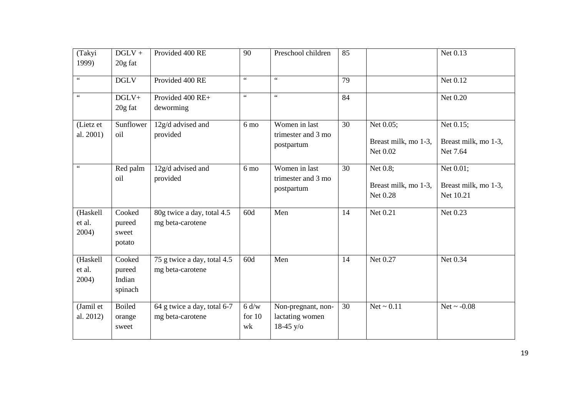| (Takyi<br>1999)                           | $DGLV +$<br>20g fat                   | Provided 400 RE                                 | 90                      | Preschool children                                   | 85 |                                               | Net 0.13                                       |
|-------------------------------------------|---------------------------------------|-------------------------------------------------|-------------------------|------------------------------------------------------|----|-----------------------------------------------|------------------------------------------------|
| $\boldsymbol{\zeta}$ $\boldsymbol{\zeta}$ | <b>DGLV</b>                           | Provided 400 RE                                 | $\zeta$ $\zeta$         | $\epsilon$ $\epsilon$                                | 79 |                                               | Net 0.12                                       |
| $\zeta$ $\zeta$                           | $DGLV+$<br>$20g$ fat                  | Provided 400 RE+<br>deworming                   | 66                      | $\epsilon$ $\epsilon$                                | 84 |                                               | Net 0.20                                       |
| (Lietz et<br>al. 2001)                    | Sunflower<br>oil                      | 12g/d advised and<br>provided                   | 6 mo                    | Women in last<br>trimester and 3 mo<br>postpartum    | 30 | Net 0.05;<br>Breast milk, mo 1-3,<br>Net 0.02 | Net 0.15;<br>Breast milk, mo 1-3,<br>Net 7.64  |
| $\epsilon\epsilon$                        | Red palm<br>oil                       | 12g/d advised and<br>provided                   | 6 <sub>mo</sub>         | Women in last<br>trimester and 3 mo<br>postpartum    | 30 | Net 0.8;<br>Breast milk, mo 1-3,<br>Net 0.28  | Net 0.01;<br>Breast milk, mo 1-3,<br>Net 10.21 |
| (Haskell<br>et al.<br>2004)               | Cooked<br>pureed<br>sweet<br>potato   | 80g twice a day, total 4.5<br>mg beta-carotene  | 60d                     | Men                                                  | 14 | Net 0.21                                      | Net 0.23                                       |
| (Haskell<br>et al.<br>2004)               | Cooked<br>pureed<br>Indian<br>spinach | 75 g twice a day, total 4.5<br>mg beta-carotene | 60d                     | Men                                                  | 14 | Net 0.27                                      | Net 0.34                                       |
| (Jamil et<br>al. 2012)                    | <b>Boiled</b><br>orange<br>sweet      | 64 g twice a day, total 6-7<br>mg beta-carotene | 6 d/w<br>for $10$<br>wk | Non-pregnant, non-<br>lactating women<br>$18-45$ y/o | 30 | Net $\sim 0.11$                               | Net $\sim -0.08$                               |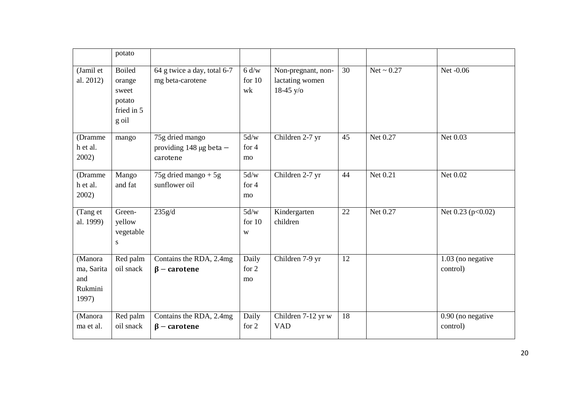|                                                  | potato                                                            |                                                             |                         |                                                      |    |                 |                               |
|--------------------------------------------------|-------------------------------------------------------------------|-------------------------------------------------------------|-------------------------|------------------------------------------------------|----|-----------------|-------------------------------|
| (Jamil et<br>al. 2012)                           | <b>Boiled</b><br>orange<br>sweet<br>potato<br>fried in 5<br>g oil | 64 g twice a day, total 6-7<br>mg beta-carotene             | 6 d/w<br>for $10$<br>wk | Non-pregnant, non-<br>lactating women<br>$18-45$ y/o | 30 | Net $\sim 0.27$ | Net -0.06                     |
| (Dramme<br>h et al.<br>2002)                     | mango                                                             | 75g dried mango<br>providing 148 $\mu$ g beta -<br>carotene | 5d/w<br>for $4$<br>mo   | Children 2-7 yr                                      | 45 | Net 0.27        | Net 0.03                      |
| (Dramme<br>h et al.<br>2002)                     | Mango<br>and fat                                                  | 75g dried mango + $5g$<br>sunflower oil                     | 5d/w<br>for $4$<br>mo   | Children 2-7 yr                                      | 44 | Net 0.21        | Net 0.02                      |
| (Tang et<br>al. 1999)                            | Green-<br>yellow<br>vegetable<br>S                                | 235g/d                                                      | 5d/w<br>for $10$<br>W   | Kindergarten<br>children                             | 22 | Net 0.27        | Net $0.23$ (p<0.02)           |
| (Manora<br>ma, Sarita<br>and<br>Rukmini<br>1997) | Red palm<br>oil snack                                             | Contains the RDA, 2.4mg<br>$\beta$ – carotene               | Daily<br>for $2$<br>mo  | Children 7-9 yr                                      | 12 |                 | 1.03 (no negative<br>control) |
| (Manora<br>ma et al.                             | Red palm<br>oil snack                                             | Contains the RDA, 2.4mg<br>$\beta$ – carotene               | Daily<br>for 2          | Children 7-12 yr w<br><b>VAD</b>                     | 18 |                 | 0.90 (no negative<br>control) |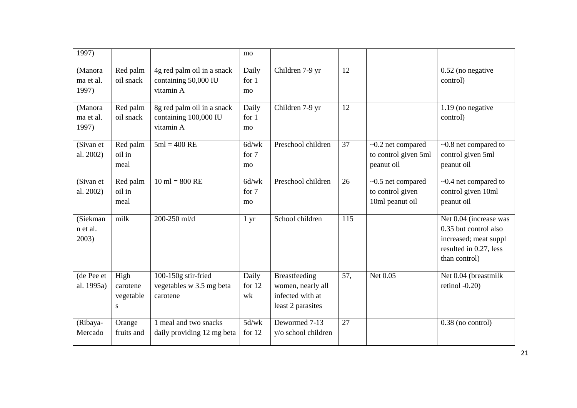| 1997)                         |                                    |                                                                  | mo                     |                                                                             |     |                                                              |                                                                                                                     |
|-------------------------------|------------------------------------|------------------------------------------------------------------|------------------------|-----------------------------------------------------------------------------|-----|--------------------------------------------------------------|---------------------------------------------------------------------------------------------------------------------|
| (Manora<br>ma et al.<br>1997) | Red palm<br>oil snack              | 4g red palm oil in a snack<br>containing 50,000 IU<br>vitamin A  | Daily<br>for $1$<br>mo | Children 7-9 yr                                                             | 12  |                                                              | $0.52$ (no negative<br>control)                                                                                     |
| (Manora<br>ma et al.<br>1997) | Red palm<br>oil snack              | 8g red palm oil in a snack<br>containing 100,000 IU<br>vitamin A | Daily<br>for $1$<br>mo | Children 7-9 yr                                                             | 12  |                                                              | 1.19 (no negative<br>control)                                                                                       |
| (Sivan et<br>al. 2002)        | Red palm<br>oil in<br>meal         | $5ml = 400 RE$                                                   | 6d/wk<br>for 7<br>mo   | Preschool children                                                          | 37  | $~1$ -0.2 net compared<br>to control given 5ml<br>peanut oil | $\sim 0.8$ net compared to<br>control given 5ml<br>peanut oil                                                       |
| (Sivan et<br>al. 2002)        | Red palm<br>oil in<br>meal         | $10$ ml = 800 RE                                                 | 6d/wk<br>for 7<br>mo   | Preschool children                                                          | 26  | $~10.5$ net compared<br>to control given<br>10ml peanut oil  | $~1$ -0.4 net compared to<br>control given 10ml<br>peanut oil                                                       |
| (Siekman<br>n et al.<br>2003) | milk                               | 200-250 ml/d                                                     | 1 <sub>yr</sub>        | School children                                                             | 115 |                                                              | Net 0.04 (increase was<br>0.35 but control also<br>increased; meat suppl<br>resulted in 0.27, less<br>than control) |
| (de Pee et<br>al. 1995a)      | High<br>carotene<br>vegetable<br>S | 100-150g stir-fried<br>vegetables w 3.5 mg beta<br>carotene      | Daily<br>for 12<br>wk  | Breastfeeding<br>women, nearly all<br>infected with at<br>least 2 parasites | 57, | Net 0.05                                                     | Net 0.04 (breastmilk<br>retinol $-0.20$ )                                                                           |
| (Ribaya-<br>Mercado           | Orange<br>fruits and               | 1 meal and two snacks<br>daily providing 12 mg beta              | 5d/wk<br>for $12$      | Dewormed 7-13<br>y/o school children                                        | 27  |                                                              | $0.38$ (no control)                                                                                                 |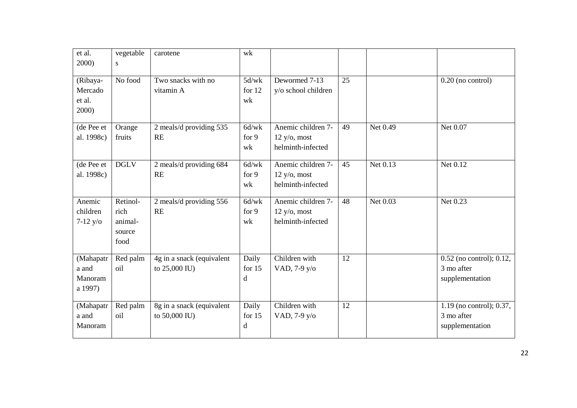| et al.<br>2000)                          | vegetable<br>S                                | carotene                                   | wk                      |                                                            |    |          |                                                              |
|------------------------------------------|-----------------------------------------------|--------------------------------------------|-------------------------|------------------------------------------------------------|----|----------|--------------------------------------------------------------|
| (Ribaya-<br>Mercado<br>et al.<br>2000)   | No food                                       | Two snacks with no<br>vitamin A            | 5d/wk<br>for $12$<br>wk | Dewormed 7-13<br>y/o school children                       | 25 |          | $0.20$ (no control)                                          |
| (de Pee et<br>al. 1998c)                 | Orange<br>fruits                              | 2 meals/d providing 535<br>RE              | 6d/wk<br>for $9$<br>wk  | Anemic children 7-<br>$12 y/o$ , most<br>helminth-infected | 49 | Net 0.49 | Net 0.07                                                     |
| (de Pee et<br>al. 1998c)                 | <b>DGLV</b>                                   | 2 meals/d providing 684<br>RE              | 6d/wk<br>for $9$<br>wk  | Anemic children 7-<br>12 y/o, most<br>helminth-infected    | 45 | Net 0.13 | Net 0.12                                                     |
| Anemic<br>children<br>$7-12 \text{ y/o}$ | Retinol-<br>rich<br>animal-<br>source<br>food | 2 meals/d providing 556<br>RE              | 6d/wk<br>for $9$<br>wk  | Anemic children 7-<br>$12 y/o$ , most<br>helminth-infected | 48 | Net 0.03 | Net 0.23                                                     |
| (Mahapatr<br>a and<br>Manoram<br>a 1997) | Red palm<br>oil                               | 4g in a snack (equivalent<br>to 25,000 IU) | Daily<br>for $15$<br>d  | Children with<br>VAD, 7-9 y/o                              | 12 |          | $0.52$ (no control); 0.12,<br>3 mo after<br>supplementation  |
| (Mahapatr<br>a and<br>Manoram            | Red palm<br>oil                               | 8g in a snack (equivalent<br>to 50,000 IU) | Daily<br>for $15$<br>d  | Children with<br>VAD, 7-9 y/o                              | 12 |          | 1.19 (no control); $0.37$ ,<br>3 mo after<br>supplementation |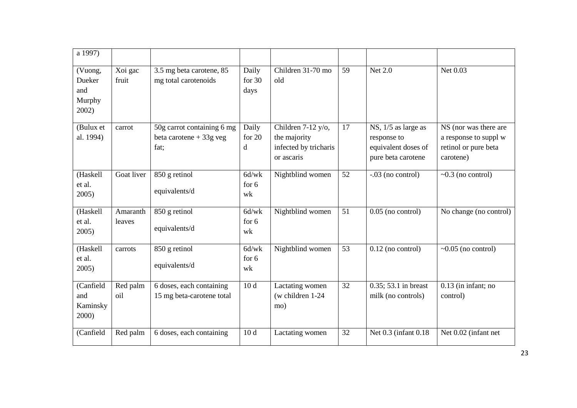| a 1997)                                     |                    |                                                                |                           |                                                                           |    |                                                                                 |                                                                                     |
|---------------------------------------------|--------------------|----------------------------------------------------------------|---------------------------|---------------------------------------------------------------------------|----|---------------------------------------------------------------------------------|-------------------------------------------------------------------------------------|
| (Vuong,<br>Dueker<br>and<br>Murphy<br>2002) | Xoi gac<br>fruit   | 3.5 mg beta carotene, 85<br>mg total carotenoids               | Daily<br>for $30$<br>days | Children 31-70 mo<br>old                                                  | 59 | <b>Net 2.0</b>                                                                  | Net 0.03                                                                            |
| (Bulux et<br>al. 1994)                      | carrot             | 50g carrot containing 6 mg<br>beta carotene $+33g$ veg<br>fat; | Daily<br>for $20$<br>d    | Children 7-12 y/o,<br>the majority<br>infected by tricharis<br>or ascaris | 17 | NS, 1/5 as large as<br>response to<br>equivalent doses of<br>pure beta carotene | NS (nor was there are<br>a response to suppl w<br>retinol or pure beta<br>carotene) |
| (Haskell<br>et al.<br>2005)                 | Goat liver         | 850 g retinol<br>equivalents/d                                 | 6d/wk<br>for $6$<br>wk    | Nightblind women                                                          | 52 | $-0.03$ (no control)                                                            | $\sim 0.3$ (no control)                                                             |
| (Haskell<br>et al.<br>2005)                 | Amaranth<br>leaves | 850 g retinol<br>equivalents/d                                 | 6d/wk<br>for $6$<br>wk    | Nightblind women                                                          | 51 | $0.05$ (no control)                                                             | No change (no control)                                                              |
| (Haskell<br>et al.<br>2005)                 | carrots            | 850 g retinol<br>equivalents/d                                 | 6d/wk<br>for $6$<br>wk    | Nightblind women                                                          | 53 | $0.12$ (no control)                                                             | $\sim 0.05$ (no control)                                                            |
| (Canfield)<br>and<br>Kaminsky<br>2000)      | Red palm<br>oil    | 6 doses, each containing<br>15 mg beta-carotene total          | 10d                       | Lactating women<br>(w children 1-24<br>mo)                                | 32 | 0.35; 53.1 in breast<br>milk (no controls)                                      | $0.13$ (in infant; no<br>control)                                                   |
| (Canfield                                   | Red palm           | 6 doses, each containing                                       | 10 <sub>d</sub>           | Lactating women                                                           | 32 | Net 0.3 (infant 0.18)                                                           | Net 0.02 (infant net                                                                |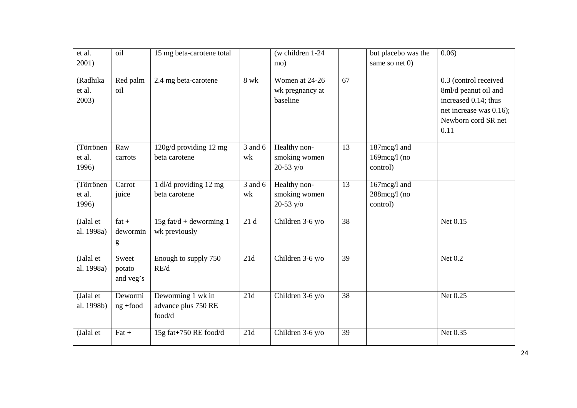| et al.<br>2001)              | oil                          | 15 mg beta-carotene total                          |                   | (w children 1-24<br>mo)                       |                 | but placebo was the<br>same so net 0)          | 0.06)                                                                                                                           |
|------------------------------|------------------------------|----------------------------------------------------|-------------------|-----------------------------------------------|-----------------|------------------------------------------------|---------------------------------------------------------------------------------------------------------------------------------|
| (Radhika<br>et al.<br>2003)  | Red palm<br>oil              | 2.4 mg beta-carotene                               | 8 wk              | Women at 24-26<br>wk pregnancy at<br>baseline | 67              |                                                | 0.3 (control received<br>8ml/d peanut oil and<br>increased 0.14; thus<br>net increase was 0.16);<br>Newborn cord SR net<br>0.11 |
| (Törrönen<br>et al.<br>1996) | Raw<br>carrots               | 120g/d providing 12 mg<br>beta carotene            | 3 and 6<br>wk     | Healthy non-<br>smoking women<br>20-53 $y$ /o | 13              | 187mcg/l and<br>$169$ mcg/ $1$ (no<br>control) |                                                                                                                                 |
| (Törrönen<br>et al.<br>1996) | Carrot<br>juice              | 1 dl/d providing 12 mg<br>beta carotene            | $3$ and $6$<br>wk | Healthy non-<br>smoking women<br>$20-53$ y/o  | 13              | 167mcg/l and<br>$288$ mcg/l $(no$<br>control)  |                                                                                                                                 |
| (Jalal et<br>al. 1998a)      | $fat +$<br>dewormin<br>g     | 15g fat/d + deworming 1<br>wk previously           | $\overline{21d}$  | Children 3-6 y/o                              | $\overline{38}$ |                                                | Net 0.15                                                                                                                        |
| (Jalal et<br>al. 1998a)      | Sweet<br>potato<br>and veg's | Enough to supply 750<br>RE/d                       | 21d               | Children 3-6 y/o                              | 39              |                                                | Net $0.2$                                                                                                                       |
| (Jalal et<br>al. 1998b)      | Dewormi<br>ng +food          | Deworming 1 wk in<br>advance plus 750 RE<br>food/d | 21d               | Children 3-6 y/o                              | $\overline{38}$ |                                                | Net 0.25                                                                                                                        |
| (Jalal et                    | $Fat +$                      | 15g fat+750 RE food/d                              | 21d               | Children 3-6 y/o                              | 39              |                                                | Net 0.35                                                                                                                        |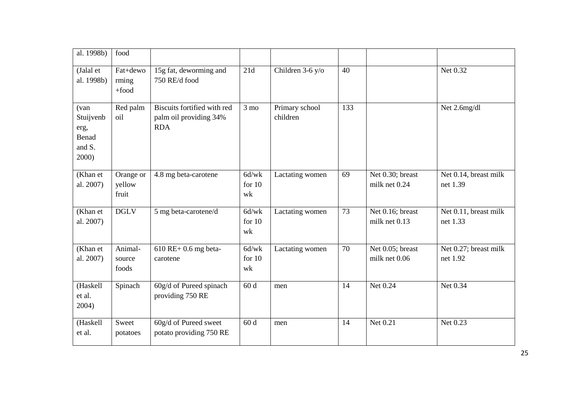| al. 1998b)                                            | food                         |                                                                     |                         |                            |     |                                   |                                   |
|-------------------------------------------------------|------------------------------|---------------------------------------------------------------------|-------------------------|----------------------------|-----|-----------------------------------|-----------------------------------|
| (Jalal et<br>al. 1998b)                               | Fat+dewo<br>rming<br>$+food$ | 15g fat, deworming and<br>750 RE/d food                             | 21d                     | Children 3-6 y/o           | 40  |                                   | Net 0.32                          |
| (van<br>Stuijvenb<br>erg,<br>Benad<br>and S.<br>2000) | Red palm<br>oil              | Biscuits fortified with red<br>palm oil providing 34%<br><b>RDA</b> | $\overline{3}$ mo       | Primary school<br>children | 133 |                                   | Net 2.6mg/dl                      |
| (Khan et<br>al. 2007)                                 | Orange or<br>yellow<br>fruit | 4.8 mg beta-carotene                                                | 6d/wk<br>for $10$<br>wk | Lactating women            | 69  | Net 0.30; breast<br>milk net 0.24 | Net 0.14, breast milk<br>net 1.39 |
| (Khan et<br>al. 2007)                                 | <b>DGLV</b>                  | 5 mg beta-carotene/d                                                | 6d/wk<br>for $10$<br>wk | Lactating women            | 73  | Net 0.16; breast<br>milk net 0.13 | Net 0.11, breast milk<br>net 1.33 |
| (Khan et<br>al. 2007)                                 | Animal-<br>source<br>foods   | 610 RE+ 0.6 mg beta-<br>carotene                                    | 6d/wk<br>for $10$<br>wk | Lactating women            | 70  | Net 0.05; breast<br>milk net 0.06 | Net 0.27; breast milk<br>net 1.92 |
| (Haskell<br>et al.<br>2004)                           | Spinach                      | 60g/d of Pureed spinach<br>providing 750 RE                         | 60d                     | men                        | 14  | Net 0.24                          | Net 0.34                          |
| (Haskell<br>et al.                                    | Sweet<br>potatoes            | 60g/d of Pureed sweet<br>potato providing 750 RE                    | 60d                     | men                        | 14  | Net 0.21                          | Net 0.23                          |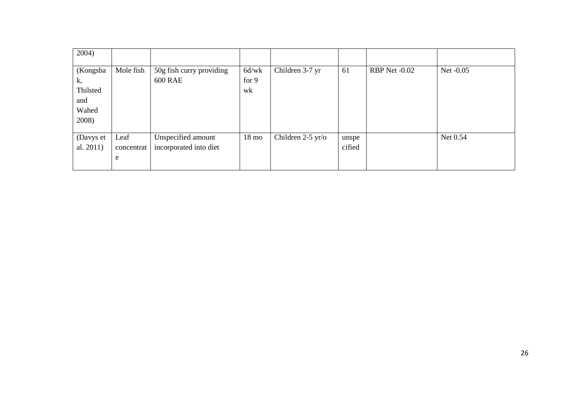| 2004)                                               |                         |                                              |                        |                   |                 |               |           |
|-----------------------------------------------------|-------------------------|----------------------------------------------|------------------------|-------------------|-----------------|---------------|-----------|
| (Kongsba<br>k,<br>Thilsted<br>and<br>Wahed<br>2008) | Mole fish               | 50g fish curry providing<br><b>600 RAE</b>   | 6d/wk<br>for $9$<br>wk | Children 3-7 yr   | 61              | RBP Net -0.02 | Net -0.05 |
| (Davys et<br>al. $2011$ )                           | Leaf<br>concentrat<br>e | Unspecified amount<br>incorporated into diet | $18 \text{ mo}$        | Children 2-5 yr/o | unspe<br>cified |               | Net 0.54  |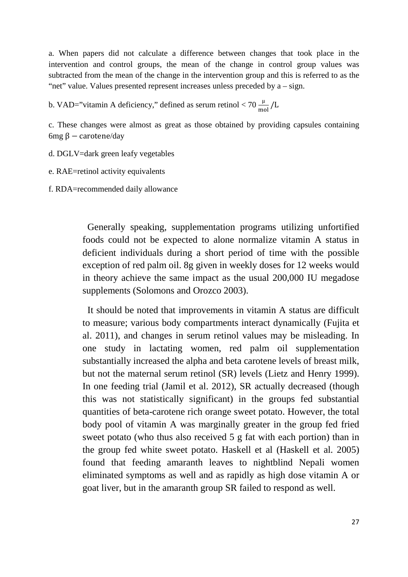a. When papers did not calculate a difference between changes that took place in the intervention and control groups, the mean of the change in control group values was subtracted from the mean of the change in the intervention group and this is referred to as the "net" value. Values presented represent increases unless preceded by a – sign.

b. VAD="vitamin A deficiency," defined as serum retinol  $< 70 \frac{\mu}{\text{mol}}$ /L

c. These changes were almost as great as those obtained by providing capsules containing 6mg β – carotene/day

- d. DGLV=dark green leafy vegetables
- e. RAE=retinol activity equivalents
- f. RDA=recommended daily allowance

Generally speaking, supplementation programs utilizing unfortified foods could not be expected to alone normalize vitamin A status in deficient individuals during a short period of time with the possible exception of red palm oil. 8g given in weekly doses for 12 weeks would in theory achieve the same impact as the usual 200,000 IU megadose supplements [\(Solomons and Orozco 2003\)](#page-66-10).

It should be noted that improvements in vitamin A status are difficult to measure; various body compartments interact dynamically [\(Fujita et](#page-59-8)  [al. 2011\)](#page-59-8), and changes in serum retinol values may be misleading. In one study in lactating women, red palm oil supplementation substantially increased the alpha and beta carotene levels of breast milk, but not the maternal serum retinol (SR) levels [\(Lietz and Henry 1999\)](#page-62-8). In one feeding trial [\(Jamil et al. 2012\)](#page-61-10), SR actually decreased (though this was not statistically significant) in the groups fed substantial quantities of beta-carotene rich orange sweet potato. However, the total body pool of vitamin A was marginally greater in the group fed fried sweet potato (who thus also received 5 g fat with each portion) than in the group fed white sweet potato. Haskell et al [\(Haskell et al. 2005\)](#page-60-10) found that feeding amaranth leaves to nightblind Nepali women eliminated symptoms as well and as rapidly as high dose vitamin A or goat liver, but in the amaranth group SR failed to respond as well.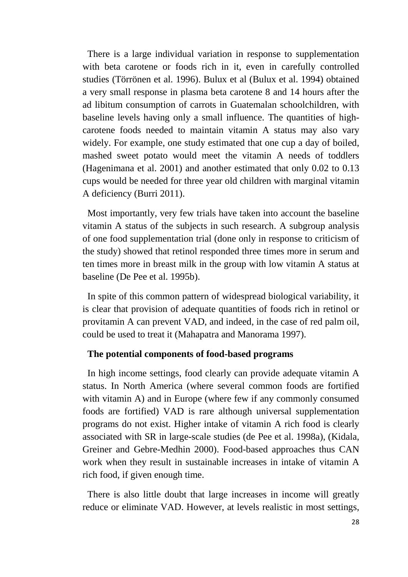There is a large individual variation in response to supplementation with beta carotene or foods rich in it, even in carefully controlled studies [\(Törrönen et al. 1996\)](#page-67-14). Bulux et al [\(Bulux et al. 1994\)](#page-56-12) obtained a very small response in plasma beta carotene 8 and 14 hours after the ad libitum consumption of carrots in Guatemalan schoolchildren, with baseline levels having only a small influence. The quantities of highcarotene foods needed to maintain vitamin A status may also vary widely. For example, one study estimated that one cup a day of boiled, mashed sweet potato would meet the vitamin A needs of toddlers [\(Hagenimana et al. 2001\)](#page-60-11) and another estimated that only 0.02 to 0.13 cups would be needed for three year old children with marginal vitamin A deficiency [\(Burri 2011\)](#page-56-13).

Most importantly, very few trials have taken into account the baseline vitamin A status of the subjects in such research. A subgroup analysis of one food supplementation trial (done only in response to criticism of the study) showed that retinol responded three times more in serum and ten times more in breast milk in the group with low vitamin A status at baseline [\(De Pee et al. 1995b\)](#page-58-12).

In spite of this common pattern of widespread biological variability, it is clear that provision of adequate quantities of foods rich in retinol or provitamin A can prevent VAD, and indeed, in the case of red palm oil, could be used to treat it [\(Mahapatra and Manorama 1997\)](#page-63-9).

#### **The potential components of food-based programs**

In high income settings, food clearly can provide adequate vitamin A status. In North America (where several common foods are fortified with vitamin A) and in Europe (where few if any commonly consumed foods are fortified) VAD is rare although universal supplementation programs do not exist. Higher intake of vitamin A rich food is clearly associated with SR in large-scale studies [\(de Pee et al. 1998a\)](#page-58-2), [\(Kidala,](#page-62-9)  [Greiner and Gebre-Medhin 2000\)](#page-62-9). Food-based approaches thus CAN work when they result in sustainable increases in intake of vitamin A rich food, if given enough time.

There is also little doubt that large increases in income will greatly reduce or eliminate VAD. However, at levels realistic in most settings,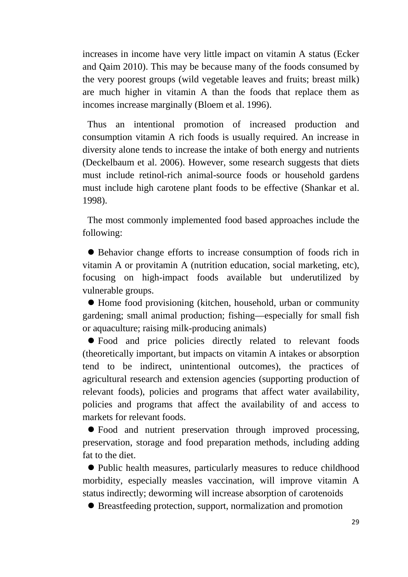increases in income have very little impact on vitamin A status [\(Ecker](#page-58-13)  [and Qaim 2010\)](#page-58-13). This may be because many of the foods consumed by the very poorest groups (wild vegetable leaves and fruits; breast milk) are much higher in vitamin A than the foods that replace them as incomes increase marginally [\(Bloem et al. 1996\)](#page-56-14).

Thus an intentional promotion of increased production and consumption vitamin A rich foods is usually required. An increase in diversity alone tends to increase the intake of both energy and nutrients [\(Deckelbaum et al. 2006\)](#page-58-14). However, some research suggests that diets must include retinol-rich animal-source foods or household gardens must include high carotene plant foods to be effective [\(Shankar et al.](#page-65-10)  [1998\)](#page-65-10).

The most commonly implemented food based approaches include the following:

 Behavior change efforts to increase consumption of foods rich in vitamin A or provitamin A (nutrition education, social marketing, etc), focusing on high-impact foods available but underutilized by vulnerable groups.

 Home food provisioning (kitchen, household, urban or community gardening; small animal production; fishing—especially for small fish or aquaculture; raising milk-producing animals)

 Food and price policies directly related to relevant foods (theoretically important, but impacts on vitamin A intakes or absorption tend to be indirect, unintentional outcomes), the practices of agricultural research and extension agencies (supporting production of relevant foods), policies and programs that affect water availability, policies and programs that affect the availability of and access to markets for relevant foods.

 Food and nutrient preservation through improved processing, preservation, storage and food preparation methods, including adding fat to the diet.

 Public health measures, particularly measures to reduce childhood morbidity, especially measles vaccination, will improve vitamin A status indirectly; deworming will increase absorption of carotenoids

Breastfeeding protection, support, normalization and promotion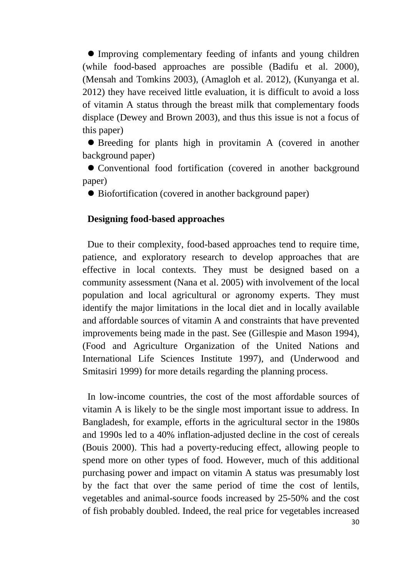Improving complementary feeding of infants and young children (while food-based approaches are possible [\(Badifu et al. 2000\)](#page-55-6), (Mensah [and Tomkins 2003\)](#page-63-10), [\(Amagloh et al. 2012\)](#page-55-7), [\(Kunyanga et al.](#page-62-10)  [2012\)](#page-62-10) they have received little evaluation, it is difficult to avoid a loss of vitamin A status through the breast milk that complementary foods displace [\(Dewey and Brown 2003\)](#page-58-15), and thus this issue is not a focus of this paper)

 Breeding for plants high in provitamin A (covered in another background paper)

 Conventional food fortification (covered in another background paper)

• Biofortification (covered in another background paper)

#### **Designing food-based approaches**

Due to their complexity, food-based approaches tend to require time, patience, and exploratory research to develop approaches that are effective in local contexts. They must be designed based on a community assessment [\(Nana et al. 2005\)](#page-63-11) with involvement of the local population and local agricultural or agronomy experts. They must identify the major limitations in the local diet and in locally available and affordable sources of vitamin A and constraints that have prevented improvements being made in the past. See [\(Gillespie and Mason 1994\)](#page-59-9), [\(Food and Agriculture Organization of the United Nations and](#page-59-10)  [International Life Sciences Institute 1997\)](#page-59-10), and [\(Underwood and](#page-67-15)  [Smitasiri 1999\)](#page-67-15) for more details regarding the planning process.

In low-income countries, the cost of the most affordable sources of vitamin A is likely to be the single most important issue to address. In Bangladesh, for example, efforts in the agricultural sector in the 1980s and 1990s led to a 40% inflation-adjusted decline in the cost of cereals [\(Bouis 2000\)](#page-56-15). This had a poverty-reducing effect, allowing people to spend more on other types of food. However, much of this additional purchasing power and impact on vitamin A status was presumably lost by the fact that over the same period of time the cost of lentils, vegetables and animal-source foods increased by 25-50% and the cost of fish probably doubled. Indeed, the real price for vegetables increased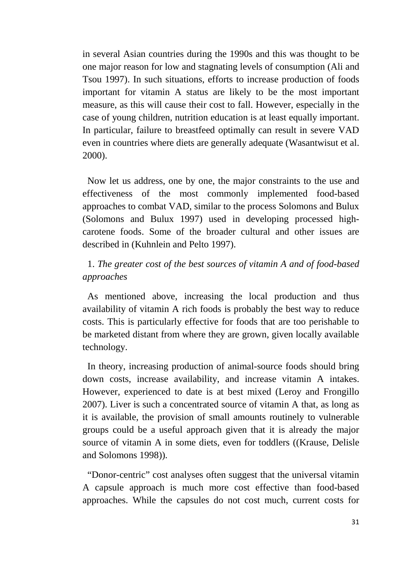in several Asian countries during the 1990s and this was thought to be one major reason for low and stagnating levels of consumption [\(Ali and](#page-55-0)  [Tsou 1997\)](#page-55-0). In such situations, efforts to increase production of foods important for vitamin A status are likely to be the most important measure, as this will cause their cost to fall. However, especially in the case of young children, nutrition education is at least equally important. In particular, failure to breastfeed optimally can result in severe VAD even in countries where diets are generally adequate [\(Wasantwisut et al.](#page-68-0)  [2000\)](#page-68-0).

Now let us address, one by one, the major constraints to the use and effectiveness of the most commonly implemented food-based approaches to combat VAD, similar to the process Solomons and Bulux [\(Solomons and Bulux 1997\)](#page-66-11) used in developing processed highcarotene foods. Some of the broader cultural and other issues are described in [\(Kuhnlein and Pelto 1997\)](#page-62-11).

## 1. *The greater cost of the best sources of vitamin A and of food-based approaches*

As mentioned above, increasing the local production and thus availability of vitamin A rich foods is probably the best way to reduce costs. This is particularly effective for foods that are too perishable to be marketed distant from where they are grown, given locally available technology.

In theory, increasing production of animal-source foods should bring down costs, increase availability, and increase vitamin A intakes. However, experienced to date is at best mixed [\(Leroy and Frongillo](#page-62-12)  [2007\)](#page-62-12). Liver is such a concentrated source of vitamin A that, as long as it is available, the provision of small amounts routinely to vulnerable groups could be a useful approach given that it is already the major source of vitamin A in some diets, even for toddlers ([\(Krause, Delisle](#page-62-13)  [and Solomons 1998\)](#page-62-13)).

"Donor-centric" cost analyses often suggest that the universal vitamin A capsule approach is much more cost effective than food-based approaches. While the capsules do not cost much, current costs for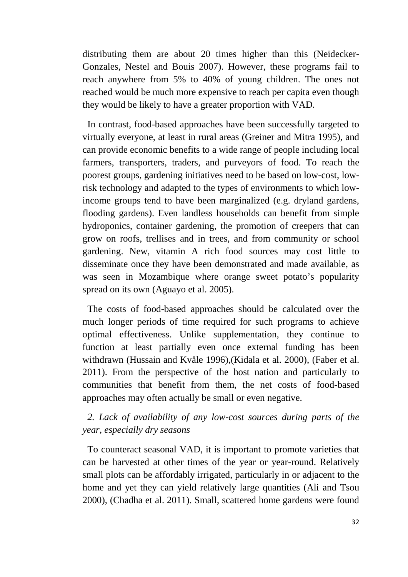distributing them are about 20 times higher than this [\(Neidecker-](#page-64-10)[Gonzales, Nestel and Bouis 2007\)](#page-64-10). However, these programs fail to reach anywhere from 5% to 40% of young children. The ones not reached would be much more expensive to reach per capita even though they would be likely to have a greater proportion with VAD.

In contrast, food-based approaches have been successfully targeted to virtually everyone, at least in rural areas [\(Greiner and Mitra 1995\)](#page-60-5), and can provide economic benefits to a wide range of people including local farmers, transporters, traders, and purveyors of food. To reach the poorest groups, gardening initiatives need to be based on low-cost, lowrisk technology and adapted to the types of environments to which lowincome groups tend to have been marginalized (e.g. dryland gardens, flooding gardens). Even landless households can benefit from simple hydroponics, container gardening, the promotion of creepers that can grow on roofs, trellises and in trees, and from community or school gardening. New, vitamin A rich food sources may cost little to disseminate once they have been demonstrated and made available, as was seen in Mozambique where orange sweet potato's popularity spread on its own [\(Aguayo et al. 2005\)](#page-55-8).

The costs of food-based approaches should be calculated over the much longer periods of time required for such programs to achieve optimal effectiveness. Unlike supplementation, they continue to function at least partially even once external funding has been withdrawn [\(Hussain and Kvåle 1996\)](#page-61-11),[\(Kidala et al. 2000\)](#page-62-9), [\(Faber et al.](#page-59-3)  [2011\)](#page-59-3). From the perspective of the host nation and particularly to communities that benefit from them, the net costs of food-based approaches may often actually be small or even negative.

## *2. Lack of availability of any low-cost sources during parts of the year, especially dry seasons*

To counteract seasonal VAD, it is important to promote varieties that can be harvested at other times of the year or year-round. Relatively small plots can be affordably irrigated, particularly in or adjacent to the home and yet they can yield relatively large quantities [\(Ali and Tsou](#page-55-9)  [2000\)](#page-55-9), [\(Chadha et al. 2011\)](#page-57-4). Small, scattered home gardens were found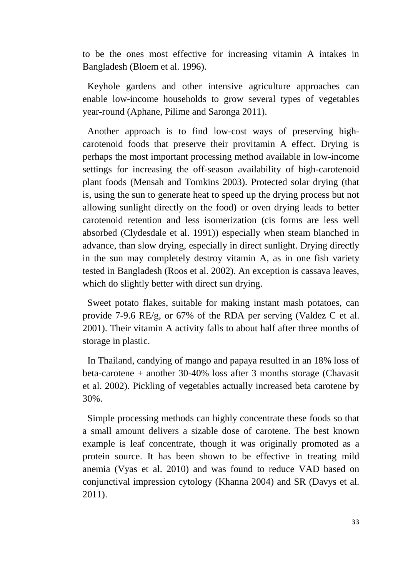to be the ones most effective for increasing vitamin A intakes in Bangladesh [\(Bloem et al. 1996\)](#page-56-14).

Keyhole gardens and other intensive agriculture approaches can enable low-income households to grow several types of vegetables year-round [\(Aphane, Pilime and Saronga 2011\)](#page-55-10).

Another approach is to find low-cost ways of preserving highcarotenoid foods that preserve their provitamin A effect. Drying is perhaps the most important processing method available in low-income settings for increasing the off-season availability of high-carotenoid plant foods [\(Mensah and Tomkins 2003\)](#page-63-10). Protected solar drying (that is, using the sun to generate heat to speed up the drying process but not allowing sunlight directly on the food) or oven drying leads to better carotenoid retention and less isomerization (cis forms are less well absorbed [\(Clydesdale et al. 1991\)](#page-57-11)) especially when steam blanched in advance, than slow drying, especially in direct sunlight. Drying directly in the sun may completely destroy vitamin A, as in one fish variety tested in Bangladesh [\(Roos et al. 2002\)](#page-65-11). An exception is cassava leaves, which do slightly better with direct sun drying.

Sweet potato flakes, suitable for making instant mash potatoes, can provide 7-9.6 RE/g, or 67% of the RDA per serving [\(Valdez C et al.](#page-67-16)  [2001\)](#page-67-16). Their vitamin A activity falls to about half after three months of storage in plastic.

In Thailand, candying of mango and papaya resulted in an 18% loss of beta-carotene + another 30-40% loss after 3 months storage [\(Chavasit](#page-57-12)  [et al. 2002\)](#page-57-12). Pickling of vegetables actually increased beta carotene by 30%.

Simple processing methods can highly concentrate these foods so that a small amount delivers a sizable dose of carotene. The best known example is leaf concentrate, though it was originally promoted as a protein source. It has been shown to be effective in treating mild anemia [\(Vyas et al. 2010\)](#page-68-12) and was found to reduce VAD based on conjunctival impression cytology [\(Khanna 2004\)](#page-61-12) and SR [\(Davys et al.](#page-57-13)  [2011\)](#page-57-13).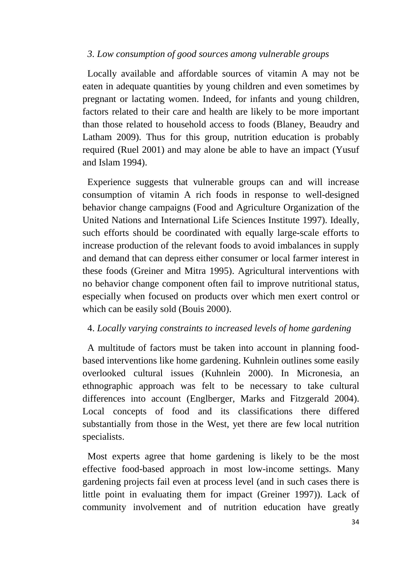#### *3. Low consumption of good sources among vulnerable groups*

Locally available and affordable sources of vitamin A may not be eaten in adequate quantities by young children and even sometimes by pregnant or lactating women. Indeed, for infants and young children, factors related to their care and health are likely to be more important than those related to household access to foods [\(Blaney, Beaudry and](#page-56-16)  [Latham 2009\)](#page-56-16). Thus for this group, nutrition education is probably required [\(Ruel 2001\)](#page-65-4) and may alone be able to have an impact [\(Yusuf](#page-68-13)  [and Islam 1994\)](#page-68-13).

Experience suggests that vulnerable groups can and will increase consumption of vitamin A rich foods in response to well-designed behavior change campaigns [\(Food and Agriculture Organization of the](#page-59-10)  [United Nations and International Life Sciences Institute 1997\)](#page-59-10). Ideally, such efforts should be coordinated with equally large-scale efforts to increase production of the relevant foods to avoid imbalances in supply and demand that can depress either consumer or local farmer interest in these foods [\(Greiner and Mitra 1995\)](#page-60-5). Agricultural interventions with no behavior change component often fail to improve nutritional status, especially when focused on products over which men exert control or which can be easily sold [\(Bouis 2000\)](#page-56-15).

#### 4. *Locally varying constraints to increased levels of home gardening*

A multitude of factors must be taken into account in planning foodbased interventions like home gardening. Kuhnlein outlines some easily overlooked cultural issues [\(Kuhnlein 2000\)](#page-62-14). In Micronesia, an ethnographic approach was felt to be necessary to take cultural differences into account [\(Englberger, Marks and Fitzgerald 2004\)](#page-58-16). Local concepts of food and its classifications there differed substantially from those in the West, yet there are few local nutrition specialists.

Most experts agree that home gardening is likely to be the most effective food-based approach in most low-income settings. Many gardening projects fail even at process level (and in such cases there is little point in evaluating them for impact [\(Greiner 1997\)](#page-60-12)). Lack of community involvement and of nutrition education have greatly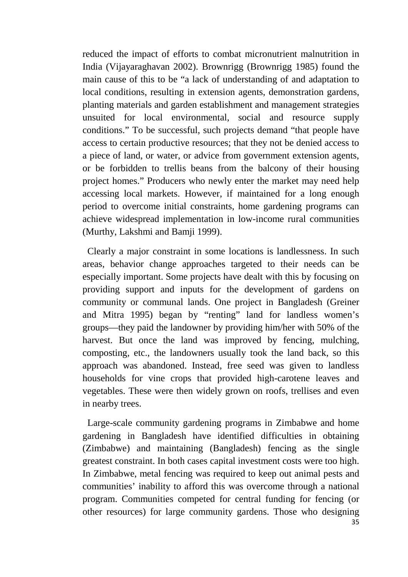reduced the impact of efforts to combat micronutrient malnutrition in India [\(Vijayaraghavan 2002\)](#page-67-8). Brownrigg [\(Brownrigg 1985\)](#page-56-17) found the main cause of this to be "a lack of understanding of and adaptation to local conditions, resulting in extension agents, demonstration gardens, planting materials and garden establishment and management strategies unsuited for local environmental, social and resource supply conditions." To be successful, such projects demand "that people have access to certain productive resources; that they not be denied access to a piece of land, or water, or advice from government extension agents, or be forbidden to trellis beans from the balcony of their housing project homes." Producers who newly enter the market may need help accessing local markets. However, if maintained for a long enough period to overcome initial constraints, home gardening programs can achieve widespread implementation in low-income rural communities [\(Murthy, Lakshmi and Bamji 1999\)](#page-63-12).

Clearly a major constraint in some locations is landlessness. In such areas, behavior change approaches targeted to their needs can be especially important. Some projects have dealt with this by focusing on providing support and inputs for the development of gardens on community or communal lands. One project in Bangladesh [\(Greiner](#page-60-5)  [and Mitra 1995\)](#page-60-5) began by "renting" land for landless women's groups—they paid the landowner by providing him/her with 50% of the harvest. But once the land was improved by fencing, mulching, composting, etc., the landowners usually took the land back, so this approach was abandoned. Instead, free seed was given to landless households for vine crops that provided high-carotene leaves and vegetables. These were then widely grown on roofs, trellises and even in nearby trees.

Large-scale community gardening programs in Zimbabwe and home gardening in Bangladesh have identified difficulties in obtaining (Zimbabwe) and maintaining (Bangladesh) fencing as the single greatest constraint. In both cases capital investment costs were too high. In Zimbabwe, metal fencing was required to keep out animal pests and communities' inability to afford this was overcome through a national program. Communities competed for central funding for fencing (or other resources) for large community gardens. Those who designing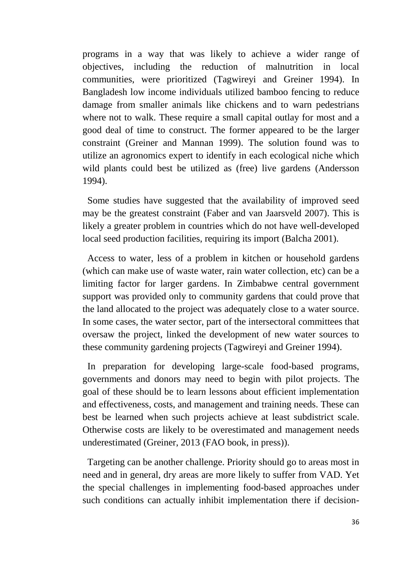programs in a way that was likely to achieve a wider range of objectives, including the reduction of malnutrition in local communities, were prioritized [\(Tagwireyi and Greiner 1994\)](#page-66-12). In Bangladesh low income individuals utilized bamboo fencing to reduce damage from smaller animals like chickens and to warn pedestrians where not to walk. These require a small capital outlay for most and a good deal of time to construct. The former appeared to be the larger constraint [\(Greiner and Mannan 1999\)](#page-60-13). The solution found was to utilize an agronomics expert to identify in each ecological niche which wild plants could best be utilized as (free) live gardens [\(Andersson](#page-55-11)  [1994\)](#page-55-11).

Some studies have suggested that the availability of improved seed may be the greatest constraint [\(Faber and van Jaarsveld 2007\)](#page-59-5). This is likely a greater problem in countries which do not have well-developed local seed production facilities, requiring its import [\(Balcha 2001\)](#page-56-18).

Access to water, less of a problem in kitchen or household gardens (which can make use of waste water, rain water collection, etc) can be a limiting factor for larger gardens. In Zimbabwe central government support was provided only to community gardens that could prove that the land allocated to the project was adequately close to a water source. In some cases, the water sector, part of the intersectoral committees that oversaw the project, linked the development of new water sources to these community gardening projects [\(Tagwireyi and Greiner 1994\)](#page-66-12).

In preparation for developing large-scale food-based programs, governments and donors may need to begin with pilot projects. The goal of these should be to learn lessons about efficient implementation and effectiveness, costs, and management and training needs. These can best be learned when such projects achieve at least subdistrict scale. Otherwise costs are likely to be overestimated and management needs underestimated (Greiner, 2013 (FAO book, in press)).

Targeting can be another challenge. Priority should go to areas most in need and in general, dry areas are more likely to suffer from VAD. Yet the special challenges in implementing food-based approaches under such conditions can actually inhibit implementation there if decision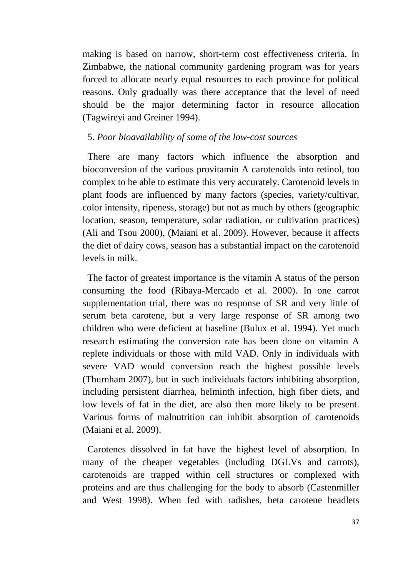making is based on narrow, short-term cost effectiveness criteria. In Zimbabwe, the national community gardening program was for years forced to allocate nearly equal resources to each province for political reasons. Only gradually was there acceptance that the level of need should be the major determining factor in resource allocation [\(Tagwireyi and Greiner 1994\)](#page-66-12).

### 5. *Poor bioavailability of some of the low-cost sources*

There are many factors which influence the absorption and bioconversion of the various provitamin A carotenoids into retinol, too complex to be able to estimate this very accurately. Carotenoid levels in plant foods are influenced by many factors (species, variety/cultivar, color intensity, ripeness, storage) but not as much by others (geographic location, season, temperature, solar radiation, or cultivation practices) [\(Ali and Tsou 2000\)](#page-55-9), [\(Maiani et al. 2009\)](#page-63-13). However, because it affects the diet of dairy cows, season has a substantial impact on the carotenoid levels in milk.

The factor of greatest importance is the vitamin A status of the person consuming the food [\(Ribaya-Mercado et al. 2000\)](#page-65-12). In one carrot supplementation trial, there was no response of SR and very little of serum beta carotene, but a very large response of SR among two children who were deficient at baseline [\(Bulux et al. 1994\)](#page-56-12). Yet much research estimating the conversion rate has been done on vitamin A replete individuals or those with mild VAD. Only in individuals with severe VAD would conversion reach the highest possible levels [\(Thurnham 2007\)](#page-67-17), but in such individuals factors inhibiting absorption, including persistent diarrhea, helminth infection, high fiber diets, and low levels of fat in the diet, are also then more likely to be present. Various forms of malnutrition can inhibit absorption of carotenoids [\(Maiani et al. 2009\)](#page-63-13).

Carotenes dissolved in fat have the highest level of absorption. In many of the cheaper vegetables (including DGLVs and carrots), carotenoids are trapped within cell structures or complexed with proteins and are thus challenging for the body to absorb [\(Castenmiller](#page-57-6)  [and West 1998\)](#page-57-6). When fed with radishes, beta carotene beadlets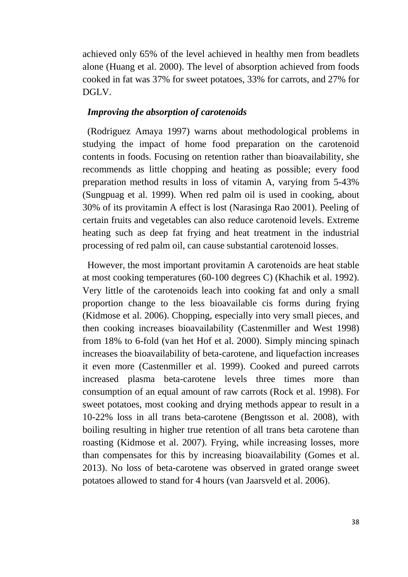achieved only 65% of the level achieved in healthy men from beadlets alone [\(Huang et al. 2000\)](#page-61-13). The level of absorption achieved from foods cooked in fat was 37% for sweet potatoes, 33% for carrots, and 27% for DGLV.

#### *Improving the absorption of carotenoids*

[\(Rodriguez Amaya 1997\)](#page-65-6) warns about methodological problems in studying the impact of home food preparation on the carotenoid contents in foods. Focusing on retention rather than bioavailability, she recommends as little chopping and heating as possible; every food preparation method results in loss of vitamin A, varying from 5-43% [\(Sungpuag et al. 1999\)](#page-66-13). When red palm oil is used in cooking, about 30% of its provitamin A effect is lost [\(Narasinga Rao 2001\)](#page-63-14). Peeling of certain fruits and vegetables can also reduce carotenoid levels. Extreme heating such as deep fat frying and heat treatment in the industrial processing of red palm oil, can cause substantial carotenoid losses.

However, the most important provitamin A carotenoids are heat stable at most cooking temperatures (60-100 degrees C) [\(Khachik et al. 1992\)](#page-61-14). Very little of the carotenoids leach into cooking fat and only a small proportion change to the less bioavailable cis forms during frying [\(Kidmose et al. 2006\)](#page-62-15). Chopping, especially into very small pieces, and then cooking increases bioavailability [\(Castenmiller and West 1998\)](#page-57-6) from 18% to 6-fold [\(van het Hof et al. 2000\)](#page-67-18). Simply mincing spinach increases the bioavailability of beta-carotene, and liquefaction increases it even more [\(Castenmiller et al. 1999\)](#page-57-14). Cooked and pureed carrots increased plasma beta-carotene levels three times more than consumption of an equal amount of raw carrots [\(Rock et al. 1998\)](#page-65-13). For sweet potatoes, most cooking and drying methods appear to result in a 10-22% loss in all trans beta-carotene [\(Bengtsson et al. 2008\)](#page-56-19), with boiling resulting in higher true retention of all trans beta carotene than roasting [\(Kidmose et al. 2007\)](#page-62-16). Frying, while increasing losses, more than compensates for this by increasing bioavailability [\(Gomes et al.](#page-60-14)  [2013\)](#page-60-14). No loss of beta-carotene was observed in grated orange sweet potatoes allowed to stand for 4 hours [\(van Jaarsveld et al. 2006\)](#page-67-19).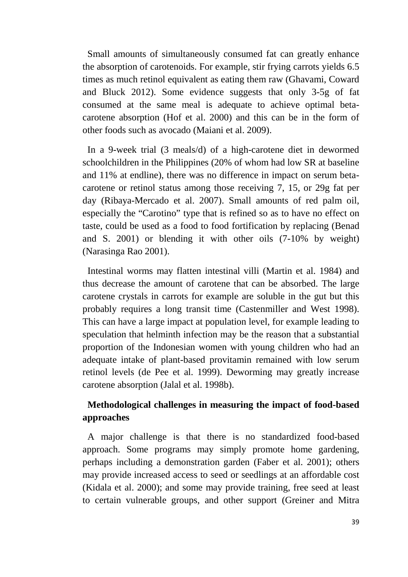Small amounts of simultaneously consumed fat can greatly enhance the absorption of carotenoids. For example, stir frying carrots yields 6.5 times as much retinol equivalent as eating them raw [\(Ghavami, Coward](#page-59-11)  [and Bluck 2012\)](#page-59-11). Some evidence suggests that only 3-5g of fat consumed at the same meal is adequate to achieve optimal betacarotene absorption [\(Hof et al. 2000\)](#page-60-15) and this can be in the form of other foods such as avocado [\(Maiani et al. 2009\)](#page-63-13).

In a 9-week trial (3 meals/d) of a high-carotene diet in dewormed schoolchildren in the Philippines (20% of whom had low SR at baseline and 11% at endline), there was no difference in impact on serum betacarotene or retinol status among those receiving 7, 15, or 29g fat per day [\(Ribaya-Mercado et al. 2007\)](#page-65-0). Small amounts of red palm oil, especially the "Carotino" type that is refined so as to have no effect on taste, could be used as a food to food fortification by replacing [\(Benad](#page-56-20)  [and S. 2001\)](#page-56-20) or blending it with other oils (7-10% by weight) [\(Narasinga Rao 2001\)](#page-63-14).

Intestinal worms may flatten intestinal villi [\(Martin et al. 1984\)](#page-63-15) and thus decrease the amount of carotene that can be absorbed. The large carotene crystals in carrots for example are soluble in the gut but this probably requires a long transit time [\(Castenmiller and West 1998\)](#page-57-6). This can have a large impact at population level, for example leading to speculation that helminth infection may be the reason that a substantial proportion of the Indonesian women with young children who had an adequate intake of plant-based provitamin remained with low serum retinol levels [\(de Pee et al. 1999\)](#page-58-17). Deworming may greatly increase carotene absorption [\(Jalal et al. 1998b\)](#page-61-15).

### **Methodological challenges in measuring the impact of food-based approaches**

A major challenge is that there is no standardized food-based approach. Some programs may simply promote home gardening, perhaps including a demonstration garden [\(Faber et al. 2001\)](#page-59-12); others may provide increased access to seed or seedlings at an affordable cost [\(Kidala et al. 2000\)](#page-62-9); and some may provide training, free seed at least to certain vulnerable groups, and other support [\(Greiner and Mitra](#page-60-5)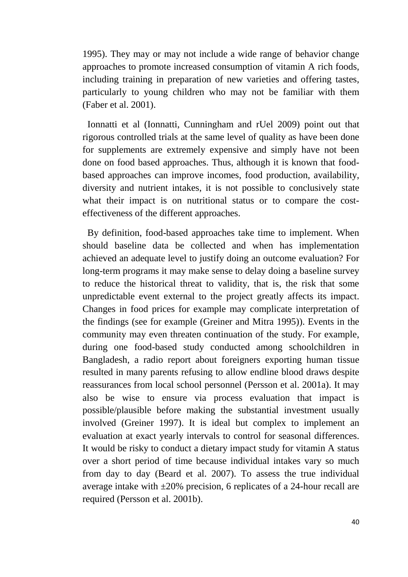1995). They may or may not include a wide range of behavior change approaches to promote increased consumption of vitamin A rich foods, including training in preparation of new varieties and offering tastes, particularly to young children who may not be familiar with them [\(Faber et al. 2001\)](#page-59-12).

Ionnatti et al [\(Ionnatti, Cunningham and rUel 2009\)](#page-61-16) point out that rigorous controlled trials at the same level of quality as have been done for supplements are extremely expensive and simply have not been done on food based approaches. Thus, although it is known that foodbased approaches can improve incomes, food production, availability, diversity and nutrient intakes, it is not possible to conclusively state what their impact is on nutritional status or to compare the costeffectiveness of the different approaches.

By definition, food-based approaches take time to implement. When should baseline data be collected and when has implementation achieved an adequate level to justify doing an outcome evaluation? For long-term programs it may make sense to delay doing a baseline survey to reduce the historical threat to validity, that is, the risk that some unpredictable event external to the project greatly affects its impact. Changes in food prices for example may complicate interpretation of the findings (see for example [\(Greiner and Mitra 1995\)](#page-60-5)). Events in the community may even threaten continuation of the study. For example, during one food-based study conducted among schoolchildren in Bangladesh, a radio report about foreigners exporting human tissue resulted in many parents refusing to allow endline blood draws despite reassurances from local school personnel [\(Persson et al. 2001a\)](#page-64-11). It may also be wise to ensure via process evaluation that impact is possible/plausible before making the substantial investment usually involved [\(Greiner 1997\)](#page-60-12). It is ideal but complex to implement an evaluation at exact yearly intervals to control for seasonal differences. It would be risky to conduct a dietary impact study for vitamin A status over a short period of time because individual intakes vary so much from day to day [\(Beard et al. 2007\)](#page-56-21). To assess the true individual average intake with  $\pm 20\%$  precision, 6 replicates of a 24-hour recall are required [\(Persson et al. 2001b\)](#page-64-12).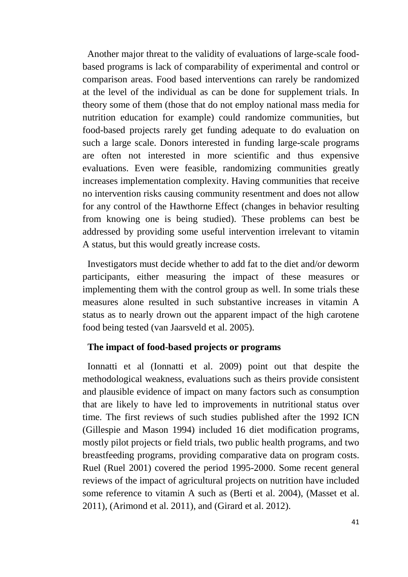Another major threat to the validity of evaluations of large-scale foodbased programs is lack of comparability of experimental and control or comparison areas. Food based interventions can rarely be randomized at the level of the individual as can be done for supplement trials. In theory some of them (those that do not employ national mass media for nutrition education for example) could randomize communities, but food-based projects rarely get funding adequate to do evaluation on such a large scale. Donors interested in funding large-scale programs are often not interested in more scientific and thus expensive evaluations. Even were feasible, randomizing communities greatly increases implementation complexity. Having communities that receive no intervention risks causing community resentment and does not allow for any control of the Hawthorne Effect (changes in behavior resulting from knowing one is being studied). These problems can best be addressed by providing some useful intervention irrelevant to vitamin A status, but this would greatly increase costs.

Investigators must decide whether to add fat to the diet and/or deworm participants, either measuring the impact of these measures or implementing them with the control group as well. In some trials these measures alone resulted in such substantive increases in vitamin A status as to nearly drown out the apparent impact of the high carotene food being tested [\(van Jaarsveld et al. 2005\)](#page-67-1).

#### **The impact of food-based projects or programs**

Ionnatti et al [\(Ionnatti et al. 2009\)](#page-61-16) point out that despite the methodological weakness, evaluations such as theirs provide consistent and plausible evidence of impact on many factors such as consumption that are likely to have led to improvements in nutritional status over time. The first reviews of such studies published after the 1992 ICN [\(Gillespie and Mason 1994\)](#page-59-9) included 16 diet modification programs, mostly pilot projects or field trials, two public health programs, and two breastfeeding programs, providing comparative data on program costs. Ruel [\(Ruel 2001\)](#page-65-4) covered the period 1995-2000. Some recent general reviews of the impact of agricultural projects on nutrition have included some reference to vitamin A such as [\(Berti et al. 2004\)](#page-56-5), [\(Masset et al.](#page-63-5)  [2011\)](#page-63-5), [\(Arimond et al. 2011\)](#page-55-2), and [\(Girard et al. 2012\)](#page-60-16).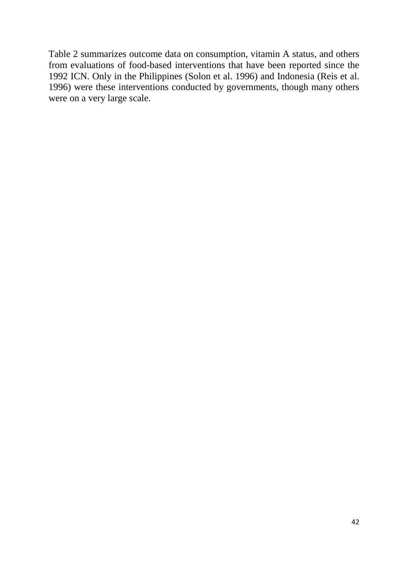Table 2 summarizes outcome data on consumption, vitamin A status, and others from evaluations of food-based interventions that have been reported since the 1992 ICN. Only in the Philippines [\(Solon et al. 1996\)](#page-66-0) and Indonesia [\(Reis et al.](#page-65-14)  [1996\)](#page-65-14) were these interventions conducted by governments, though many others were on a very large scale.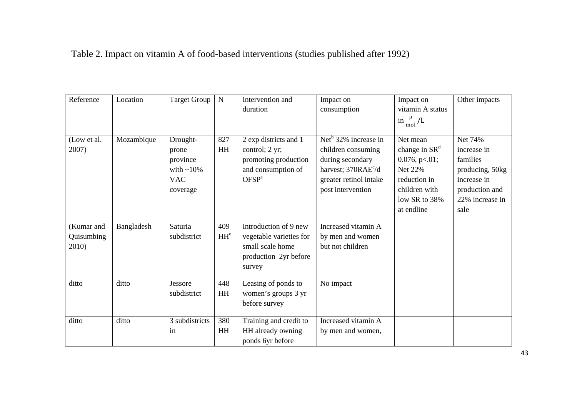Table 2. Impact on vitamin A of food-based interventions (studies published after 1992)

| Reference                         | Location   | <b>Target Group</b>                                                     | $\mathbf N$            | Intervention and<br>duration                                                                               | Impact on<br>consumption                                                                                                                                              | Impact on<br>vitamin A status<br>in $\frac{\mu}{mol}$ /L                                                                              | Other impacts                                                                                                     |
|-----------------------------------|------------|-------------------------------------------------------------------------|------------------------|------------------------------------------------------------------------------------------------------------|-----------------------------------------------------------------------------------------------------------------------------------------------------------------------|---------------------------------------------------------------------------------------------------------------------------------------|-------------------------------------------------------------------------------------------------------------------|
| (Low et al.<br>2007)              | Mozambique | Drought-<br>prone<br>province<br>with $~10\%$<br><b>VAC</b><br>coverage | 827<br>HH              | 2 exp districts and 1<br>control; 2 yr;<br>promoting production<br>and consumption of<br>OFSP <sup>a</sup> | $\overline{\text{Net}^b}$ 32% increase in<br>children consuming<br>during secondary<br>harvest; 370RAE <sup>c</sup> /d<br>greater retinol intake<br>post intervention | Net mean<br>change in $SRd$<br>$0.076$ , p $< 01$ ;<br><b>Net 22%</b><br>reduction in<br>children with<br>low SR to 38%<br>at endline | Net 74%<br>increase in<br>families<br>producing, 50kg<br>increase in<br>production and<br>22% increase in<br>sale |
| (Kumar and<br>Quisumbing<br>2010) | Bangladesh | Saturia<br>subdistrict                                                  | 409<br>HH <sup>e</sup> | Introduction of 9 new<br>vegetable varieties for<br>small scale home<br>production 2yr before<br>survey    | Increased vitamin A<br>by men and women<br>but not children                                                                                                           |                                                                                                                                       |                                                                                                                   |
| ditto                             | ditto      | Jessore<br>subdistrict                                                  | 448<br>HH              | Leasing of ponds to<br>women's groups 3 yr<br>before survey                                                | No impact                                                                                                                                                             |                                                                                                                                       |                                                                                                                   |
| ditto                             | ditto      | 3 subdistricts<br>in                                                    | 380<br>HH              | Training and credit to<br>HH already owning<br>ponds 6yr before                                            | Increased vitamin A<br>by men and women,                                                                                                                              |                                                                                                                                       |                                                                                                                   |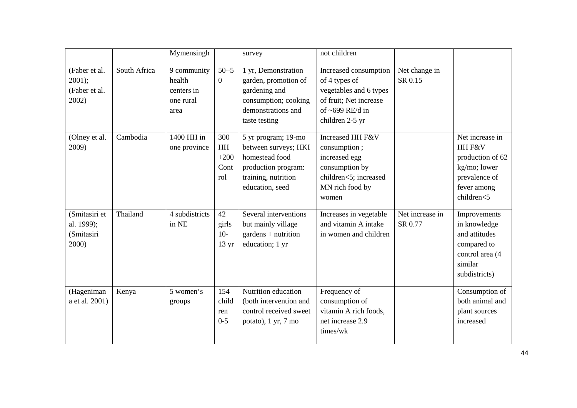|                                                    |              | Mymensingh                                               |                                         | survey                                                                                                                         | not children                                                                                                                           |                            |                                                                                                             |
|----------------------------------------------------|--------------|----------------------------------------------------------|-----------------------------------------|--------------------------------------------------------------------------------------------------------------------------------|----------------------------------------------------------------------------------------------------------------------------------------|----------------------------|-------------------------------------------------------------------------------------------------------------|
| (Faber et al.<br>2001);<br>(Faber et al.<br>2002)  | South Africa | 9 community<br>health<br>centers in<br>one rural<br>area | $50 + 5$<br>$\overline{0}$              | 1 yr, Demonstration<br>garden, promotion of<br>gardening and<br>consumption; cooking<br>demonstrations and<br>taste testing    | Increased consumption<br>of 4 types of<br>vegetables and 6 types<br>of fruit; Net increase<br>of $\sim$ 699 RE/d in<br>children 2-5 yr | Net change in<br>SR 0.15   |                                                                                                             |
| (Olney et al.<br>2009)                             | Cambodia     | 1400 HH in<br>one province                               | 300<br>HH<br>$+200$<br>Cont<br>rol      | 5 yr program; 19-mo<br>between surveys; HKI<br>homestead food<br>production program:<br>training, nutrition<br>education, seed | <b>Increased HH F&amp;V</b><br>consumption;<br>increased egg<br>consumption by<br>children<5; increased<br>MN rich food by<br>women    |                            | Net increase in<br>HH F&V<br>production of 62<br>kg/mo; lower<br>prevalence of<br>fever among<br>children<5 |
| (Smitasiri et<br>al. 1999);<br>(Smitasiri<br>2000) | Thailand     | 4 subdistricts<br>in NE                                  | 42<br>girls<br>$10-$<br>$13 \text{ yr}$ | Several interventions<br>but mainly village<br>$gardens +$ nutrition<br>education; 1 yr                                        | Increases in vegetable<br>and vitamin A intake<br>in women and children                                                                | Net increase in<br>SR 0.77 | Improvements<br>in knowledge<br>and attitudes<br>compared to<br>control area (4<br>similar<br>subdistricts) |
| (Hageniman<br>a et al. 2001)                       | Kenya        | 5 women's<br>groups                                      | 154<br>child<br>ren<br>$0 - 5$          | Nutrition education<br>(both intervention and<br>control received sweet<br>potato), 1 yr, 7 mo                                 | Frequency of<br>consumption of<br>vitamin A rich foods,<br>net increase 2.9<br>times/wk                                                |                            | Consumption of<br>both animal and<br>plant sources<br>increased                                             |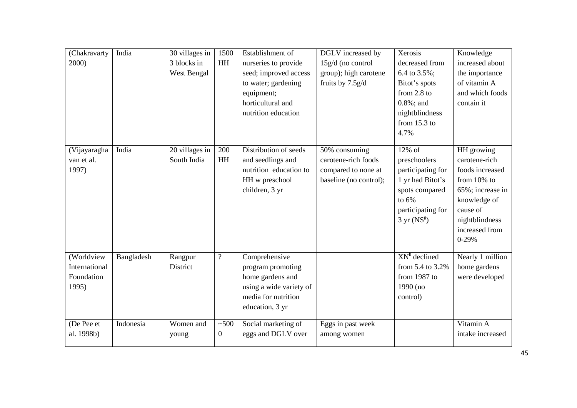| (Chakravarty<br>2000)                             | India      | 30 villages in<br>3 blocks in<br>West Bengal | 1500<br>$\mathbf{H} \mathbf{H}$ | Establishment of<br>nurseries to provide<br>seed; improved access<br>to water; gardening<br>equipment;<br>horticultural and<br>nutrition education | DGLV increased by<br>15g/d (no control<br>group); high carotene<br>fruits by 7.5g/d   | Xerosis<br>decreased from<br>6.4 to 3.5%;<br>Bitot's spots<br>from 2.8 to<br>$0.8\%$ ; and<br>nightblindness<br>from $15.3$ to<br>4.7%                    | Knowledge<br>increased about<br>the importance<br>of vitamin A<br>and which foods<br>contain it                                                               |
|---------------------------------------------------|------------|----------------------------------------------|---------------------------------|----------------------------------------------------------------------------------------------------------------------------------------------------|---------------------------------------------------------------------------------------|-----------------------------------------------------------------------------------------------------------------------------------------------------------|---------------------------------------------------------------------------------------------------------------------------------------------------------------|
| (Vijayaragha<br>van et al.<br>1997)               | India      | 20 villages in<br>South India                | 200<br>HH                       | Distribution of seeds<br>and seedlings and<br>nutrition education to<br>HH w preschool<br>children, 3 yr                                           | 50% consuming<br>carotene-rich foods<br>compared to none at<br>baseline (no control); | $12\%$ of<br>preschoolers<br>participating for<br>1 yr had Bitot's<br>spots compared<br>to $6%$<br>participating for<br>$3 \text{ yr}$ (NS <sup>g</sup> ) | HH growing<br>carotene-rich<br>foods increased<br>from $10\%$ to<br>65%; increase in<br>knowledge of<br>cause of<br>nightblindness<br>increased from<br>0-29% |
| (Worldview<br>International<br>Foundation<br>1995 | Bangladesh | Rangpur<br>District                          | $\overline{\mathcal{L}}$        | Comprehensive<br>program promoting<br>home gardens and<br>using a wide variety of<br>media for nutrition<br>education, 3 yr                        |                                                                                       | $XNh$ declined<br>from 5.4 to 3.2%<br>from 1987 to<br>1990 (no<br>control)                                                                                | Nearly 1 million<br>home gardens<br>were developed                                                                                                            |
| (De Pee et<br>al. 1998b)                          | Indonesia  | Women and<br>young                           | ~100<br>$\boldsymbol{0}$        | Social marketing of<br>eggs and DGLV over                                                                                                          | Eggs in past week<br>among women                                                      |                                                                                                                                                           | Vitamin A<br>intake increased                                                                                                                                 |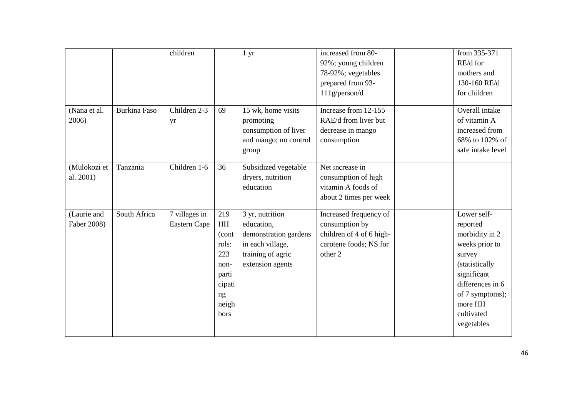|                            |                     | children                      |                                                                                                           | $1 \, yr$                                                                                                           | increased from 80-<br>92%; young children<br>78-92%; vegetables<br>prepared from 93-<br>111g/person/d     | from 335-371<br>RE/d for<br>mothers and<br>130-160 RE/d<br>for children                                                                                                                      |
|----------------------------|---------------------|-------------------------------|-----------------------------------------------------------------------------------------------------------|---------------------------------------------------------------------------------------------------------------------|-----------------------------------------------------------------------------------------------------------|----------------------------------------------------------------------------------------------------------------------------------------------------------------------------------------------|
| (Nana et al.<br>2006)      | <b>Burkina Faso</b> | Children 2-3<br>yr            | 69                                                                                                        | 15 wk, home visits<br>promoting<br>consumption of liver<br>and mango; no control<br>group                           | Increase from 12-155<br>RAE/d from liver but<br>decrease in mango<br>consumption                          | Overall intake<br>of vitamin A<br>increased from<br>68% to 102% of<br>safe intake level                                                                                                      |
| (Mulokozi et<br>al. 2001)  | Tanzania            | Children 1-6                  | 36                                                                                                        | Subsidized vegetable<br>dryers, nutrition<br>education                                                              | Net increase in<br>consumption of high<br>vitamin A foods of<br>about 2 times per week                    |                                                                                                                                                                                              |
| (Laurie and<br>Faber 2008) | South Africa        | 7 villages in<br>Eastern Cape | 219<br>$\mathbf{H} \mathbf{H}$<br>(cont<br>rols:<br>223<br>non-<br>parti<br>cipati<br>ng<br>neigh<br>bors | 3 yr, nutrition<br>education,<br>demonstration gardens<br>in each village,<br>training of agric<br>extension agents | Increased frequency of<br>consumption by<br>children of 4 of 6 high-<br>carotene foods; NS for<br>other 2 | Lower self-<br>reported<br>morbidity in 2<br>weeks prior to<br>survey<br><i>(statistically)</i><br>significant<br>differences in 6<br>of 7 symptoms);<br>more HH<br>cultivated<br>vegetables |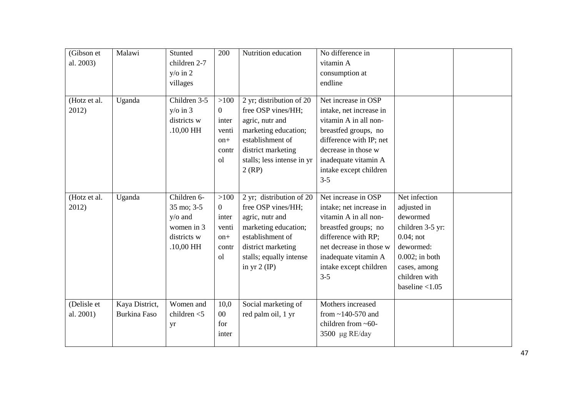| (Gibson et<br>al. 2003)  | Malawi                                | Stunted<br>children 2-7<br>$y/o$ in 2<br>villages                                   | 200                                                                                    | Nutrition education                                                                                                                                                              | No difference in<br>vitamin A<br>consumption at<br>endline                                                                                                                                                     |                                                                                                                                                                      |  |
|--------------------------|---------------------------------------|-------------------------------------------------------------------------------------|----------------------------------------------------------------------------------------|----------------------------------------------------------------------------------------------------------------------------------------------------------------------------------|----------------------------------------------------------------------------------------------------------------------------------------------------------------------------------------------------------------|----------------------------------------------------------------------------------------------------------------------------------------------------------------------|--|
| (Hotz et al.<br>2012)    | Uganda                                | Children 3-5<br>$y/o$ in 3<br>districts w<br>$.10,00$ HH                            | >100<br>$\overline{0}$<br>inter<br>venti<br>$on+$<br>contr<br><sub>ol</sub>            | 2 yr; distribution of 20<br>free OSP vines/HH;<br>agric, nutr and<br>marketing education;<br>establishment of<br>district marketing<br>stalls; less intense in yr<br>$2$ (RP)    | Net increase in OSP<br>intake, net increase in<br>vitamin A in all non-<br>breastfed groups, no<br>difference with IP; net<br>decrease in those w<br>inadequate vitamin A<br>intake except children<br>$3 - 5$ |                                                                                                                                                                      |  |
| (Hotz et al.<br>2012)    | Uganda                                | Children 6-<br>35 mo; 3-5<br>$y$ /o and<br>women in 3<br>districts w<br>$.10,00$ HH | >100<br>$\overline{0}$<br>inter<br>venti<br>$_{\text{on+}}$<br>contr<br><sub>o</sub> l | 2 yr; distribution of 20<br>free OSP vines/HH;<br>agric, nutr and<br>marketing education;<br>establishment of<br>district marketing<br>stalls; equally intense<br>in yr $2$ (IP) | Net increase in OSP<br>intake; net increase in<br>vitamin A in all non-<br>breastfed groups; no<br>difference with RP;<br>net decrease in those w<br>inadequate vitamin A<br>intake except children<br>$3 - 5$ | Net infection<br>adjusted in<br>dewormed<br>children 3-5 yr:<br>$0.04$ ; not<br>dewormed:<br>$0.002$ ; in both<br>cases, among<br>children with<br>baseline $<$ 1.05 |  |
| (Delisle et<br>al. 2001) | Kaya District,<br><b>Burkina Faso</b> | Women and<br>children $<$ 5<br>yr                                                   | 10,0<br>$00\,$<br>for<br>inter                                                         | Social marketing of<br>red palm oil, 1 yr                                                                                                                                        | Mothers increased<br>from $\sim$ 140-570 and<br>children from $~60-$<br>3500 µg RE/day                                                                                                                         |                                                                                                                                                                      |  |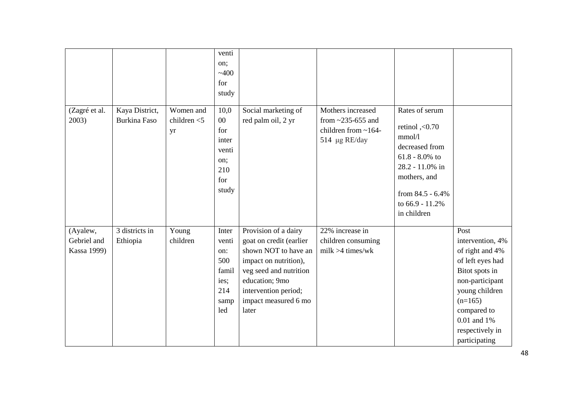| (Zagré et al.<br>2003)  | Kaya District,<br><b>Burkina Faso</b> | Women and<br>children $<$ 5 | venti<br>on:<br>~1400<br>for<br>study<br>10,0<br>$00\,$ | Social marketing of<br>red palm oil, 2 yr                                                                                                          | Mothers increased<br>from $\approx$ 235-655 and | Rates of serum                                                                                                                                              |                                                                                                                                                                           |
|-------------------------|---------------------------------------|-----------------------------|---------------------------------------------------------|----------------------------------------------------------------------------------------------------------------------------------------------------|-------------------------------------------------|-------------------------------------------------------------------------------------------------------------------------------------------------------------|---------------------------------------------------------------------------------------------------------------------------------------------------------------------------|
|                         |                                       | yr                          | for<br>inter<br>venti<br>on;<br>210<br>for<br>study     |                                                                                                                                                    | children from $~164-$<br>514 µg RE/day          | retinol $, <0.70$<br>mmol/l<br>decreased from<br>$61.8 - 8.0\%$ to<br>28.2 - 11.0% in<br>mothers, and<br>from 84.5 - 6.4%<br>to 66.9 - 11.2%<br>in children |                                                                                                                                                                           |
| (Ayalew,<br>Gebriel and | 3 districts in<br>Ethiopia            | Young<br>children           | Inter<br>venti                                          | Provision of a dairy<br>goat on credit (earlier                                                                                                    | 22% increase in<br>children consuming           |                                                                                                                                                             | Post<br>intervention, 4%                                                                                                                                                  |
| Kassa 1999)             |                                       |                             | on:<br>500<br>famil<br>ies;<br>214<br>samp<br>led       | shown NOT to have an<br>impact on nutrition),<br>veg seed and nutrition<br>education; 9mo<br>intervention period;<br>impact measured 6 mo<br>later | milk $>4$ times/wk                              |                                                                                                                                                             | of right and 4%<br>of left eyes had<br>Bitot spots in<br>non-participant<br>young children<br>$(n=165)$<br>compared to<br>0.01 and 1%<br>respectively in<br>participating |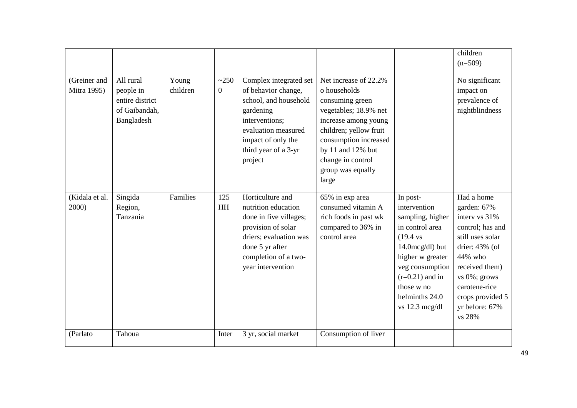|                             |                                                                          |                   |                          |                                                                                                                                                                                       |                                                                                                                                                                                                                                      |                                                                                                                                                                                                                                   | children<br>$(n=509)$                                                                                                                                                                                                 |
|-----------------------------|--------------------------------------------------------------------------|-------------------|--------------------------|---------------------------------------------------------------------------------------------------------------------------------------------------------------------------------------|--------------------------------------------------------------------------------------------------------------------------------------------------------------------------------------------------------------------------------------|-----------------------------------------------------------------------------------------------------------------------------------------------------------------------------------------------------------------------------------|-----------------------------------------------------------------------------------------------------------------------------------------------------------------------------------------------------------------------|
| (Greiner and<br>Mitra 1995) | All rural<br>people in<br>entire district<br>of Gaibandah,<br>Bangladesh | Young<br>children | ~250<br>$\boldsymbol{0}$ | Complex integrated set<br>of behavior change,<br>school, and household<br>gardening<br>interventions;<br>evaluation measured<br>impact of only the<br>third year of a 3-yr<br>project | Net increase of 22.2%<br>o households<br>consuming green<br>vegetables; 18.9% net<br>increase among young<br>children; yellow fruit<br>consumption increased<br>by 11 and 12% but<br>change in control<br>group was equally<br>large |                                                                                                                                                                                                                                   | No significant<br>impact on<br>prevalence of<br>nightblindness                                                                                                                                                        |
| (Kidala et al.<br>2000)     | Singida<br>Region,<br>Tanzania                                           | Families          | 125<br><b>HH</b>         | Horticulture and<br>nutrition education<br>done in five villages;<br>provision of solar<br>driers; evaluation was<br>done 5 yr after<br>completion of a two-<br>year intervention     | 65% in exp area<br>consumed vitamin A<br>rich foods in past wk<br>compared to 36% in<br>control area                                                                                                                                 | In post-<br>intervention<br>sampling, higher<br>in control area<br>$(19.4 \text{ vs }$<br>14.0mcg/dl) but<br>higher w greater<br>veg consumption<br>$(r=0.21)$ and in<br>those w no<br>helminths 24.0<br>vs $12.3 \text{ mcg/dl}$ | Had a home<br>garden: 67%<br>interv vs 31%<br>control; has and<br>still uses solar<br>drier: 43% (of<br>44% who<br>received them)<br>$vs 0\%;$ grows<br>carotene-rice<br>crops provided 5<br>yr before: 67%<br>vs 28% |
| (Parlato                    | Tahoua                                                                   |                   | Inter                    | 3 yr, social market                                                                                                                                                                   | Consumption of liver                                                                                                                                                                                                                 |                                                                                                                                                                                                                                   |                                                                                                                                                                                                                       |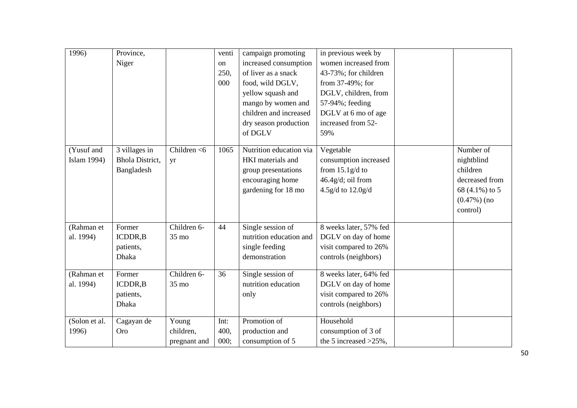| 1996)                                 | Province,<br>Niger                                        |                                             | venti<br>on<br>250,<br>000 | campaign promoting<br>increased consumption<br>of liver as a snack<br>food, wild DGLV,<br>yellow squash and<br>mango by women and<br>children and increased<br>dry season production<br>of DGLV | in previous week by<br>women increased from<br>43-73%; for children<br>from 37-49%; for<br>DGLV, children, from<br>57-94%; feeding<br>DGLV at 6 mo of age<br>increased from 52-<br>59% |                                                                                                       |
|---------------------------------------|-----------------------------------------------------------|---------------------------------------------|----------------------------|-------------------------------------------------------------------------------------------------------------------------------------------------------------------------------------------------|----------------------------------------------------------------------------------------------------------------------------------------------------------------------------------------|-------------------------------------------------------------------------------------------------------|
| (Yusuf and<br>Islam 1994)             | 3 villages in<br><b>Bhola District,</b><br>Bangladesh     | Children <6<br>yr                           | 1065                       | Nutrition education via<br>HKI materials and<br>group presentations<br>encouraging home<br>gardening for 18 mo                                                                                  | Vegetable<br>consumption increased<br>from $15.1g/d$ to<br>$46.4g/d$ ; oil from<br>4.5g/d to 12.0g/d                                                                                   | Number of<br>nightblind<br>children<br>decreased from<br>68 (4.1%) to 5<br>$(0.47\%)$ (no<br>control) |
| (Rahman et<br>al. 1994)<br>(Rahman et | Former<br>ICDDR, B<br>patients,<br>Dhaka<br>Former        | Children 6-<br>35 mo<br>Children 6-         | 44<br>36                   | Single session of<br>nutrition education and<br>single feeding<br>demonstration<br>Single session of                                                                                            | 8 weeks later, 57% fed<br>DGLV on day of home<br>visit compared to 26%<br>controls (neighbors)<br>8 weeks later, 64% fed                                                               |                                                                                                       |
| al. 1994)<br>(Solon et al.<br>1996)   | <b>ICDDR,B</b><br>patients,<br>Dhaka<br>Cagayan de<br>Oro | 35 mo<br>Young<br>children,<br>pregnant and | Int:<br>400,<br>000;       | nutrition education<br>only<br>Promotion of<br>production and<br>consumption of 5                                                                                                               | DGLV on day of home<br>visit compared to 26%<br>controls (neighbors)<br>Household<br>consumption of 3 of<br>the 5 increased $>25\%$ ,                                                  |                                                                                                       |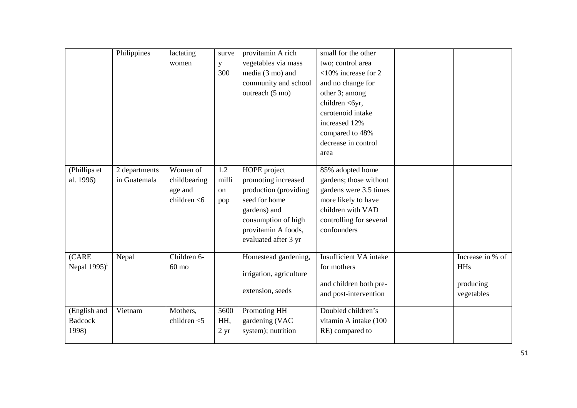|                           | Philippines   | lactating       | surve           | provitamin A rich       | small for the other           |                  |
|---------------------------|---------------|-----------------|-----------------|-------------------------|-------------------------------|------------------|
|                           |               | women           | y               | vegetables via mass     | two; control area             |                  |
|                           |               |                 | 300             | media (3 mo) and        | $<10\%$ increase for 2        |                  |
|                           |               |                 |                 | community and school    | and no change for             |                  |
|                           |               |                 |                 | outreach (5 mo)         | other 3; among                |                  |
|                           |               |                 |                 |                         | children <6yr,                |                  |
|                           |               |                 |                 |                         | carotenoid intake             |                  |
|                           |               |                 |                 |                         | increased 12%                 |                  |
|                           |               |                 |                 |                         | compared to 48%               |                  |
|                           |               |                 |                 |                         | decrease in control           |                  |
|                           |               |                 |                 |                         | area                          |                  |
|                           |               |                 |                 |                         |                               |                  |
| (Phillips et              | 2 departments | Women of        | 1.2             | HOPE project            | 85% adopted home              |                  |
| al. 1996)                 | in Guatemala  | childbearing    | milli           | promoting increased     | gardens; those without        |                  |
|                           |               | age and         | on              | production (providing   | gardens were 3.5 times        |                  |
|                           |               | children $<$ 6  | pop             | seed for home           | more likely to have           |                  |
|                           |               |                 |                 | gardens) and            | children with VAD             |                  |
|                           |               |                 |                 | consumption of high     | controlling for several       |                  |
|                           |               |                 |                 | provitamin A foods,     | confounders                   |                  |
|                           |               |                 |                 | evaluated after 3 yr    |                               |                  |
|                           |               |                 |                 |                         |                               |                  |
| $\overline{\text{CARE}}$  | Nepal         | Children 6-     |                 | Homestead gardening,    | <b>Insufficient VA</b> intake | Increase in % of |
| Nepal $1995$ <sup>i</sup> |               | $60 \text{ mo}$ |                 |                         | for mothers                   | <b>HHs</b>       |
|                           |               |                 |                 | irrigation, agriculture |                               |                  |
|                           |               |                 |                 | extension, seeds        | and children both pre-        | producing        |
|                           |               |                 |                 |                         | and post-intervention         | vegetables       |
| (English and              | Vietnam       | Mothers,        | 5600            | Promoting HH            | Doubled children's            |                  |
| <b>Badcock</b>            |               | children $<$ 5  | HH,             | gardening (VAC          | vitamin A intake (100         |                  |
| 1998)                     |               |                 | 2 <sub>yr</sub> | system); nutrition      | RE) compared to               |                  |
|                           |               |                 |                 |                         |                               |                  |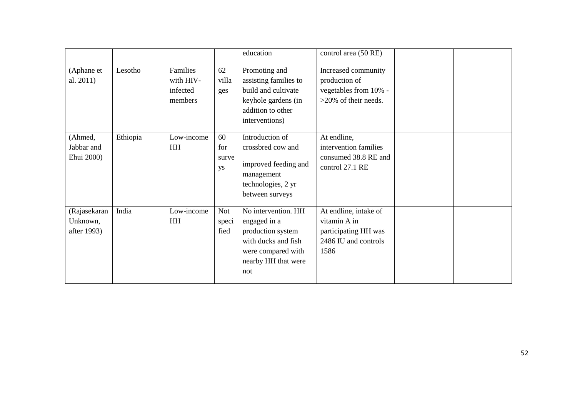|                                         |          |                                              |                             | education                                                                                                                           | control area (50 RE)                                                                          |  |
|-----------------------------------------|----------|----------------------------------------------|-----------------------------|-------------------------------------------------------------------------------------------------------------------------------------|-----------------------------------------------------------------------------------------------|--|
| (Aphane et<br>al. $2011$ )              | Lesotho  | Families<br>with HIV-<br>infected<br>members | 62<br>villa<br>ges          | Promoting and<br>assisting families to<br>build and cultivate<br>keyhole gardens (in<br>addition to other<br>interventions)         | Increased community<br>production of<br>vegetables from 10% -<br>$>20\%$ of their needs.      |  |
| (Ahmed,<br>Jabbar and<br>Ehui 2000)     | Ethiopia | Low-income<br>HH                             | 60<br>for<br>surve<br>ys    | Introduction of<br>crossbred cow and<br>improved feeding and<br>management<br>technologies, 2 yr<br>between surveys                 | At endline,<br>intervention families<br>consumed 38.8 RE and<br>control 27.1 RE               |  |
| (Rajasekaran<br>Unknown,<br>after 1993) | India    | Low-income<br>HH                             | <b>Not</b><br>speci<br>fied | No intervention. HH<br>engaged in a<br>production system<br>with ducks and fish<br>were compared with<br>nearby HH that were<br>not | At endline, intake of<br>vitamin A in<br>participating HH was<br>2486 IU and controls<br>1586 |  |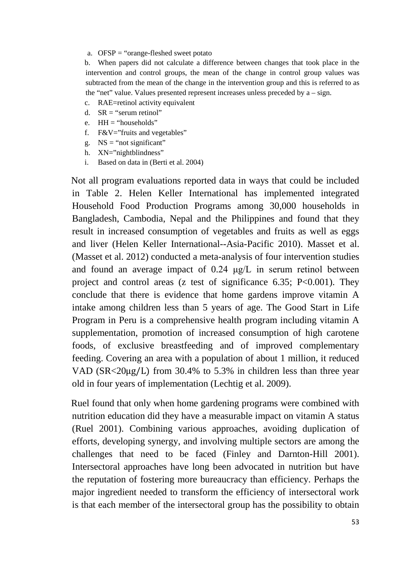a. OFSP = "orange-fleshed sweet potato

b. When papers did not calculate a difference between changes that took place in the intervention and control groups, the mean of the change in control group values was subtracted from the mean of the change in the intervention group and this is referred to as the "net" value. Values presented represent increases unless preceded by  $a - sign$ .

- c. RAE=retinol activity equivalent
- d.  $SR =$  "serum retinol"
- e. HH = "households"
- f.  $F&V=$ "fruits and vegetables"
- g.  $NS = "not significant"$
- h. XN="nightblindness"
- i. Based on data in [\(Berti et al. 2004\)](#page-56-5)

Not all program evaluations reported data in ways that could be included in Table 2. Helen Keller International has implemented integrated Household Food Production Programs among 30,000 households in Bangladesh, Cambodia, Nepal and the Philippines and found that they result in increased consumption of vegetables and fruits as well as eggs and liver [\(Helen Keller International--Asia-Pacific 2010\)](#page-60-20). Masset et al. [\(Masset et al. 2012\)](#page-63-18) conducted a meta-analysis of four intervention studies and found an average impact of 0.24 μg/L in serum retinol between project and control areas (z test of significance 6.35;  $P < 0.001$ ). They conclude that there is evidence that home gardens improve vitamin A intake among children less than 5 years of age. The Good Start in Life Program in Peru is a comprehensive health program including vitamin A supplementation, promotion of increased consumption of high carotene foods, of exclusive breastfeeding and of improved complementary feeding. Covering an area with a population of about 1 million, it reduced VAD (SR<20μg/L) from 30.4% to 5.3% in children less than three year old in four years of implementation [\(Lechtig et al. 2009\)](#page-62-21).

Ruel found that only when home gardening programs were combined with nutrition education did they have a measurable impact on vitamin A status [\(Ruel 2001\)](#page-65-4). Combining various approaches, avoiding duplication of efforts, developing synergy, and involving multiple sectors are among the challenges that need to be faced [\(Finley and Darnton-Hill 2001\)](#page-59-17). Intersectoral approaches have long been advocated in nutrition but have the reputation of fostering more bureaucracy than efficiency. Perhaps the major ingredient needed to transform the efficiency of intersectoral work is that each member of the intersectoral group has the possibility to obtain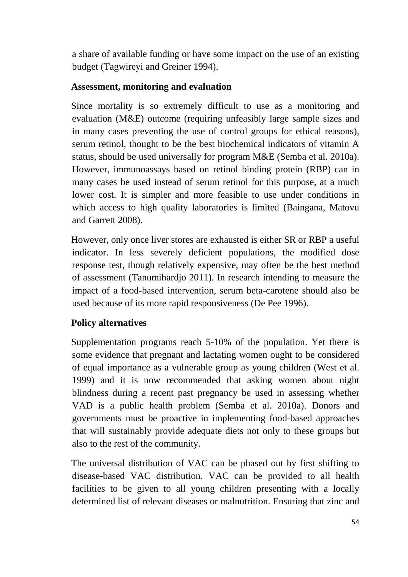a share of available funding or have some impact on the use of an existing budget [\(Tagwireyi and Greiner 1994\)](#page-66-12).

### **Assessment, monitoring and evaluation**

Since mortality is so extremely difficult to use as a monitoring and evaluation (M&E) outcome (requiring unfeasibly large sample sizes and in many cases preventing the use of control groups for ethical reasons), serum retinol, thought to be the best biochemical indicators of vitamin A status, should be used universally for program M&E [\(Semba et al. 2010a\)](#page-65-2). However, immunoassays based on retinol binding protein (RBP) can in many cases be used instead of serum retinol for this purpose, at a much lower cost. It is simpler and more feasible to use under conditions in which access to high quality laboratories is limited [\(Baingana, Matovu](#page-55-15)  [and Garrett 2008\)](#page-55-15).

However, only once liver stores are exhausted is either SR or RBP a useful indicator. In less severely deficient populations, the modified dose response test, though relatively expensive, may often be the best method of assessment [\(Tanumihardjo 2011\)](#page-66-17). In research intending to measure the impact of a food-based intervention, serum beta-carotene should also be used because of its more rapid responsiveness [\(De Pee 1996\)](#page-57-17).

# **Policy alternatives**

Supplementation programs reach 5-10% of the population. Yet there is some evidence that pregnant and lactating women ought to be considered of equal importance as a vulnerable group as young children [\(West et al.](#page-68-17)  [1999\)](#page-68-17) and it is now recommended that asking women about night blindness during a recent past pregnancy be used in assessing whether VAD is a public health problem [\(Semba et al. 2010a\)](#page-65-2). Donors and governments must be proactive in implementing food-based approaches that will sustainably provide adequate diets not only to these groups but also to the rest of the community.

The universal distribution of VAC can be phased out by first shifting to disease-based VAC distribution. VAC can be provided to all health facilities to be given to all young children presenting with a locally determined list of relevant diseases or malnutrition. Ensuring that zinc and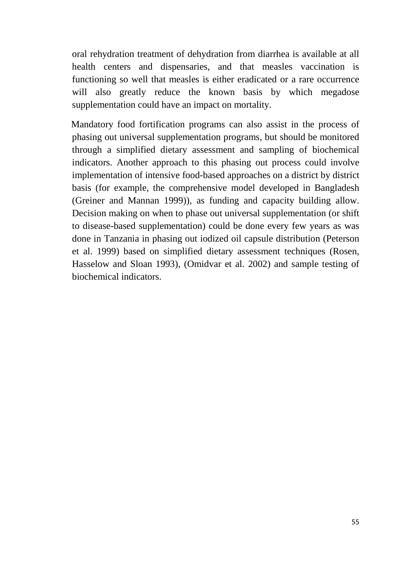oral rehydration treatment of dehydration from diarrhea is available at all health centers and dispensaries, and that measles vaccination is functioning so well that measles is either eradicated or a rare occurrence will also greatly reduce the known basis by which megadose supplementation could have an impact on mortality.

Mandatory food fortification programs can also assist in the process of phasing out universal supplementation programs, but should be monitored through a simplified dietary assessment and sampling of biochemical indicators. Another approach to this phasing out process could involve implementation of intensive food-based approaches on a district by district basis (for example, the comprehensive model developed in Bangladesh [\(Greiner and Mannan 1999\)](#page-60-13)), as funding and capacity building allow. Decision making on when to phase out universal supplementation (or shift to disease-based supplementation) could be done every few years as was done in Tanzania in phasing out iodized oil capsule distribution [\(Peterson](#page-64-1)  [et al. 1999\)](#page-64-1) based on simplified dietary assessment techniques [\(Rosen,](#page-65-16)  [Hasselow and Sloan 1993\)](#page-65-16), [\(Omidvar et al. 2002\)](#page-64-17) and sample testing of biochemical indicators.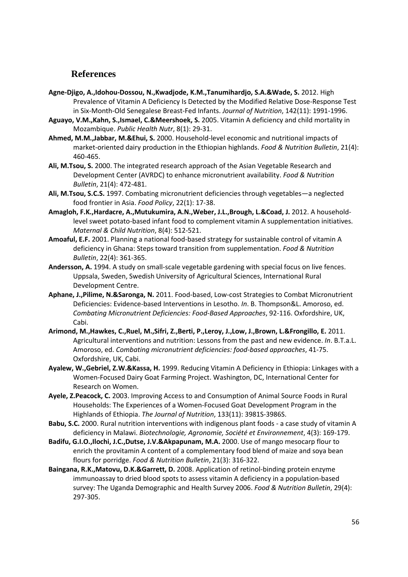#### <span id="page-55-14"></span>**References**

- <span id="page-55-4"></span>**Agne-Djigo, A.,Idohou-Dossou, N.,Kwadjode, K.M.,Tanumihardjo, S.A.&Wade, S.** 2012. High Prevalence of Vitamin A Deficiency Is Detected by the Modified Relative Dose-Response Test in Six-Month-Old Senegalese Breast-Fed Infants. *Journal of Nutrition*, 142(11): 1991-1996.
- <span id="page-55-13"></span><span id="page-55-8"></span>**Aguayo, V.M.,Kahn, S.,Ismael, C.&Meershoek, S.** 2005. Vitamin A deficiency and child mortality in Mozambique. *Public Health Nutr*, 8(1): 29-31.
- **Ahmed, M.M.,Jabbar, M.&Ehui, S.** 2000. Household-level economic and nutritional impacts of market-oriented dairy production in the Ethiopian highlands. *Food & Nutrition Bulletin*, 21(4): 460-465.
- <span id="page-55-9"></span>**Ali, M.Tsou, S.** 2000. The integrated research approach of the Asian Vegetable Research and Development Center (AVRDC) to enhance micronutrient availability. *Food & Nutrition Bulletin*, 21(4): 472-481.
- <span id="page-55-12"></span><span id="page-55-0"></span>**Ali, M.Tsou, S.C.S.** 1997. Combating micronutrient deficiencies through vegetables—a neglected food frontier in Asia. *Food Policy*, 22(1): 17-38.
- <span id="page-55-7"></span>**Amagloh, F.K.,Hardacre, A.,Mutukumira, A.N.,Weber, J.L.,Brough, L.&Coad, J.** 2012. A householdlevel sweet potato-based infant food to complement vitamin A supplementation initiatives. *Maternal & Child Nutrition*, 8(4): 512-521.
- <span id="page-55-1"></span>**Amoaful, E.F.** 2001. Planning a national food-based strategy for sustainable control of vitamin A deficiency in Ghana: Steps toward transition from supplementation. *Food & Nutrition Bulletin*, 22(4): 361-365.
- <span id="page-55-11"></span>**Andersson, A.** 1994. A study on small-scale vegetable gardening with special focus on live fences. Uppsala, Sweden, Swedish University of Agricultural Sciences, International Rural Development Centre.
- <span id="page-55-10"></span>**Aphane, J.,Pilime, N.&Saronga, N.** 2011. Food-based, Low-cost Strategies to Combat Micronutrient Deficiencies: Evidence-based Interventions in Lesotho. *In*. B. Thompson&L. Amoroso, ed. *Combating Micronutrient Deficiencies: Food-Based Approaches*, 92-116. Oxfordshire, UK, Cabi.
- <span id="page-55-2"></span>**Arimond, M.,Hawkes, C.,Ruel, M.,Sifri, Z.,Berti, P.,Leroy, J.,Low, J.,Brown, L.&Frongillo, E.** 2011. Agricultural interventions and nutrition: Lessons from the past and new evidence. *In*. B.T.a.L. Amoroso, ed. *Combating micronutrient deficiencies: food-based approaches*, 41-75. Oxfordshire, UK, Cabi.
- **Ayalew, W.,Gebriel, Z.W.&Kassa, H.** 1999. Reducing Vitamin A Deficiency in Ethiopia: Linkages with a Women-Focused Dairy Goat Farming Project. Washington, DC, International Center for Research on Women.
- <span id="page-55-3"></span>**Ayele, Z.Peacock, C.** 2003. Improving Access to and Consumption of Animal Source Foods in Rural Households: The Experiences of a Women-Focused Goat Development Program in the Highlands of Ethiopia. *The Journal of Nutrition*, 133(11): 3981S-3986S.
- <span id="page-55-5"></span>**Babu, S.C.** 2000. Rural nutrition interventions with indigenous plant foods - a case study of vitamin A deficiency in Malawi. *Biotechnologie, Agronomie, Société et Environnement*, 4(3): 169-179.
- <span id="page-55-6"></span>**Badifu, G.I.O.,Ilochi, J.C.,Dutse, J.V.&Akpapunam, M.A.** 2000. Use of mango mesocarp flour to enrich the provitamin A content of a complementary food blend of maize and soya bean flours for porridge. *Food & Nutrition Bulletin*, 21(3): 316-322.
- <span id="page-55-15"></span>**Baingana, R.K.,Matovu, D.K.&Garrett, D.** 2008. Application of retinol-binding protein enzyme immunoassay to dried blood spots to assess vitamin A deficiency in a population-based survey: The Uganda Demographic and Health Survey 2006. *Food & Nutrition Bulletin*, 29(4): 297-305.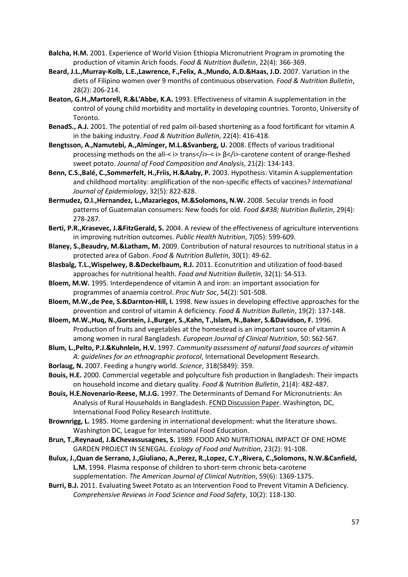- <span id="page-56-18"></span>**Balcha, H.M.** 2001. Experience of World Vision Ethiopia Micronutrient Program in promoting the production of vitamin Arich foods. *Food & Nutrition Bulletin*, 22(4): 366-369.
- <span id="page-56-21"></span>**Beard, J.L.,Murray-Kolb, L.E.,Lawrence, F.,Felix, A.,Mundo, A.D.&Haas, J.D.** 2007. Variation in the diets of Filipino women over 9 months of continuous observation. *Food & Nutrition Bulletin*, 28(2): 206-214.
- <span id="page-56-2"></span>**Beaton, G.H.,Martorell, R.&L'Abbe, K.A.** 1993. Effectiveness of vitamin A supplementation in the control of young child morbidity and mortality in developing countries. Toronto, University of Toronto.
- <span id="page-56-20"></span>**BenadS., A.J.** 2001. The potential of red palm oil-based shortening as a food fortificant for vitamin A in the baking industry. *Food & Nutrition Bulletin*, 22(4): 416-418.
- <span id="page-56-19"></span>**Bengtsson, A.,Namutebi, A.,Alminger, M.L.&Svanberg, U.** 2008. Effects of various traditional processing methods on the all-< i> trans</i>>< i> β</i>  $\frac{\beta}{r}$  carotene content of orange-fleshed sweet potato. *Journal of Food Composition and Analysis*, 21(2): 134-143.
- <span id="page-56-3"></span>**Benn, C.S.,Balé, C.,Sommerfelt, H.,Friis, H.&Aaby, P.** 2003. Hypothesis: Vitamin A supplementation and childhood mortality: amplification of the non-specific effects of vaccines? *International Journal of Epidemiology*, 32(5): 822-828.
- <span id="page-56-0"></span>**Bermudez, O.I.,Hernandez, L.,Mazariegos, M.&Solomons, N.W.** 2008. Secular trends in food patterns of Guatemalan consumers: New foods for old. *Food & Nutrition Bulletin*, 29(4): 278-287.
- <span id="page-56-5"></span>**Berti, P.R.,Krasevec, J.&FitzGerald, S.** 2004. A review of the effectiveness of agriculture interventions in improving nutrition outcomes. *Public Health Nutrition*, 7(05): 599-609.
- <span id="page-56-16"></span>**Blaney, S.,Beaudry, M.&Latham, M.** 2009. Contribution of natural resources to nutritional status in a protected area of Gabon. *Food & Nutrition Bulletin*, 30(1): 49-62.
- <span id="page-56-6"></span>**Blasbalg, T.L.,Wispelwey, B.&Deckelbaum, R.J.** 2011. Econutrition and utilization of food-based approaches for nutritional health. *Food and Nutrition Bulletin*, 32(1): S4-S13.
- <span id="page-56-11"></span><span id="page-56-8"></span>**Bloem, M.W.** 1995. Interdependence of vitamin A and iron: an important association for programmes of anaemia control. *Proc Nutr Soc*, 54(2): 501-508.
- <span id="page-56-1"></span>**Bloem, M.W.,de Pee, S.&Darnton-Hill, I.** 1998. New issues in developing effective approaches for the prevention and control of vitamin A deficiency. *Food & Nutrition Bulletin*, 19(2): 137-148.
- <span id="page-56-14"></span>**Bloem, M.W.,Huq, N.,Gorstein, J.,Burger, S.,Kahn, T.,Islam, N.,Baker, S.&Davidson, F.** 1996. Production of fruits and vegetables at the homestead is an important source of vitamin A among women in rural Bangladesh. *European Journal of Clinical Nutrition*, 50: S62-S67.
- <span id="page-56-10"></span>**Blum, L.,Pelto, P.J.&Kuhnlein, H.V.** 1997. *Community assessment of natural food sources of vitamin A: guidelines for an ethnographic protocol*, International Development Research.
- <span id="page-56-4"></span>**Borlaug, N.** 2007. Feeding a hungry world. *Science*, 318(5849): 359.
- <span id="page-56-15"></span>**Bouis, H.E.** 2000. Commercial vegetable and polyculture fish production in Bangladesh: Their impacts on household income and dietary quality. *Food & Nutrition Bulletin*, 21(4): 482-487.
- <span id="page-56-9"></span>**Bouis, H.E.Novenario-Reese, M.J.G.** 1997. The Determinants of Demand For Micronutrients: An Analysis of Rural Households in Bangladesh. FCND Discussion Paper. Washington, DC, International Food Policy Research Instittute.
- <span id="page-56-17"></span>**Brownrigg, L.** 1985. Home gardening in international development: what the literature shows. Washington DC, League for International Food Education.
- <span id="page-56-7"></span>**Brun, T.,Reynaud, J.&Chevassusagnes, S.** 1989. FOOD AND NUTRITIONAL IMPACT OF ONE HOME GARDEN PROJECT IN SENEGAL. *Ecology of Food and Nutrition*, 23(2): 91-108.
- <span id="page-56-12"></span>**Bulux, J.,Quan de Serrano, J.,Giuliano, A.,Perez, R.,Lopez, C.Y.,Rivera, C.,Solomons, N.W.&Canfield, L.M.** 1994. Plasma response of children to short-term chronic beta-carotene supplementation. *The American Journal of Clinical Nutrition*, 59(6): 1369-1375.
- <span id="page-56-13"></span>**Burri, B.J.** 2011. Evaluating Sweet Potato as an Intervention Food to Prevent Vitamin A Deficiency. *Comprehensive Reviews in Food Science and Food Safety*, 10(2): 118-130.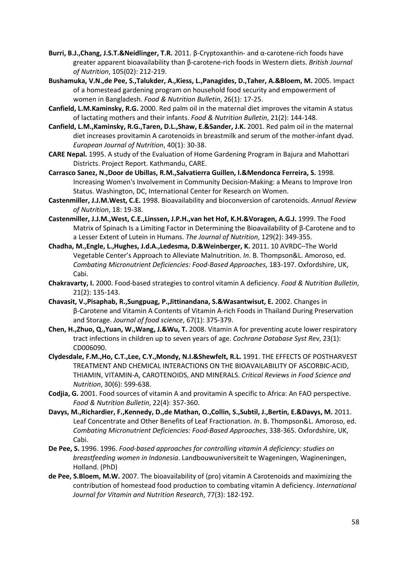- <span id="page-57-16"></span><span id="page-57-9"></span><span id="page-57-8"></span><span id="page-57-5"></span>**Burri, B.J.,Chang, J.S.T.&Neidlinger, T.R.** 2011. β-Cryptoxanthin- and α-carotene-rich foods have greater apparent bioavailability than β-carotene-rich foods in Western diets. *British Journal of Nutrition*, 105(02): 212-219.
- <span id="page-57-2"></span>**Bushamuka, V.N.,de Pee, S.,Talukder, A.,Kiess, L.,Panagides, D.,Taher, A.&Bloem, M.** 2005. Impact of a homestead gardening program on household food security and empowerment of women in Bangladesh. *Food & Nutrition Bulletin*, 26(1): 17-25.
- <span id="page-57-15"></span>**Canfield, L.M.Kaminsky, R.G.** 2000. Red palm oil in the maternal diet improves the vitamin A status of lactating mothers and their infants. *Food & Nutrition Bulletin*, 21(2): 144-148.
- **Canfield, L.M.,Kaminsky, R.G.,Taren, D.L.,Shaw, E.&Sander, J.K.** 2001. Red palm oil in the maternal diet increases provitamin A carotenoids in breastmilk and serum of the mother-infant dyad. *European Journal of Nutrition*, 40(1): 30-38.
- **CARE Nepal.** 1995. A study of the Evaluation of Home Gardening Program in Bajura and Mahottari Districts. Project Report. Kathmandu, CARE.
- <span id="page-57-7"></span>**Carrasco Sanez, N.,Door de Ubillas, R.M.,Salvatierra Guillen, I.&Mendonca Ferreira, S.** 1998. Increasing Women's Involvement in Community Decision-Making: a Means to Improve Iron Status. Washington, DC, International Center for Research on Women.
- <span id="page-57-6"></span>**Castenmiller, J.J.M.West, C.E.** 1998. Bioavailability and bioconversion of carotenoids. *Annual Review of Nutrition*, 18: 19-38.
- <span id="page-57-14"></span>**Castenmiller, J.J.M.,West, C.E.,Linssen, J.P.H.,van het Hof, K.H.&Voragen, A.G.J.** 1999. The Food Matrix of Spinach Is a Limiting Factor in Determining the Bioavailability of β-Carotene and to a Lesser Extent of Lutein in Humans. *The Journal of Nutrition*, 129(2): 349-355.
- <span id="page-57-10"></span><span id="page-57-4"></span>**Chadha, M.,Engle, L.,Hughes, J.d.A.,Ledesma, D.&Weinberger, K.** 2011. 10 AVRDC–The World Vegetable Center's Approach to Alleviate Malnutrition. *In*. B. Thompson&L. Amoroso, ed. *Combating Micronutrient Deficiencies: Food-Based Approaches*, 183-197. Oxfordshire, UK, Cabi.
- **Chakravarty, I.** 2000. Food-based strategies to control vitamin A deficiency. *Food & Nutrition Bulletin*, 21(2): 135-143.
- <span id="page-57-12"></span>**Chavasit, V.,Pisaphab, R.,Sungpuag, P.,Jittinandana, S.&Wasantwisut, E.** 2002. Changes in β‐Carotene and Vitamin A Contents of Vitamin A‐rich Foods in Thailand During Preservation and Storage. *Journal of food science*, 67(1): 375-379.
- <span id="page-57-1"></span>**Chen, H.,Zhuo, Q.,Yuan, W.,Wang, J.&Wu, T.** 2008. Vitamin A for preventing acute lower respiratory tract infections in children up to seven years of age. *Cochrane Database Syst Rev*, 23(1): CD006090.
- <span id="page-57-11"></span>**Clydesdale, F.M.,Ho, C.T.,Lee, C.Y.,Mondy, N.I.&Shewfelt, R.L.** 1991. THE EFFECTS OF POSTHARVEST TREATMENT AND CHEMICAL INTERACTIONS ON THE BIOAVAILABILITY OF ASCORBIC-ACID, THIAMIN, VITAMIN-A, CAROTENOIDS, AND MINERALS. *Critical Reviews in Food Science and Nutrition*, 30(6): 599-638.
- <span id="page-57-3"></span>**Codjia, G.** 2001. Food sources of vitamin A and provitamin A specific to Africa: An FAO perspective. *Food & Nutrition Bulletin*, 22(4): 357-360.
- <span id="page-57-13"></span>**Davys, M.,Richardier, F.,Kennedy, D.,de Mathan, O.,Collin, S.,Subtil, J.,Bertin, E.&Davys, M.** 2011. Leaf Concentrate and Other Benefits of Leaf Fractionation. *In*. B. Thompson&L. Amoroso, ed. *Combating Micronutrient Deficiencies: Food-Based Approaches*, 338-365. Oxfordshire, UK, Cabi.
- <span id="page-57-17"></span>**De Pee, S.** 1996. 1996. *Food-based approaches for controlling vitamin A deficiency: studies on breastfeeding women in Indonesia*. Landbouwuniversiteit te Wageningen, Wagineningen, Holland. (PhD)
- <span id="page-57-0"></span>**de Pee, S.Bloem, M.W.** 2007. The bioavailability of (pro) vitamin A Carotenoids and maximizing the contribution of homestead food production to combating vitamin A deficiency. *International Journal for Vitamin and Nutrition Research*, 77(3): 182-192.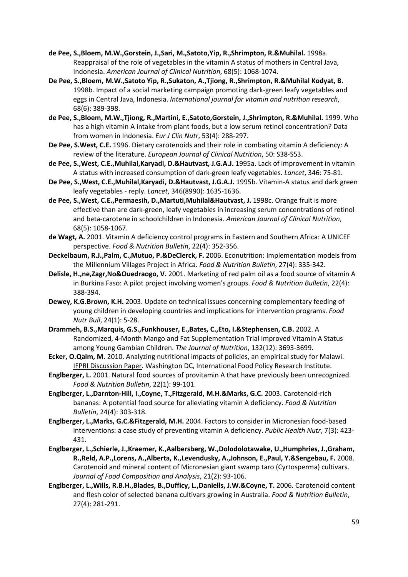- <span id="page-58-18"></span><span id="page-58-11"></span><span id="page-58-10"></span><span id="page-58-2"></span>**de Pee, S.,Bloem, M.W.,Gorstein, J.,Sari, M.,Satoto,Yip, R.,Shrimpton, R.&Muhilal.** 1998a. Reappraisal of the role of vegetables in the vitamin A status of mothers in Central Java, Indonesia. *American Journal of Clinical Nutrition*, 68(5): 1068-1074.
- **De Pee, S.,Bloem, M.W.,Satoto Yip, R.,Sukaton, A.,Tjiong, R.,Shrimpton, R.&Muhilal Kodyat, B.** 1998b. Impact of a social marketing campaign promoting dark-green leafy vegetables and eggs in Central Java, Indonesia. *International journal for vitamin and nutrition research*, 68(6): 389-398.
- <span id="page-58-19"></span><span id="page-58-17"></span>**de Pee, S.,Bloem, M.W.,Tjiong, R.,Martini, E.,Satoto,Gorstein, J.,Shrimpton, R.&Muhilal.** 1999. Who has a high vitamin A intake from plant foods, but a low serum retinol concentration? Data from women in Indonesia. *Eur J Clin Nutr*, 53(4): 288-297.
- <span id="page-58-1"></span>**De Pee, S.West, C.E.** 1996. Dietary carotenoids and their role in combating vitamin A deficiency: A review of the literature. *European Journal of Clinical Nutrition*, 50: S38-S53.
- <span id="page-58-9"></span>**de Pee, S.,West, C.E.,Muhilal,Karyadi, D.&Hautvast, J.G.A.J.** 1995a. Lack of improvement in vitamin A status with increased consumption of dark-green leafy vegetables. *Lancet*, 346: 75-81.
- <span id="page-58-12"></span>**De Pee, S.,West, C.E.,Muhilal,Karyadi, D.&Hautvast, J.G.A.J.** 1995b. Vitamin-A status and dark green leafy vegetables - reply. *Lancet*, 346(8990): 1635-1636.
- <span id="page-58-6"></span>**de Pee, S.,West, C.E.,Permaesih, D.,Martuti,Muhilal&Hautvast, J.** 1998c. Orange fruit is more effective than are dark-green, leafy vegetables in increasing serum concentrations of retinol and beta-carotene in schoolchildren in Indonesia. *American Journal of Clinical Nutrition*, 68(5): 1058-1067.
- <span id="page-58-0"></span>**de Wagt, A.** 2001. Vitamin A deficiency control programs in Eastern and Southern Africa: A UNICEF perspective. *Food & Nutrition Bulletin*, 22(4): 352-356.
- <span id="page-58-14"></span>**Deckelbaum, R.J.,Palm, C.,Mutuo, P.&DeClerck, F.** 2006. Econutrition: Implementation models from the Millennium Villages Project in Africa. *Food & Nutrition Bulletin*, 27(4): 335-342.
- **Delisle, H.,ne,Zagr,No&Ouedraogo, V.** 2001. Marketing of red palm oil as a food source of vitamin A in Burkina Faso: A pilot project involving women's groups. *Food & Nutrition Bulletin*, 22(4): 388-394.
- <span id="page-58-15"></span>**Dewey, K.G.Brown, K.H.** 2003. Update on technical issues concerning complementary feeding of young children in developing countries and implications for intervention programs. *Food Nutr Bull*, 24(1): 5-28.
- <span id="page-58-4"></span>**Drammeh, B.S.,Marquis, G.S.,Funkhouser, E.,Bates, C.,Eto, I.&Stephensen, C.B.** 2002. A Randomized, 4-Month Mango and Fat Supplementation Trial Improved Vitamin A Status among Young Gambian Children. *The Journal of Nutrition*, 132(12): 3693-3699.
- <span id="page-58-13"></span>**Ecker, O.Qaim, M.** 2010. Analyzing nutritional impacts of policies, an empirical study for Malawi. IFPRI Discussion Paper. Washington DC, International Food Policy Research Institute.
- <span id="page-58-7"></span>**Englberger, L.** 2001. Natural food sources of provitamin A that have previously been unrecognized. *Food & Nutrition Bulletin*, 22(1): 99-101.
- <span id="page-58-3"></span>**Englberger, L.,Darnton-Hill, I.,Coyne, T.,Fitzgerald, M.H.&Marks, G.C.** 2003. Carotenoid-rich bananas: A potential food source for alleviating vitamin A deficiency. *Food & Nutrition Bulletin*, 24(4): 303-318.
- <span id="page-58-16"></span>**Englberger, L.,Marks, G.C.&Fitzgerald, M.H.** 2004. Factors to consider in Micronesian food-based interventions: a case study of preventing vitamin A deficiency. *Public Health Nutr*, 7(3): 423- 431.
- <span id="page-58-5"></span>**Englberger, L.,Schierle, J.,Kraemer, K.,Aalbersberg, W.,Dolodolotawake, U.,Humphries, J.,Graham, R.,Reld, A.P.,Lorens, A.,Alberta, K.,Levendusky, A.,Johnson, E.,Paul, Y.&Sengebau, F.** 2008. Carotenoid and mineral content of Micronesian giant swamp taro (Cyrtosperma) cultivars. *Journal of Food Composition and Analysis*, 21(2): 93-106.
- <span id="page-58-8"></span>**Englberger, L.,Wills, R.B.H.,Blades, B.,Dufficy, L.,Daniells, J.W.&Coyne, T.** 2006. Carotenoid content and flesh color of selected banana cultivars growing in Australia. *Food & Nutrition Bulletin*, 27(4): 281-291.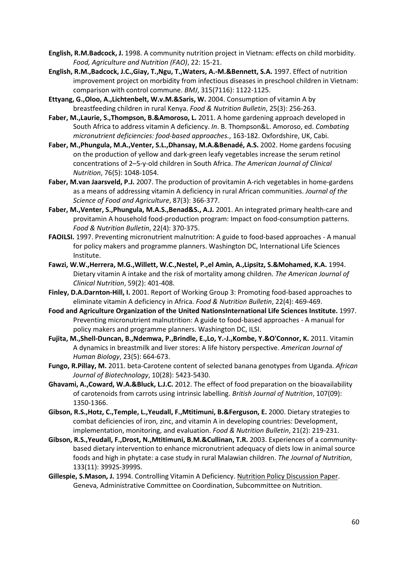- <span id="page-59-16"></span><span id="page-59-14"></span><span id="page-59-13"></span>**English, R.M.Badcock, J.** 1998. A community nutrition project in Vietnam: effects on child morbidity. *Food, Agriculture and Nutrition (FAO)*, 22: 15-21.
- <span id="page-59-1"></span>**English, R.M.,Badcock, J.C.,Giay, T.,Ngu, T.,Waters, A.-M.&Bennett, S.A.** 1997. Effect of nutrition improvement project on morbidity from infectious diseases in preschool children in Vietnam: comparison with control commune. *BMJ*, 315(7116): 1122-1125.
- <span id="page-59-4"></span>**Ettyang, G.,Oloo, A.,Lichtenbelt, W.v.M.&Saris, W.** 2004. Consumption of vitamin A by breastfeeding children in rural Kenya. *Food & Nutrition Bulletin*, 25(3): 256-263.
- <span id="page-59-3"></span>**Faber, M.,Laurie, S.,Thompson, B.&Amoroso, L.** 2011. A home gardening approach developed in South Africa to address vitamin A deficiency. *In*. B. Thompson&L. Amoroso, ed. *Combating micronutrient deficiencies: food-based approaches.*, 163-182. Oxfordshire, UK, Cabi.
- **Faber, M.,Phungula, M.A.,Venter, S.L.,Dhansay, M.A.&Benadé, A.S.** 2002. Home gardens focusing on the production of yellow and dark-green leafy vegetables increase the serum retinol concentrations of 2–5-y-old children in South Africa. *The American Journal of Clinical Nutrition*, 76(5): 1048-1054.
- <span id="page-59-5"></span>**Faber, M.van Jaarsveld, P.J.** 2007. The production of provitamin A-rich vegetables in home-gardens as a means of addressing vitamin A deficiency in rural African communities. *Journal of the Science of Food and Agriculture*, 87(3): 366-377.
- <span id="page-59-12"></span>Faber, M., Venter, S., Phungula, M.A.S., Benad&S., A.J. 2001. An integrated primary health-care and provitamin A household food-production program: Impact on food-consumption patterns. *Food & Nutrition Bulletin*, 22(4): 370-375.
- <span id="page-59-2"></span>**FAOILSI.** 1997. Preventing micronutrient malnutrition: A guide to food-based approaches - A manual for policy makers and programme planners. Washington DC, International Life Sciences Institute.
- <span id="page-59-15"></span><span id="page-59-0"></span>**Fawzi, W.W.,Herrera, M.G.,Willett, W.C.,Nestel, P.,el Amin, A.,Lipsitz, S.&Mohamed, K.A.** 1994. Dietary vitamin A intake and the risk of mortality among children. *The American Journal of Clinical Nutrition*, 59(2): 401-408.
- <span id="page-59-17"></span>**Finley, D.A.Darnton-Hill, I.** 2001. Report of Working Group 3: Promoting food-based approaches to eliminate vitamin A deficiency in Africa. *Food & Nutrition Bulletin*, 22(4): 469-469.
- <span id="page-59-10"></span>**Food and Agriculture Organization of the United NationsInternational Life Sciences Institute.** 1997. Preventing micronutrient malnutrition: A guide to food-based approaches - A manual for policy makers and programme planners. Washington DC, ILSI.
- <span id="page-59-8"></span>**Fujita, M.,Shell-Duncan, B.,Ndemwa, P.,Brindle, E.,Lo, Y.-J.,Kombe, Y.&O'Connor, K.** 2011. Vitamin A dynamics in breastmilk and liver stores: A life history perspective. *American Journal of Human Biology*, 23(5): 664-673.
- <span id="page-59-6"></span>**Fungo, R.Pillay, M.** 2011. beta-Carotene content of selected banana genotypes from Uganda. *African Journal of Biotechnology*, 10(28): 5423-5430.
- <span id="page-59-11"></span>**Ghavami, A.,Coward, W.A.&Bluck, L.J.C.** 2012. The effect of food preparation on the bioavailability of carotenoids from carrots using intrinsic labelling. *British Journal of Nutrition*, 107(09): 1350-1366.
- <span id="page-59-7"></span>**Gibson, R.S.,Hotz, C.,Temple, L.,Yeudall, F.,Mtitimuni, B.&Ferguson, E.** 2000. Dietary strategies to combat deficiencies of iron, zinc, and vitamin A in developing countries: Development, implementation, monitoring, and evaluation. *Food & Nutrition Bulletin*, 21(2): 219-231.
- **Gibson, R.S.,Yeudall, F.,Drost, N.,Mtitimuni, B.M.&Cullinan, T.R.** 2003. Experiences of a communitybased dietary intervention to enhance micronutrient adequacy of diets low in animal source foods and high in phytate: a case study in rural Malawian children. *The Journal of Nutrition*, 133(11): 3992S-3999S.
- <span id="page-59-9"></span>**Gillespie, S.Mason, J.** 1994. Controlling Vitamin A Deficiency. Nutrition Policy Discussion Paper. Geneva, Administrative Committee on Coordination, Subcommittee on Nutrition.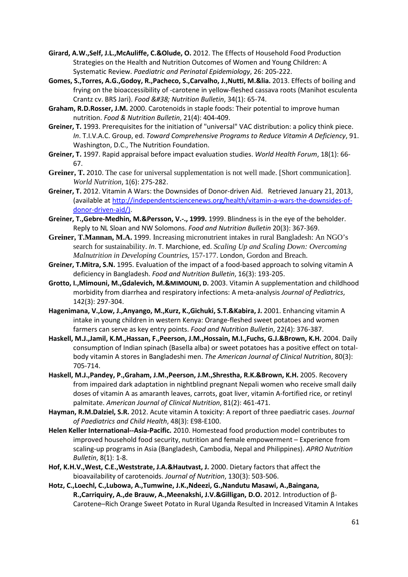- <span id="page-60-16"></span>**Girard, A.W.,Self, J.L.,McAuliffe, C.&Olude, O.** 2012. The Effects of Household Food Production Strategies on the Health and Nutrition Outcomes of Women and Young Children: A Systematic Review. *Paediatric and Perinatal Epidemiology*, 26: 205-222.
- <span id="page-60-14"></span>**Gomes, S.,Torres, A.G.,Godoy, R.,Pacheco, S.,Carvalho, J.,Nutti, M.&lia.** 2013. Effects of boiling and frying on the bioaccessibility of -carotene in yellow-fleshed cassava roots (Manihot esculenta Crantz cv. BRS Jari). *Food & Nutrition Bulletin*, 34(1): 65-74.
- <span id="page-60-19"></span><span id="page-60-7"></span>**Graham, R.D.Rosser, J.M.** 2000. Carotenoids in staple foods: Their potential to improve human nutrition. *Food & Nutrition Bulletin*, 21(4): 404-409.
- <span id="page-60-0"></span>**Greiner, T.** 1993. Prerequisites for the initiation of "universal" VAC distribution: a policy think piece. *In*. T.I.V.A.C. Group, ed. *Toward Comprehensive Programs to Reduce Vitamin A Deficiency*, 91. Washington, D.C., The Nutrition Foundation.
- <span id="page-60-17"></span><span id="page-60-12"></span>**Greiner, T.** 1997. Rapid appraisal before impact evaluation studies. *World Health Forum*, 18(1): 66- 67.
- <span id="page-60-8"></span><span id="page-60-2"></span>**Greiner, T.** 2010. The case for universal supplementation is not well made. [Short communication]. *World Nutrition*, 1(6): 275-282.
- <span id="page-60-1"></span>**Greiner, T.** 2012. Vitamin A Wars: the Downsides of Donor-driven Aid. Retrieved January 21, 2013, (available at [http://independentsciencenews.org/health/vitamin-a-wars-the-downsides-of](http://independentsciencenews.org/health/vitamin-a-wars-the-downsides-of-donor-driven-aid/))[donor-driven-aid/\).](http://independentsciencenews.org/health/vitamin-a-wars-the-downsides-of-donor-driven-aid/))
- <span id="page-60-9"></span><span id="page-60-6"></span>**Greiner, T.,Gebre-Medhin, M.&Persson, V.-., 1999.** 1999. Blindness is in the eye of the beholder. Reply to NL Sloan and NW Solomons. *Food and Nutrition Bulletin* 20(3): 367-369.
- <span id="page-60-13"></span>**Greiner, T.Mannan, M.A.** 1999. Increasing micronutrient intakes in rural Bangladesh: An NGO's search for sustainability. *In*. T. Marchione, ed. *Scaling Up and Scaling Down: Overcoming Malnutrition in Developing Countries*, 157-177. London, Gordon and Breach.
- <span id="page-60-5"></span>**Greiner, T.Mitra, S.N.** 1995. Evaluation of the impact of a food-based approach to solving vitamin A deficiency in Bangladesh. *Food and Nutrition Bulletin*, 16(3): 193-205.
- <span id="page-60-3"></span>**Grotto, I.,Mimouni, M.,Gdalevich, M.&MIMOUNI, D.** 2003. Vitamin A supplementation and childhood morbidity from diarrhea and respiratory infections: A meta-analysis *Journal of Pediatrics*, 142(3): 297-304.
- <span id="page-60-18"></span><span id="page-60-11"></span>**Hagenimana, V.,Low, J.,Anyango, M.,Kurz, K.,Gichuki, S.T.&Kabira, J.** 2001. Enhancing vitamin A intake in young children in western Kenya: Orange-fleshed sweet potatoes and women farmers can serve as key entry points. *Food and Nutrition Bulletin*, 22(4): 376-387.
- **Haskell, M.J.,Jamil, K.M.,Hassan, F.,Peerson, J.M.,Hossain, M.I.,Fuchs, G.J.&Brown, K.H.** 2004. Daily consumption of Indian spinach (Basella alba) or sweet potatoes has a positive effect on totalbody vitamin A stores in Bangladeshi men. *The American Journal of Clinical Nutrition*, 80(3): 705-714.
- <span id="page-60-10"></span>**Haskell, M.J.,Pandey, P.,Graham, J.M.,Peerson, J.M.,Shrestha, R.K.&Brown, K.H.** 2005. Recovery from impaired dark adaptation in nightblind pregnant Nepali women who receive small daily doses of vitamin A as amaranth leaves, carrots, goat liver, vitamin A-fortified rice, or retinyl palmitate. *American Journal of Clinical Nutrition*, 81(2): 461-471.
- <span id="page-60-4"></span>**Hayman, R.M.Dalziel, S.R.** 2012. Acute vitamin A toxicity: A report of three paediatric cases. *Journal of Paediatrics and Child Health*, 48(3): E98-E100.
- <span id="page-60-20"></span>**Helen Keller International--Asia-Pacific.** 2010. Homestead food production model contributes to improved household food security, nutrition and female empowerment – Experience from scaling-up programs in Asia (Bangladesh, Cambodia, Nepal and Philippines). *APRO Nutrition Bulletin*, 8(1): 1-8.
- <span id="page-60-15"></span>**Hof, K.H.V.,West, C.E.,Weststrate, J.A.&Hautvast, J.** 2000. Dietary factors that affect the bioavailability of carotenoids. *Journal of Nutrition*, 130(3): 503-506.
- **Hotz, C.,Loechl, C.,Lubowa, A.,Tumwine, J.K.,Ndeezi, G.,Nandutu Masawi, A.,Baingana, R.,Carriquiry, A.,de Brauw, A.,Meenakshi, J.V.&Gilligan, D.O.** 2012. Introduction of β-Carotene–Rich Orange Sweet Potato in Rural Uganda Resulted in Increased Vitamin A Intakes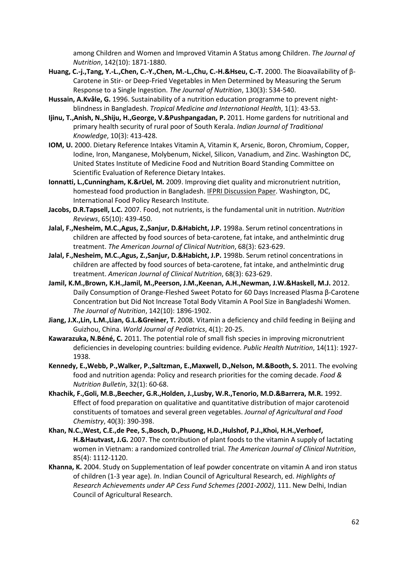among Children and Women and Improved Vitamin A Status among Children. *The Journal of Nutrition*, 142(10): 1871-1880.

- <span id="page-61-13"></span><span id="page-61-7"></span>**Huang, C.-j.,Tang, Y.-L.,Chen, C.-Y.,Chen, M.-L.,Chu, C.-H.&Hseu, C.-T.** 2000. The Bioavailability of β-Carotene in Stir- or Deep-Fried Vegetables in Men Determined by Measuring the Serum Response to a Single Ingestion. *The Journal of Nutrition*, 130(3): 534-540.
- <span id="page-61-11"></span><span id="page-61-8"></span>**Hussain, A.Kvåle, G.** 1996. Sustainability of a nutrition education programme to prevent nightblindness in Bangladesh. *Tropical Medicine and International Health*, 1(1): 43-53.
- <span id="page-61-6"></span><span id="page-61-3"></span>**Ijinu, T.,Anish, N.,Shiju, H.,George, V.&Pushpangadan, P.** 2011. Home gardens for nutritional and primary health security of rural poor of South Kerala. *Indian Journal of Traditional Knowledge*, 10(3): 413-428.
- <span id="page-61-5"></span>**IOM, U.** 2000. Dietary Reference Intakes Vitamin A, Vitamin K, Arsenic, Boron, Chromium, Copper, Iodine, Iron, Manganese, Molybenum, Nickel, Silicon, Vanadium, and Zinc. Washington DC, United States Institute of Medicine Food and Nutrition Board Standing Committee on Scientific Evaluation of Reference Dietary Intakes.
- <span id="page-61-16"></span>**Ionnatti, L.,Cunningham, K.&rUel, M.** 2009. Improving diet quality and micronutrient nutrition, homestead food production in Bangladesh. IFPRI Discussion Paper. Washington, DC, International Food Policy Research Institute.
- <span id="page-61-2"></span>**Jacobs, D.R.Tapsell, L.C.** 2007. Food, not nutrients, is the fundamental unit in nutrition. *Nutrition Reviews*, 65(10): 439-450.
- **Jalal, F.,Nesheim, M.C.,Agus, Z.,Sanjur, D.&Habicht, J.P.** 1998a. Serum retinol concentrations in children are affected by food sources of beta-carotene, fat intake, and anthelmintic drug treatment. *The American Journal of Clinical Nutrition*, 68(3): 623-629.
- <span id="page-61-15"></span><span id="page-61-9"></span>**Jalal, F.,Nesheim, M.C.,Agus, Z.,Sanjur, D.&Habicht, J.P.** 1998b. Serum retinol concentrations in children are affected by food sources of beta-carotene, fat intake, and anthelmintic drug treatment. *American Journal of Clinical Nutrition*, 68(3): 623-629.
- <span id="page-61-10"></span>**Jamil, K.M.,Brown, K.H.,Jamil, M.,Peerson, J.M.,Keenan, A.H.,Newman, J.W.&Haskell, M.J.** 2012. Daily Consumption of Orange-Fleshed Sweet Potato for 60 Days Increased Plasma β-Carotene Concentration but Did Not Increase Total Body Vitamin A Pool Size in Bangladeshi Women. *The Journal of Nutrition*, 142(10): 1896-1902.
- <span id="page-61-4"></span>**Jiang, J.X.,Lin, L.M.,Lian, G.L.&Greiner, T.** 2008. Vitamin a deficiency and child feeding in Beijing and Guizhou, China. *World Journal of Pediatrics*, 4(1): 20-25.
- <span id="page-61-1"></span>**Kawarazuka, N.Béné, C.** 2011. The potential role of small fish species in improving micronutrient deficiencies in developing countries: building evidence. *Public Health Nutrition*, 14(11): 1927- 1938.
- <span id="page-61-0"></span>**Kennedy, E.,Webb, P.,Walker, P.,Saltzman, E.,Maxwell, D.,Nelson, M.&Booth, S.** 2011. The evolving food and nutrition agenda: Policy and research priorities for the coming decade. *Food & Nutrition Bulletin*, 32(1): 60-68.
- <span id="page-61-14"></span>**Khachik, F.,Goli, M.B.,Beecher, G.R.,Holden, J.,Lusby, W.R.,Tenorio, M.D.&Barrera, M.R.** 1992. Effect of food preparation on qualitative and quantitative distribution of major carotenoid constituents of tomatoes and several green vegetables. *Journal of Agricultural and Food Chemistry*, 40(3): 390-398.
- **Khan, N.C.,West, C.E.,de Pee, S.,Bosch, D.,Phuong, H.D.,Hulshof, P.J.,Khoi, H.H.,Verhoef, H.&Hautvast, J.G.** 2007. The contribution of plant foods to the vitamin A supply of lactating women in Vietnam: a randomized controlled trial. *The American Journal of Clinical Nutrition*, 85(4): 1112-1120.
- <span id="page-61-12"></span>**Khanna, K.** 2004. Study on Supplementation of leaf powder concentrate on vitamin A and iron status of children (1-3 year age). *In*. Indian Council of Agricultural Research, ed. *Highlights of Research Achievements under AP Cess Fund Schemes (2001-2002)*, 111. New Delhi, Indian Council of Agricultural Research.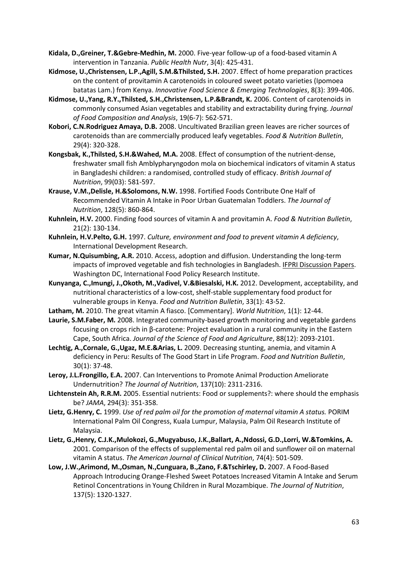- <span id="page-62-20"></span><span id="page-62-9"></span><span id="page-62-7"></span>**Kidala, D.,Greiner, T.&Gebre-Medhin, M.** 2000. Five-year follow-up of a food-based vitamin A intervention in Tanzania. *Public Health Nutr*, 3(4): 425-431.
- <span id="page-62-16"></span>**Kidmose, U.,Christensen, L.P.,Agill, S.M.&Thilsted, S.H.** 2007. Effect of home preparation practices on the content of provitamin A carotenoids in coloured sweet potato varieties (Ipomoea batatas Lam.) from Kenya. *Innovative Food Science & Emerging Technologies*, 8(3): 399-406.
- <span id="page-62-18"></span><span id="page-62-15"></span>**Kidmose, U.,Yang, R.Y.,Thilsted, S.H.,Christensen, L.P.&Brandt, K.** 2006. Content of carotenoids in commonly consumed Asian vegetables and stability and extractability during frying. *Journal of Food Composition and Analysis*, 19(6-7): 562-571.
- <span id="page-62-5"></span>**Kobori, C.N.Rodriguez Amaya, D.B.** 2008. Uncultivated Brazilian green leaves are richer sources of carotenoids than are commercially produced leafy vegetables. *Food & Nutrition Bulletin*, 29(4): 320-328.
- <span id="page-62-19"></span>**Kongsbak, K.,Thilsted, S.H.&Wahed, M.A.** 2008. Effect of consumption of the nutrient-dense, freshwater small fish Amblypharyngodon mola on biochemical indicators of vitamin A status in Bangladeshi children: a randomised, controlled study of efficacy. *British Journal of Nutrition*, 99(03): 581-597.
- <span id="page-62-13"></span>**Krause, V.M.,Delisle, H.&Solomons, N.W.** 1998. Fortified Foods Contribute One Half of Recommended Vitamin A Intake in Poor Urban Guatemalan Toddlers. *The Journal of Nutrition*, 128(5): 860-864.
- <span id="page-62-14"></span>**Kuhnlein, H.V.** 2000. Finding food sources of vitamin A and provitamin A. *Food & Nutrition Bulletin*, 21(2): 130-134.
- <span id="page-62-11"></span>**Kuhnlein, H.V.Pelto, G.H.** 1997. *Culture, environment and food to prevent vitamin A deficiency*, International Development Research.
- **Kumar, N.Quisumbing, A.R.** 2010. Access, adoption and diffusion. Understanding the long-term impacts of improved vegetable and fish technologies in Bangladesh. IFPRI Discussion Papers. Washington DC, International Food Policy Research Institute.
- <span id="page-62-10"></span><span id="page-62-6"></span>**Kunyanga, C.,Imungi, J.,Okoth, M.,Vadivel, V.&Biesalski, H.K.** 2012. Development, acceptability, and nutritional characteristics of a low-cost, shelf-stable supplementary food product for vulnerable groups in Kenya. *Food and Nutrition Bulletin*, 33(1): 43-52.
- <span id="page-62-17"></span><span id="page-62-0"></span>**Latham, M.** 2010. The great vitamin A fiasco. [Commentary]. *World Nutrition*, 1(1): 12-44.
- <span id="page-62-2"></span>**Laurie, S.M.Faber, M.** 2008. Integrated community-based growth monitoring and vegetable gardens focusing on crops rich in β-carotene: Project evaluation in a rural community in the Eastern Cape, South Africa. *Journal of the Science of Food and Agriculture*, 88(12): 2093-2101.
- <span id="page-62-21"></span>**Lechtig, A.,Cornale, G.,Ugaz, M.E.&Arias, L.** 2009. Decreasing stunting, anemia, and vitamin A deficiency in Peru: Results of The Good Start in Life Program. *Food and Nutrition Bulletin*, 30(1): 37-48.
- <span id="page-62-12"></span>**Leroy, J.L.Frongillo, E.A.** 2007. Can Interventions to Promote Animal Production Ameliorate Undernutrition? *The Journal of Nutrition*, 137(10): 2311-2316.
- <span id="page-62-1"></span>**Lichtenstein Ah, R.R.M.** 2005. Essential nutrients: Food or supplements?: where should the emphasis be? *JAMA*, 294(3): 351-358.
- <span id="page-62-8"></span>**Lietz, G.Henry, C.** 1999. *Use of red palm oil for the promotion of maternal vitamin A status.* PORIM International Palm Oil Congress, Kuala Lumpur, Malaysia, Palm Oil Research Institute of Malaysia.
- <span id="page-62-3"></span>**Lietz, G.,Henry, C.J.K.,Mulokozi, G.,Mugyabuso, J.K.,Ballart, A.,Ndossi, G.D.,Lorri, W.&Tomkins, A.** 2001. Comparison of the effects of supplemental red palm oil and sunflower oil on maternal vitamin A status. *The American Journal of Clinical Nutrition*, 74(4): 501-509.
- <span id="page-62-4"></span>**Low, J.W.,Arimond, M.,Osman, N.,Cunguara, B.,Zano, F.&Tschirley, D.** 2007. A Food-Based Approach Introducing Orange-Fleshed Sweet Potatoes Increased Vitamin A Intake and Serum Retinol Concentrations in Young Children in Rural Mozambique. *The Journal of Nutrition*, 137(5): 1320-1327.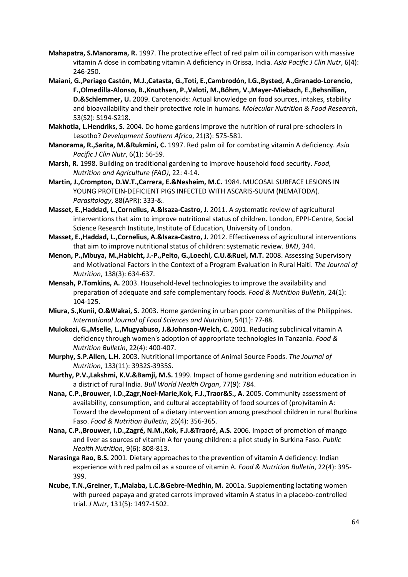- <span id="page-63-9"></span><span id="page-63-8"></span><span id="page-63-7"></span>**Mahapatra, S.Manorama, R.** 1997. The protective effect of red palm oil in comparison with massive vitamin A dose in combating vitamin A deficiency in Orissa, India. *Asia Pacific J Clin Nutr*, 6(4): 246-250.
- <span id="page-63-13"></span>**Maiani, G.,Periago Castón, M.J.,Catasta, G.,Toti, E.,Cambrodón, I.G.,Bysted, A.,Granado-Lorencio, F.,Olmedilla-Alonso, B.,Knuthsen, P.,Valoti, M.,Böhm, V.,Mayer-Miebach, E.,Behsnilian, D.&Schlemmer, U.** 2009. Carotenoids: Actual knowledge on food sources, intakes, stability and bioavailability and their protective role in humans. *Molecular Nutrition & Food Research*, 53(S2): S194-S218.
- <span id="page-63-3"></span>**Makhotla, L.Hendriks, S.** 2004. Do home gardens improve the nutrition of rural pre-schoolers in Lesotho? *Development Southern Africa*, 21(3): 575-581.
- **Manorama, R.,Sarita, M.&Rukmini, C.** 1997. Red palm oil for combating vitamin A deficiency. *Asia Pacific J Clin Nutr*, 6(1): 56-59.
- <span id="page-63-17"></span><span id="page-63-4"></span>**Marsh, R.** 1998. Building on traditional gardening to improve household food security. *Food, Nutrition and Agriculture (FAO)*, 22: 4-14.
- <span id="page-63-15"></span>**Martin, J.,Crompton, D.W.T.,Carrera, E.&Nesheim, M.C.** 1984. MUCOSAL SURFACE LESIONS IN YOUNG PROTEIN-DEFICIENT PIGS INFECTED WITH ASCARIS-SUUM (NEMATODA). *Parasitology*, 88(APR): 333-&.
- <span id="page-63-5"></span>**Masset, E.,Haddad, L.,Cornelius, A.&Isaza-Castro, J.** 2011. A systematic review of agricultural interventions that aim to improve nutritional status of children. London, EPPI-Centre, Social Science Research Institute, Institute of Education, University of London.
- <span id="page-63-18"></span>**Masset, E.,Haddad, L.,Cornelius, A.&Isaza-Castro, J.** 2012. Effectiveness of agricultural interventions that aim to improve nutritional status of children: systematic review. *BMJ*, 344.
- <span id="page-63-16"></span><span id="page-63-1"></span>**Menon, P.,Mbuya, M.,Habicht, J.-P.,Pelto, G.,Loechl, C.U.&Ruel, M.T.** 2008. Assessing Supervisory and Motivational Factors in the Context of a Program Evaluation in Rural Haiti. *The Journal of Nutrition*, 138(3): 634-637.
- <span id="page-63-10"></span>**Mensah, P.Tomkins, A.** 2003. Household-level technologies to improve the availability and preparation of adequate and safe complementary foods. *Food & Nutrition Bulletin*, 24(1): 104-125.
- <span id="page-63-6"></span><span id="page-63-0"></span>**Miura, S.,Kunii, O.&Wakai, S.** 2003. Home gardening in urban poor communities of the Philippines. *International Journal of Food Sciences and Nutrition*, 54(1): 77-88.
- **Mulokozi, G.,Mselle, L.,Mugyabuso, J.&Johnson-Welch, C.** 2001. Reducing subclinical vitamin A deficiency through women's adoption of appropriate technologies in Tanzania. *Food & Nutrition Bulletin*, 22(4): 400-407.
- <span id="page-63-2"></span>**Murphy, S.P.Allen, L.H.** 2003. Nutritional Importance of Animal Source Foods. *The Journal of Nutrition*, 133(11): 3932S-3935S.
- <span id="page-63-12"></span>**Murthy, P.V.,Lakshmi, K.V.&Bamji, M.S.** 1999. Impact of home gardening and nutrition education in a district of rural India. *Bull World Health Organ*, 77(9): 784.
- <span id="page-63-11"></span>**Nana, C.P.,Brouwer, I.D.,Zagr,Noel-Marie,Kok, F.J.,Traor&S., A.** 2005. Community assessment of availability, consumption, and cultural acceptability of food sources of (pro)vitamin A: Toward the development of a dietary intervention among preschool children in rural Burkina Faso. *Food & Nutrition Bulletin*, 26(4): 356-365.
- **Nana, C.P.,Brouwer, I.D.,Zagré, N.M.,Kok, F.J.&Traoré, A.S.** 2006. Impact of promotion of mango and liver as sources of vitamin A for young children: a pilot study in Burkina Faso. *Public Health Nutrition*, 9(6): 808-813.
- <span id="page-63-14"></span>**Narasinga Rao, B.S.** 2001. Dietary approaches to the prevention of vitamin A deficiency: Indian experience with red palm oil as a source of vitamin A. *Food & Nutrition Bulletin*, 22(4): 395- 399.
- **Ncube, T.N.,Greiner, T.,Malaba, L.C.&Gebre-Medhin, M.** 2001a. Supplementing lactating women with pureed papaya and grated carrots improved vitamin A status in a placebo-controlled trial. *J Nutr*, 131(5): 1497-1502.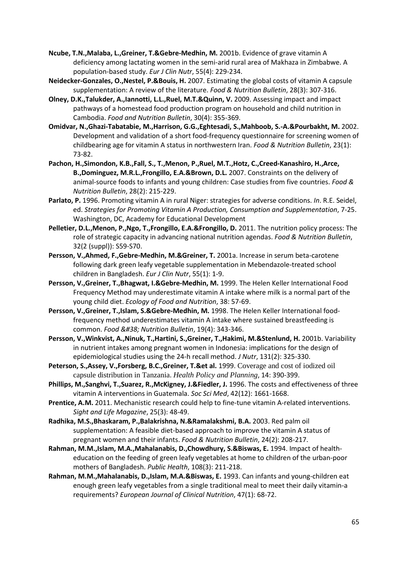- <span id="page-64-14"></span><span id="page-64-13"></span><span id="page-64-0"></span>**Ncube, T.N.,Malaba, L.,Greiner, T.&Gebre-Medhin, M.** 2001b. Evidence of grave vitamin A deficiency among lactating women in the semi-arid rural area of Makhaza in Zimbabwe. A population-based study. *Eur J Clin Nutr*, 55(4): 229-234.
- <span id="page-64-10"></span><span id="page-64-8"></span>**Neidecker-Gonzales, O.,Nestel, P.&Bouis, H.** 2007. Estimating the global costs of vitamin A capsule supplementation: A review of the literature. *Food & Nutrition Bulletin*, 28(3): 307-316.
- **Olney, D.K.,Talukder, A.,Iannotti, L.L.,Ruel, M.T.&Quinn, V.** 2009. Assessing impact and impact pathways of a homestead food production program on household and child nutrition in Cambodia. *Food and Nutrition Bulletin*, 30(4): 355-369.
- <span id="page-64-17"></span>**Omidvar, N.,Ghazi-Tabatabie, M.,Harrison, G.G.,Eghtesadi, S.,Mahboob, S.-A.&Pourbakht, M.** 2002. Development and validation of a short food-frequency questionnaire for screening women of childbearing age for vitamin A status in northwestern Iran. *Food & Nutrition Bulletin*, 23(1): 73-82.
- <span id="page-64-5"></span>**Pachon, H.,Simondon, K.B.,Fall, S., T.,Menon, P.,Ruel, M.T.,Hotz, C.,Creed-Kanashiro, H.,Arce, B.,Dominguez, M.R.L.,Frongillo, E.A.&Brown, D.L.** 2007. Constraints on the delivery of animal-source foods to infants and young children: Case studies from five countries. *Food & Nutrition Bulletin*, 28(2): 215-229.
- **Parlato, P.** 1996. Promoting vitamin A in rural Niger: strategies for adverse conditions. *In*. R.E. Seidel, ed. *Strategies for Promoting Vitamin A Production, Consumption and Supplementation*, 7-25. Washington, DC, Academy for Educational Development
- <span id="page-64-16"></span><span id="page-64-2"></span>**Pelletier, D.L.,Menon, P.,Ngo, T.,Frongillo, E.A.&Frongillo, D.** 2011. The nutrition policy process: The role of strategic capacity in advancing national nutrition agendas. *Food & Nutrition Bulletin*, 32(2 (suppl)): S59-S70.
- <span id="page-64-11"></span><span id="page-64-9"></span>**Persson, V.,Ahmed, F.,Gebre-Medhin, M.&Greiner, T.** 2001a. Increase in serum beta-carotene following dark green leafy vegetable supplementation in Mebendazole-treated school children in Bangladesh. *Eur J Clin Nutr*, 55(1): 1-9.
- <span id="page-64-15"></span><span id="page-64-4"></span>**Persson, V.,Greiner, T.,Bhagwat, I.&Gebre-Medhin, M.** 1999. The Helen Keller International Food Frequency Method may underestimate vitamin A intake where milk is a normal part of the young child diet. *Ecology of Food and Nutrition*, 38: 57-69.
- <span id="page-64-6"></span>**Persson, V.,Greiner, T.,Islam, S.&Gebre-Medhin, M.** 1998. The Helen Keller International foodfrequency method underestimates vitamin A intake where sustained breastfeeding is common. *Food & Nutrition Bulletin*, 19(4): 343-346.
- <span id="page-64-12"></span>**Persson, V.,Winkvist, A.,Ninuk, T.,Hartini, S.,Greiner, T.,Hakimi, M.&Stenlund, H.** 2001b. Variability in nutrient intakes among pregnant women in Indonesia: implications for the design of epidemiological studies using the 24-h recall method. *J Nutr*, 131(2): 325-330.
- <span id="page-64-1"></span>**Peterson, S.,Assey, V.,Forsberg, B.C.,Greiner, T.&et al.** 1999. Coverage and cost of iodized oil capsule distribution in Tanzania. *Health Policy and Planning*, 14: 390-399.
- **Phillips, M.,Sanghvi, T.,Suarez, R.,McKigney, J.&Fiedler, J.** 1996. The costs and effectiveness of three vitamin A interventions in Guatemala. *Soc Sci Med*, 42(12): 1661-1668.
- <span id="page-64-3"></span>**Prentice, A.M.** 2011. Mechanistic research could help to fine-tune vitamin A-related interventions. *Sight and Life Magazine*, 25(3): 48-49.
- **Radhika, M.S.,Bhaskaram, P.,Balakrishna, N.&Ramalakshmi, B.A.** 2003. Red palm oil supplementation: A feasible diet-based approach to improve the vitamin A status of pregnant women and their infants. *Food & Nutrition Bulletin*, 24(2): 208-217.
- **Rahman, M.M.,Islam, M.A.,Mahalanabis, D.,Chowdhury, S.&Biswas, E.** 1994. Impact of healtheducation on the feeding of green leafy vegetables at home to children of the urban-poor mothers of Bangladesh. *Public Health*, 108(3): 211-218.
- <span id="page-64-7"></span>**Rahman, M.M.,Mahalanabis, D.,Islam, M.A.&Biswas, E.** 1993. Can infants and young-children eat enough green leafy vegetables from a single traditional meal to meet their daily vitamin-a requirements? *European Journal of Clinical Nutrition*, 47(1): 68-72.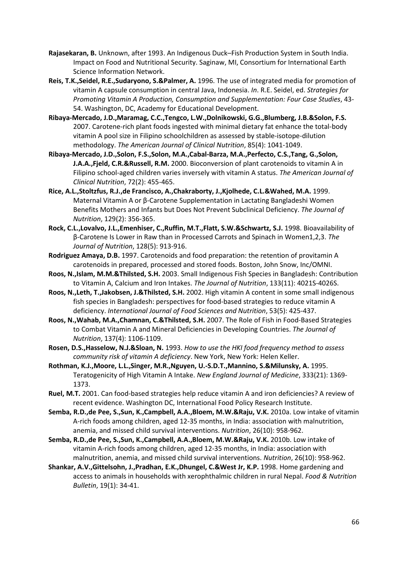- <span id="page-65-15"></span><span id="page-65-9"></span>**Rajasekaran, B.** Unknown, after 1993. An Indigenous Duck–Fish Production System in South India. Impact on Food and Nutritional Security. Saginaw, MI, Consortium for International Earth Science Information Network.
- <span id="page-65-14"></span>**Reis, T.K.,Seidel, R.E.,Sudaryono, S.&Palmer, A.** 1996. The use of integrated media for promotion of vitamin A capsule consumption in central Java, Indonesia. *In*. R.E. Seidel, ed. *Strategies for Promoting Vitamin A Production, Consumption and Supplementation: Four Case Studies*, 43- 54. Washington, DC, Academy for Educational Development.
- <span id="page-65-0"></span>**Ribaya-Mercado, J.D.,Maramag, C.C.,Tengco, L.W.,Dolnikowski, G.G.,Blumberg, J.B.&Solon, F.S.** 2007. Carotene-rich plant foods ingested with minimal dietary fat enhance the total-body vitamin A pool size in Filipino schoolchildren as assessed by stable-isotope-dilution methodology. *The American Journal of Clinical Nutrition*, 85(4): 1041-1049.
- <span id="page-65-12"></span>**Ribaya-Mercado, J.D.,Solon, F.S.,Solon, M.A.,Cabal-Barza, M.A.,Perfecto, C.S.,Tang, G.,Solon, J.A.A.,Fjeld, C.R.&Russell, R.M.** 2000. Bioconversion of plant carotenoids to vitamin A in Filipino school-aged children varies inversely with vitamin A status. *The American Journal of Clinical Nutrition*, 72(2): 455-465.
- <span id="page-65-1"></span>**Rice, A.L.,Stoltzfus, R.J.,de Francisco, A.,Chakraborty, J.,Kjolhede, C.L.&Wahed, M.A.** 1999. Maternal Vitamin A or β-Carotene Supplementation in Lactating Bangladeshi Women Benefits Mothers and Infants but Does Not Prevent Subclinical Deficiency. *The Journal of Nutrition*, 129(2): 356-365.
- <span id="page-65-13"></span>**Rock, C.L.,Lovalvo, J.L.,Emenhiser, C.,Ruffin, M.T.,Flatt, S.W.&Schwartz, S.J.** 1998. Bioavailability of β-Carotene Is Lower in Raw than in Processed Carrots and Spinach in Women1,2,3. *The Journal of Nutrition*, 128(5): 913-916.
- <span id="page-65-6"></span>**Rodriguez Amaya, D.B.** 1997. Carotenoids and food preparation: the retention of provitamin A carotenoids in prepared, processed and stored foods. Boston, John Snow, Inc/OMNI.
- <span id="page-65-7"></span>**Roos, N.,Islam, M.M.&Thilsted, S.H.** 2003. Small Indigenous Fish Species in Bangladesh: Contribution to Vitamin A, Calcium and Iron Intakes. *The Journal of Nutrition*, 133(11): 4021S-4026S.
- <span id="page-65-11"></span>**Roos, N.,Leth, T.,Jakobsen, J.&Thilsted, S.H.** 2002. High vitamin A content in some small indigenous fish species in Bangladesh: perspectives for food-based strategies to reduce vitamin A deficiency. *International Journal of Food Sciences and Nutrition*, 53(5): 425-437.
- <span id="page-65-8"></span>**Roos, N.,Wahab, M.A.,Chamnan, C.&Thilsted, S.H.** 2007. The Role of Fish in Food-Based Strategies to Combat Vitamin A and Mineral Deficiencies in Developing Countries. *The Journal of Nutrition*, 137(4): 1106-1109.
- <span id="page-65-16"></span>**Rosen, D.S.,Hasselow, N.J.&Sloan, N.** 1993. *How to use the HKI food frequency method to assess community risk of vitamin A deficiency*. New York, New York: Helen Keller.
- <span id="page-65-3"></span>**Rothman, K.J.,Moore, L.L.,Singer, M.R.,Nguyen, U.-S.D.T.,Mannino, S.&Milunsky, A.** 1995. Teratogenicity of High Vitamin A Intake. *New England Journal of Medicine*, 333(21): 1369- 1373.
- <span id="page-65-4"></span>**Ruel, M.T.** 2001. Can food-based strategies help reduce vitamin A and iron deficiencies? A review of recent evidence. Washington DC, International Food Policy Research Institute.
- <span id="page-65-2"></span>**Semba, R.D.,de Pee, S.,Sun, K.,Campbell, A.A.,Bloem, M.W.&Raju, V.K.** 2010a. Low intake of vitamin A-rich foods among children, aged 12-35 months, in India: association with malnutrition, anemia, and missed child survival interventions. *Nutrition*, 26(10): 958-962.
- <span id="page-65-5"></span>**Semba, R.D.,de Pee, S.,Sun, K.,Campbell, A.A.,Bloem, M.W.&Raju, V.K.** 2010b. Low intake of vitamin A-rich foods among children, aged 12-35 months, in India: association with malnutrition, anemia, and missed child survival interventions. *Nutrition*, 26(10): 958-962.
- <span id="page-65-10"></span>**Shankar, A.V.,Gittelsohn, J.,Pradhan, E.K.,Dhungel, C.&West Jr, K.P.** 1998. Home gardening and access to animals in households with xerophthalmic children in rural Nepal. *Food & Nutrition Bulletin*, 19(1): 34-41.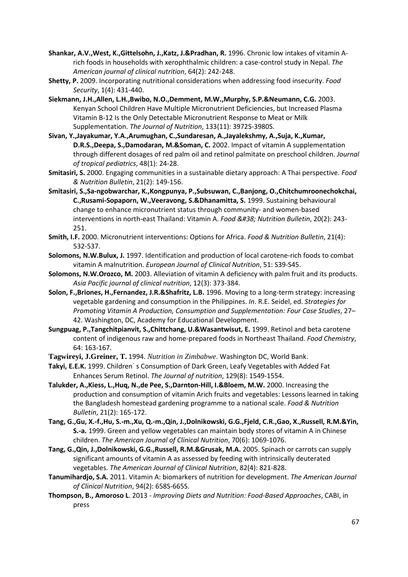- <span id="page-66-15"></span><span id="page-66-14"></span><span id="page-66-9"></span><span id="page-66-8"></span><span id="page-66-3"></span>**Shankar, A.V.,West, K.,Gittelsohn, J.,Katz, J.&Pradhan, R.** 1996. Chronic low intakes of vitamin Arich foods in households with xerophthalmic children: a case-control study in Nepal. *The American journal of clinical nutrition*, 64(2): 242-248.
- <span id="page-66-4"></span>**Shetty, P.** 2009. Incorporating nutritional considerations when addressing food insecurity. *Food Security*, 1(4): 431-440.
- **Siekmann, J.H.,Allen, L.H.,Bwibo, N.O.,Demment, M.W.,Murphy, S.P.&Neumann, C.G.** 2003. Kenyan School Children Have Multiple Micronutrient Deficiencies, but Increased Plasma Vitamin B-12 Is the Only Detectable Micronutrient Response to Meat or Milk Supplementation. *The Journal of Nutrition*, 133(11): 3972S-3980S.
- <span id="page-66-16"></span>**Sivan, Y.,Jayakumar, Y.A.,Arumughan, C.,Sundaresan, A.,Jayalekshmy, A.,Suja, K.,Kumar, D.R.S.,Deepa, S.,Damodaran, M.&Soman, C.** 2002. Impact of vitamin A supplementation through different dosages of red palm oil and retinol palmitate on preschool children. *Journal of tropical pediatrics*, 48(1): 24-28.
- **Smitasiri, S.** 2000. Engaging communities in a sustainable dietary approach: A Thai perspective. *Food & Nutrition Bulletin*, 21(2): 149-156.
- <span id="page-66-6"></span>**Smitasiri, S.,Sa-ngobwarchar, K.,Kongpunya, P.,Subsuwan, C.,Banjong, O.,Chitchumroonechokchai, C.,Rusami-Sopaporn, W.,Veeravong, S.&Dhanamitta, S.** 1999. Sustaining behavioural change to enhance micronutrient status through community- and women-based interventions in north-east Thailand: Vitamin A. *Food & #38; Nutrition Bulletin*, 20(2): 243-251.
- <span id="page-66-1"></span>**Smith, I.F.** 2000. Micronutrient interventions: Options for Africa. *Food & Nutrition Bulletin*, 21(4): 532-537.
- <span id="page-66-11"></span><span id="page-66-7"></span>**Solomons, N.W.Bulux, J.** 1997. Identification and production of local carotene-rich foods to combat vitamin A malnutrition. *European Journal of Clinical Nutrition*, 51: S39-S45.
- <span id="page-66-10"></span>**Solomons, N.W.Orozco, M.** 2003. Alleviation of vitamin A deficiency with palm fruit and its products. *Asia Pacific journal of clinical nutrition*, 12(3): 373-384.
- <span id="page-66-0"></span>**Solon, F.,Briones, H.,Fernandez, J.R.&Shafritz, L.B.** 1996. Moving to a long-term strategy: increasing vegetable gardening and consumption in the Philippines. *In*. R.E. Seidel, ed. *Strategies for Promoting Vitamin A Production, Consumption and Supplementation: Four Case Studies*, 27– 42. Washington, DC, Academy for Educational Development.
- <span id="page-66-13"></span>**Sungpuag, P.,Tangchitpianvit, S.,Chittchang, U.&Wasantwisut, E.** 1999. Retinol and beta carotene content of indigenous raw and home-prepared foods in Northeast Thailand. *Food Chemistry*, 64: 163-167.
- <span id="page-66-12"></span>**Tagwireyi, J.Greiner, T.** 1994. *Nutrition in Zimbabwe*. Washington DC, World Bank.
- **Takyi, E.E.K.** 1999. Children′ s Consumption of Dark Green, Leafy Vegetables with Added Fat Enhances Serum Retinol. *The Journal of nutrition*, 129(8): 1549-1554.
- <span id="page-66-2"></span>**Talukder, A.,Kiess, L.,Huq, N.,de Pee, S.,Darnton-Hill, I.&Bloem, M.W.** 2000. Increasing the production and consumption of vitamin Arich fruits and vegetables: Lessons learned in taking the Bangladesh homestead gardening programme to a national scale. *Food & Nutrition Bulletin*, 21(2): 165-172.
- **Tang, G.,Gu, X.-f.,Hu, S.-m.,Xu, Q.-m.,Qin, J.,Dolnikowski, G.G.,Fjeld, C.R.,Gao, X.,Russell, R.M.&Yin, S.-a.** 1999. Green and yellow vegetables can maintain body stores of vitamin A in Chinese children. *The American Journal of Clinical Nutrition*, 70(6): 1069-1076.
- <span id="page-66-5"></span>**Tang, G.,Qin, J.,Dolnikowski, G.G.,Russell, R.M.&Grusak, M.A.** 2005. Spinach or carrots can supply significant amounts of vitamin A as assessed by feeding with intrinsically deuterated vegetables. *The American Journal of Clinical Nutrition*, 82(4): 821-828.
- <span id="page-66-17"></span>**Tanumihardjo, S.A.** 2011. Vitamin A: biomarkers of nutrition for development. *The American Journal of Clinical Nutrition*, 94(2): 658S-665S.
- **Thompson, B., Amoroso L**. 2013 *Improving Diets and Nutrition: Food-Based Approaches*, CABI, in press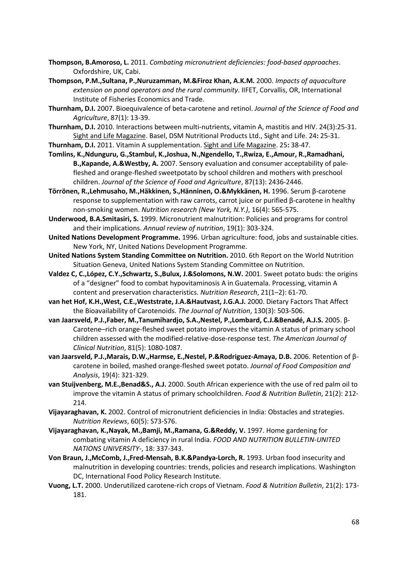- <span id="page-67-12"></span><span id="page-67-5"></span>**Thompson, B.Amoroso, L.** 2011. *Combating micronutrient deficiencies: food-based approaches*. Oxfordshire, UK, Cabi.
- <span id="page-67-7"></span>**Thompson, P.M.,Sultana, P.,Nuruzamman, M.&Firoz Khan, A.K.M.** 2000. *Impacts of aquaculture extension on pond operators and the rural community*. IIFET, Corvallis, OR, International Institute of Fisheries Economics and Trade.
- <span id="page-67-17"></span>**Thurnham, D.I.** 2007. Bioequivalence of beta-carotene and retinol. *Journal of the Science of Food and Agriculture*, 87(1): 13-39.
- <span id="page-67-3"></span>**Thurnham, D.I.** 2010. Interactions between multi-nutrients, vitamin A, mastitis and HIV. 24(3):25-31. Sight and Life Magazine. Basel, DSM Nutritional Products Ltd., Sight and Life. 24**:** 25-31.

<span id="page-67-2"></span>**Thurnham, D.I.** 2011. Vitamin A supplementation. Sight and Life Magazine. 25**:** 38-47.

- <span id="page-67-11"></span><span id="page-67-9"></span>**Tomlins, K.,Ndunguru, G.,Stambul, K.,Joshua, N.,Ngendello, T.,Rwiza, E.,Amour, R.,Ramadhani, B.,Kapande, A.&Westby, A.** 2007. Sensory evaluation and consumer acceptability of palefleshed and orange-fleshed sweetpotato by school children and mothers with preschool children. *Journal of the Science of Food and Agriculture*, 87(13): 2436-2446.
- <span id="page-67-14"></span>**Törrönen, R.,Lehmusaho, M.,Häkkinen, S.,Hänninen, O.&Mykkänen, H.** 1996. Serum β-carotene response to supplementation with raw carrots, carrot juice or purified β-carotene in healthy non-smoking women. *Nutrition research (New York, N.Y.)*, 16(4): 565-575.
- <span id="page-67-15"></span><span id="page-67-13"></span>**Underwood, B.A.Smitasiri, S.** 1999. Micronutrient malnutrition: Policies and programs for control and their implications. *Annual review of nutrition*, 19(1): 303-324.
- <span id="page-67-6"></span>**United Nations Development Programme.** 1996. Urban agriculture: food, jobs and sustainable cities. New York, NY, United Nations Development Programme.
- <span id="page-67-20"></span><span id="page-67-0"></span>**United Nations System Standing Committee on Nutrition.** 2010. 6th Report on the World Nutrition Situation Geneva, United Nations System Standing Committee on Nutrition.
- <span id="page-67-16"></span>**Valdez C, C.,López, C.Y.,Schwartz, S.,Bulux, J.&Solomons, N.W.** 2001. Sweet potato buds: the origins of a "designer" food to combat hypovitaminosis A in Guatemala. Processing, vitamin A content and preservation characteristics. *Nutrition Research*, 21(1–2): 61-70.
- <span id="page-67-18"></span>**van het Hof, K.H.,West, C.E.,Weststrate, J.A.&Hautvast, J.G.A.J.** 2000. Dietary Factors That Affect the Bioavailability of Carotenoids. *The Journal of Nutrition*, 130(3): 503-506.
- <span id="page-67-1"></span>**van Jaarsveld, P.J.,Faber, M.,Tanumihardjo, S.A.,Nestel, P.,Lombard, C.J.&Benadé, A.J.S.** 2005. β-Carotene–rich orange-fleshed sweet potato improves the vitamin A status of primary school children assessed with the modified-relative-dose-response test. *The American Journal of Clinical Nutrition*, 81(5): 1080-1087.
- <span id="page-67-19"></span>**van Jaarsveld, P.J.,Marais, D.W.,Harmse, E.,Nestel, P.&Rodriguez-Amaya, D.B.** 2006. Retention of βcarotene in boiled, mashed orange-fleshed sweet potato. *Journal of Food Composition and Analysis*, 19(4): 321-329.
- **van Stuijvenberg, M.E.,Benad&S., A.J.** 2000. South African experience with the use of red palm oil to improve the vitamin A status of primary schoolchildren. *Food & Nutrition Bulletin*, 21(2): 212- 214.
- <span id="page-67-8"></span>**Vijayaraghavan, K.** 2002. Control of micronutrient deficiencies in India: Obstacles and strategies. *Nutrition Reviews*, 60(5): S73-S76.
- **Vijayaraghavan, K.,Nayak, M.,Bamji, M.,Ramana, G.&Reddy, V.** 1997. Home gardening for combating vitamin A deficiency in rural India. *FOOD AND NUTRITION BULLETIN-UNITED NATIONS UNIVERSITY-*, 18: 337-343.
- <span id="page-67-4"></span>**Von Braun, J.,McComb, J.,Fred-Mensah, B.K.&Pandya-Lorch, R.** 1993. Urban food insecurity and malnutrition in developing countries: trends, policies and research implications. Washington DC, International Food Policy Research Institute.
- <span id="page-67-10"></span>**Vuong, L.T.** 2000. Underutilized carotene-rich crops of Vietnam. *Food & Nutrition Bulletin*, 21(2): 173- 181.